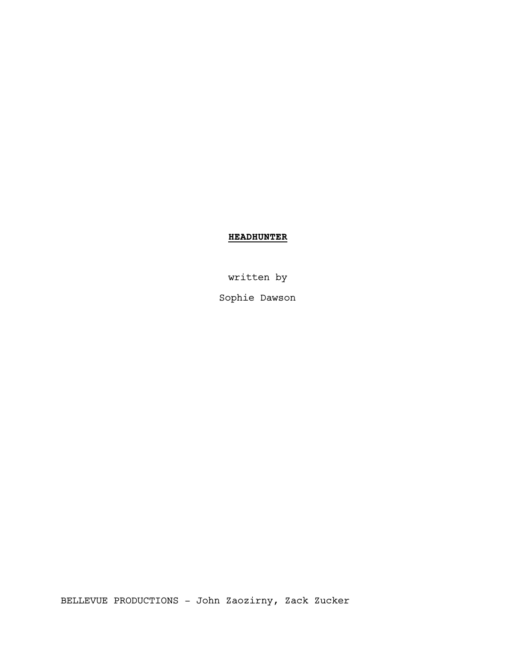# **HEADHUNTER**

written by

Sophie Dawson

BELLEVUE PRODUCTIONS - John Zaozirny, Zack Zucker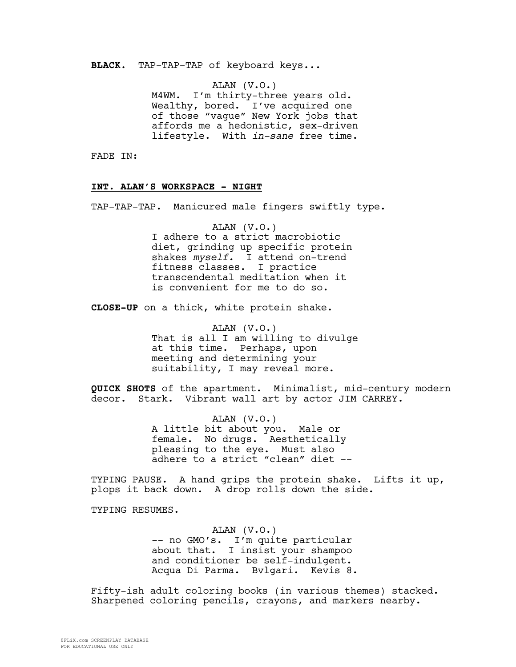**BLACK.** TAP-TAP-TAP of keyboard keys...

ALAN (V.O.) M4WM. I'm thirty-three years old. Wealthy, bored. I've acquired one of those "vague" New York jobs that affords me a hedonistic, sex-driven lifestyle. With *in-sane* free time.

FADE IN:

#### **INT. ALAN'S WORKSPACE - NIGHT**

TAP-TAP-TAP. Manicured male fingers swiftly type.

ALAN (V.O.) I adhere to a strict macrobiotic diet, grinding up specific protein shakes *myself.* I attend on-trend fitness classes. I practice transcendental meditation when it is convenient for me to do so.

**CLOSE-UP** on a thick, white protein shake.

ALAN (V.O.) That is all I am willing to divulge at this time. Perhaps, upon meeting and determining your suitability, I may reveal more.

**QUICK SHOTS** of the apartment. Minimalist, mid-century modern decor. Stark. Vibrant wall art by actor JIM CARREY.

> ALAN (V.O.) A little bit about you. Male or female. No drugs. Aesthetically pleasing to the eye. Must also adhere to a strict "clean" diet --

TYPING PAUSE. A hand grips the protein shake. Lifts it up, plops it back down. A drop rolls down the side.

TYPING RESUMES.

ALAN (V.O.) -- no GMO's. I'm quite particular about that. I insist your shampoo and conditioner be self-indulgent. Acqua Di Parma. Bvlgari. Kevis 8.

Fifty-ish adult coloring books (in various themes) stacked. Sharpened coloring pencils, crayons, and markers nearby.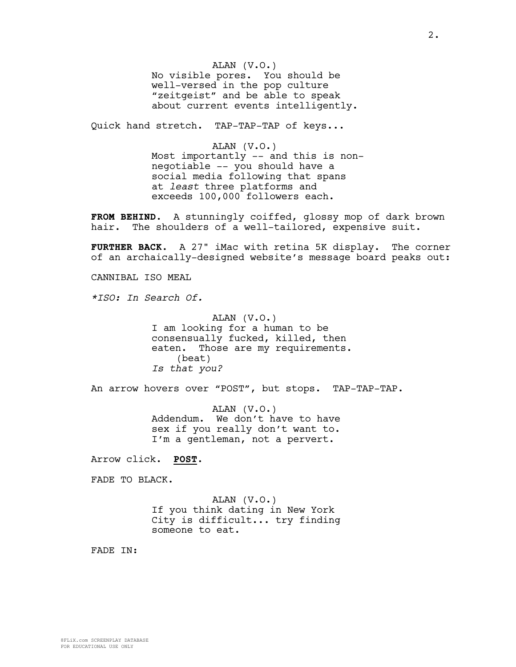ALAN (V.O.) No visible pores. You should be well-versed in the pop culture "zeitgeist" and be able to speak about current events intelligently.

Quick hand stretch. TAP-TAP-TAP of keys...

ALAN (V.O.) Most importantly -- and this is nonnegotiable -- you should have a social media following that spans at *least* three platforms and exceeds 100,000 followers each.

**FROM BEHIND**. A stunningly coiffed, glossy mop of dark brown hair. The shoulders of a well-tailored, expensive suit.

**FURTHER BACK**. A 27" iMac with retina 5K display. The corner of an archaically-designed website's message board peaks out:

CANNIBAL ISO MEAL

*\*ISO: In Search Of.*

ALAN (V.O.) I am looking for a human to be consensually fucked, killed, then eaten. Those are my requirements. (beat) *Is that you?*

An arrow hovers over "POST", but stops. TAP-TAP-TAP.

ALAN (V.O.) Addendum. We don't have to have sex if you really don't want to. I'm a gentleman, not a pervert.

Arrow click. **POST**.

FADE TO BLACK.

ALAN (V.O.) If you think dating in New York City is difficult... try finding someone to eat.

FADE IN: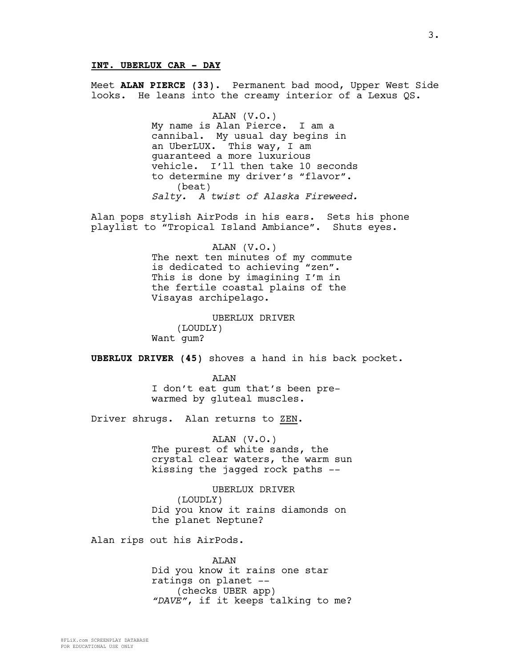# **INT. UBERLUX CAR - DAY**

Meet **ALAN PIERCE (33)**. Permanent bad mood, Upper West Side looks. He leans into the creamy interior of a Lexus QS.

> ALAN (V.O.) My name is Alan Pierce. I am a cannibal. My usual day begins in an UberLUX. This way, I am guaranteed a more luxurious vehicle. I'll then take 10 seconds to determine my driver's "flavor". (beat) *Salty. A twist of Alaska Fireweed.*

Alan pops stylish AirPods in his ears. Sets his phone playlist to "Tropical Island Ambiance". Shuts eyes.

> ALAN (V.O.) The next ten minutes of my commute is dedicated to achieving "zen". This is done by imagining I'm in the fertile coastal plains of the Visayas archipelago.

UBERLUX DRIVER (LOUDLY) Want gum?

**UBERLUX DRIVER (45)** shoves a hand in his back pocket.

**AT<sub>AN</sub>** I don't eat gum that's been prewarmed by gluteal muscles.

Driver shrugs. Alan returns to ZEN.

ALAN (V.O.) The purest of white sands, the crystal clear waters, the warm sun kissing the jagged rock paths --

UBERLUX DRIVER (LOUDLY) Did you know it rains diamonds on the planet Neptune?

Alan rips out his AirPods.

ALAN Did you know it rains one star ratings on planet -- (checks UBER app) *"DAVE"*, if it keeps talking to me?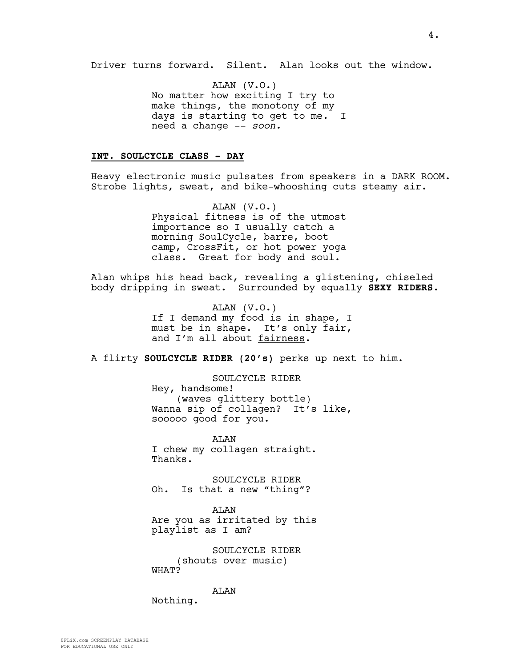Driver turns forward. Silent. Alan looks out the window.

ALAN (V.O.) No matter how exciting I try to make things, the monotony of my days is starting to get to me. I need a change -- *soon.*

### **INT. SOULCYCLE CLASS - DAY**

Heavy electronic music pulsates from speakers in a DARK ROOM. Strobe lights, sweat, and bike-whooshing cuts steamy air.

> ALAN (V.O.) Physical fitness is of the utmost importance so I usually catch a morning SoulCycle, barre, boot camp, CrossFit, or hot power yoga class. Great for body and soul.

Alan whips his head back, revealing a glistening, chiseled body dripping in sweat. Surrounded by equally **SEXY RIDERS**.

> ALAN (V.O.) If I demand my food is in shape, I must be in shape. It's only fair, and I'm all about fairness.

A flirty **SOULCYCLE RIDER (20's)** perks up next to him.

SOULCYCLE RIDER Hey, handsome! (waves glittery bottle) Wanna sip of collagen? It's like, sooooo good for you.

ALAN I chew my collagen straight. Thanks.

SOULCYCLE RIDER Oh. Is that a new "thing"?

ALAN Are you as irritated by this playlist as I am?

SOULCYCLE RIDER (shouts over music) WHAT?

ALAN

Nothing.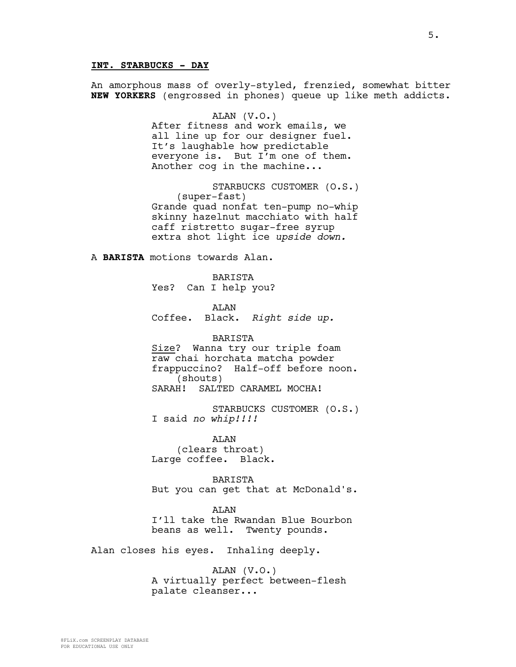### **INT. STARBUCKS - DAY**

An amorphous mass of overly-styled, frenzied, somewhat bitter **NEW YORKERS** (engrossed in phones) queue up like meth addicts. ALAN (V.O.) After fitness and work emails, we all line up for our designer fuel. It's laughable how predictable everyone is. But I'm one of them. Another cog in the machine... STARBUCKS CUSTOMER (O.S.) (super-fast) Grande quad nonfat ten-pump no-whip skinny hazelnut macchiato with half caff ristretto sugar-free syrup extra shot light ice *upside down.* A **BARISTA** motions towards Alan. BARISTA Yes? Can I help you? **AT<sub>AN</sub>** Coffee. Black. *Right side up.* BARISTA Size? Wanna try our triple foam raw chai horchata matcha powder

frappuccino? Half-off before noon. (shouts) SARAH! SALTED CARAMEL MOCHA!

STARBUCKS CUSTOMER (O.S.) I said *no whip!!!!*

ALAN (clears throat) Large coffee. Black.

BARISTA But you can get that at McDonald's.

**AT<sub>AN</sub>** I'll take the Rwandan Blue Bourbon beans as well. Twenty pounds.

Alan closes his eyes. Inhaling deeply.

ALAN (V.O.) A virtually perfect between-flesh palate cleanser...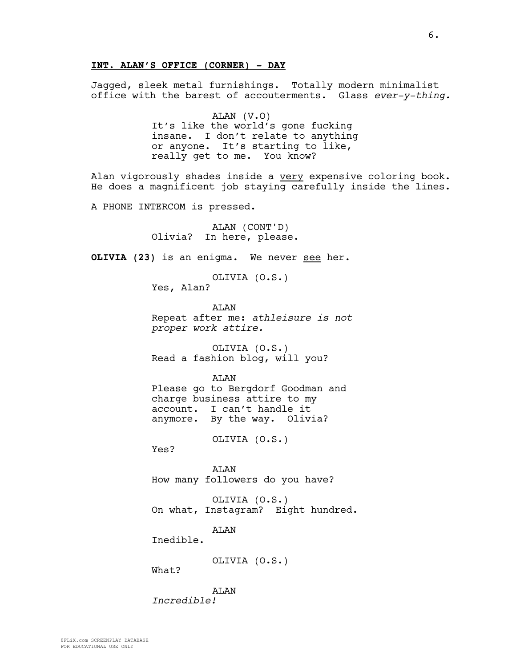Jagged, sleek metal furnishings. Totally modern minimalist office with the barest of accouterments. Glass *ever-y-thing.*

> ALAN (V.O) It's like the world's gone fucking insane. I don't relate to anything or anyone. It's starting to like, really get to me. You know?

Alan vigorously shades inside a very expensive coloring book. He does a magnificent job staying carefully inside the lines.

A PHONE INTERCOM is pressed.

ALAN (CONT'D) Olivia? In here, please.

**OLIVIA (23)** is an enigma. We never see her.

OLIVIA (O.S.) Yes, Alan?

**AT<sub>AN</sub>** Repeat after me: *athleisure is not proper work attire.*

OLIVIA (O.S.) Read a fashion blog, will you?

AT<sub>AN</sub>

Please go to Bergdorf Goodman and charge business attire to my account. I can't handle it anymore. By the way. Olivia?

OLIVIA (O.S.)

Yes?

ALAN How many followers do you have?

OLIVIA (O.S.) On what, Instagram? Eight hundred.

**AT<sub>AN</sub>** 

Inedible.

OLIVIA (O.S.)

What?

ALAN *Incredible!*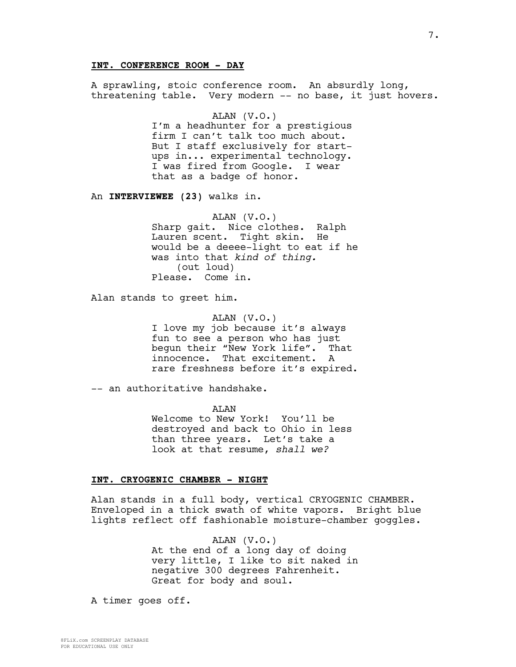# **INT. CONFERENCE ROOM - DAY**

A sprawling, stoic conference room. An absurdly long, threatening table. Very modern -- no base, it just hovers.

> ALAN (V.O.) I'm a headhunter for a prestigious firm I can't talk too much about. But I staff exclusively for startups in... experimental technology. I was fired from Google. I wear that as a badge of honor.

An **INTERVIEWEE (23)** walks in.

ALAN (V.O.) Sharp gait. Nice clothes. Ralph Lauren scent. Tight skin. He would be a deeee-light to eat if he was into that *kind of thing.* (out loud) Please. Come in.

Alan stands to greet him.

ALAN (V.O.) I love my job because it's always fun to see a person who has just begun their "New York life". That innocence. That excitement. A rare freshness before it's expired.

-- an authoritative handshake.

ALAN Welcome to New York! You'll be destroyed and back to Ohio in less than three years. Let's take a look at that resume, *shall we?*

#### **INT. CRYOGENIC CHAMBER - NIGHT**

Alan stands in a full body, vertical CRYOGENIC CHAMBER. Enveloped in a thick swath of white vapors. Bright blue lights reflect off fashionable moisture-chamber goggles.

> ALAN (V.O.) At the end of a long day of doing very little, I like to sit naked in negative 300 degrees Fahrenheit. Great for body and soul.

A timer goes off.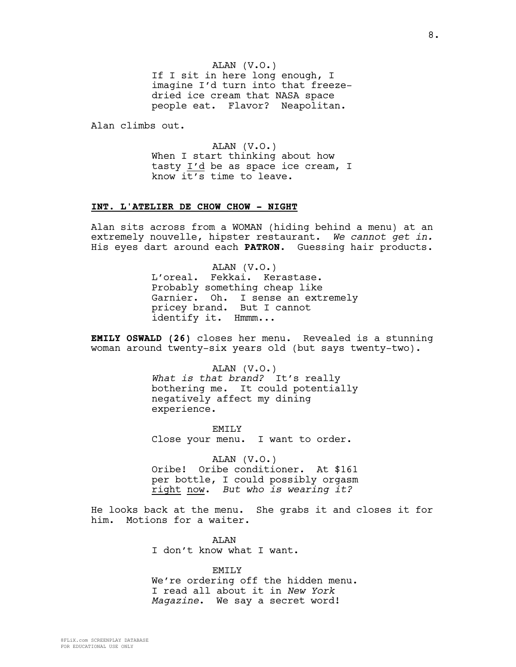ALAN (V.O.) If I sit in here long enough, I imagine I'd turn into that freezedried ice cream that NASA space people eat. Flavor? Neapolitan.

Alan climbs out.

ALAN (V.O.) When I start thinking about how tasty I'd be as space ice cream, I know  $i\overline{t's}$  time to leave.

#### **INT. L'ATELIER DE CHOW CHOW - NIGHT**

Alan sits across from a WOMAN (hiding behind a menu) at an extremely nouvelle, hipster restaurant. *We cannot get in.* His eyes dart around each **PATRON**. Guessing hair products.

> ALAN (V.O.) L'oreal. Fekkai. Kerastase. Probably something cheap like Garnier. Oh. I sense an extremely pricey brand. But I cannot identify it. Hmmm...

**EMILY OSWALD (26)** closes her menu. Revealed is a stunning woman around twenty-six years old (but says twenty-two).

> ALAN (V.O.) *What is that brand?* It's really bothering me. It could potentially negatively affect my dining experience.

EMTT<sub>.</sub>Y Close your menu. I want to order.

ALAN (V.O.) Oribe! Oribe conditioner. At \$161 per bottle, I could possibly orgasm right now. *But who is wearing it?*

He looks back at the menu. She grabs it and closes it for him. Motions for a waiter.

> AT.AN I don't know what I want.

EMILY We're ordering off the hidden menu. I read all about it in *New York Magazine*. We say a secret word!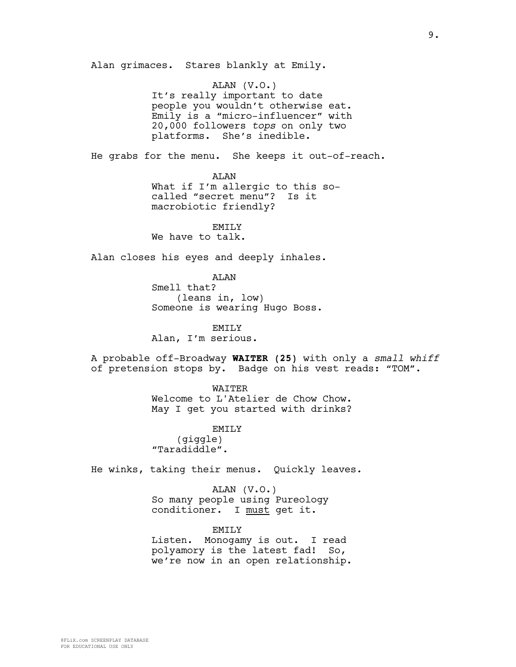Alan grimaces. Stares blankly at Emily.

ALAN (V.O.) It's really important to date people you wouldn't otherwise eat. Emily is a "micro-influencer" with 20,000 followers *tops* on only two platforms. She's inedible.

He grabs for the menu. She keeps it out-of-reach.

ALAN What if I'm allergic to this socalled "secret menu"? Is it macrobiotic friendly?

EMILY We have to talk.

Alan closes his eyes and deeply inhales.

ALAN Smell that? (leans in, low) Someone is wearing Hugo Boss.

EMILY Alan, I'm serious.

A probable off-Broadway **WAITER (25)** with only a *small whiff* of pretension stops by. Badge on his vest reads: "TOM".

> WAITER Welcome to L'Atelier de Chow Chow.

> May I get you started with drinks?

EMILY (giggle) "Taradiddle".

He winks, taking their menus. Quickly leaves.

ALAN (V.O.) So many people using Pureology conditioner. I must get it.

**EMTLY** Listen. Monogamy is out. I read

polyamory is the latest fad! So, we're now in an open relationship.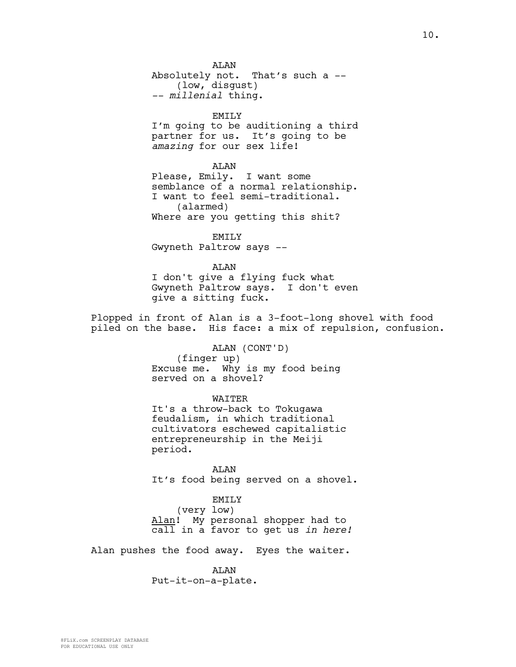AT<sub>AN</sub> Absolutely not. That's such a -- (low, disgust) *-- millenial* thing.

EMILY

I'm going to be auditioning a third partner for us. It's going to be *amazing* for our sex life!

### ALAN

Please, Emily. I want some semblance of a normal relationship. I want to feel semi-traditional. (alarmed) Where are you getting this shit?

EMILY Gwyneth Paltrow says --

ALAN I don't give a flying fuck what Gwyneth Paltrow says. I don't even give a sitting fuck.

Plopped in front of Alan is a 3-foot-long shovel with food piled on the base. His face: a mix of repulsion, confusion.

> ALAN (CONT'D) (finger up) Excuse me. Why is my food being served on a shovel?

> > WATTER

It's a throw-back to Tokugawa feudalism, in which traditional cultivators eschewed capitalistic entrepreneurship in the Meiji period.

ALAN It's food being served on a shovel.

EMILY

(very low) Alan! My personal shopper had to call in a favor to get us *in here!*

Alan pushes the food away. Eyes the waiter.

ALAN Put-it-on-a-plate.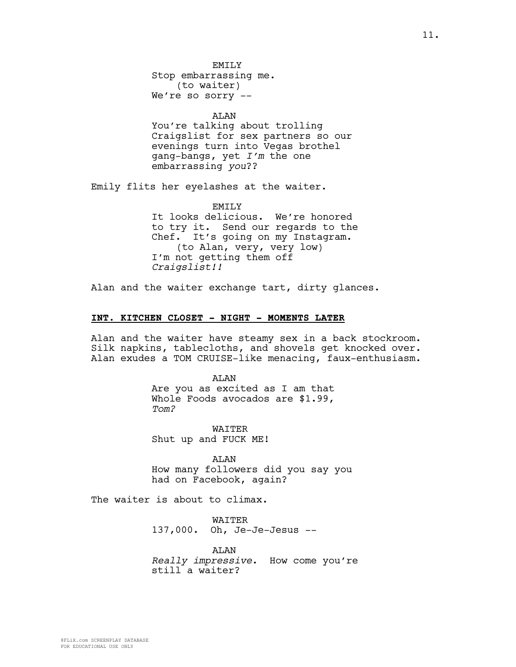EMTT<sub>.</sub>Y

Stop embarrassing me. (to waiter) We're so sorry --

ALAN

You're talking about trolling Craigslist for sex partners so our evenings turn into Vegas brothel gang-bangs, yet *I'm* the one embarrassing *you*??

Emily flits her eyelashes at the waiter.

EMILY

It looks delicious. We're honored to try it. Send our regards to the Chef. It's going on my Instagram. (to Alan, very, very low) I'm not getting them off *Craigslist!!*

Alan and the waiter exchange tart, dirty glances.

#### **INT. KITCHEN CLOSET - NIGHT - MOMENTS LATER**

Alan and the waiter have steamy sex in a back stockroom. Silk napkins, tablecloths, and shovels get knocked over. Alan exudes a TOM CRUISE-like menacing, faux-enthusiasm.

> ALAN Are you as excited as I am that Whole Foods avocados are \$1.99, *Tom?*

WAITER Shut up and FUCK ME!

ALAN How many followers did you say you had on Facebook, again?

The waiter is about to climax.

WAITER 137,000. Oh, Je-Je-Jesus --

ALAN *Really impressive*. How come you're still a waiter?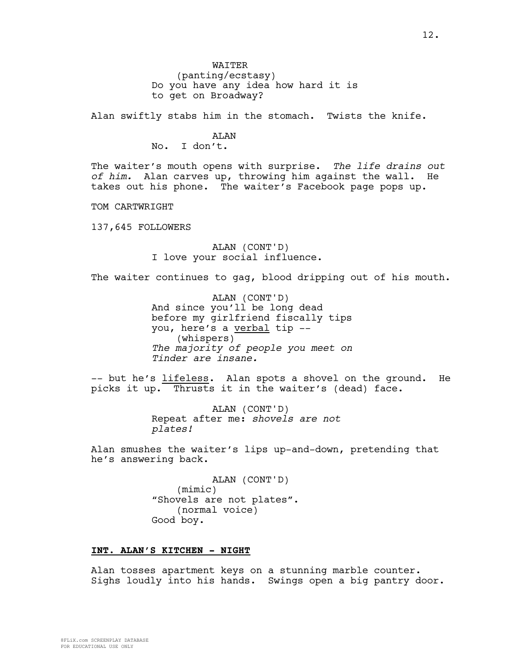12.

WATTER (panting/ecstasy) Do you have any idea how hard it is to get on Broadway?

Alan swiftly stabs him in the stomach. Twists the knife.

### ALAN

No. I don't.

The waiter's mouth opens with surprise. *The life drains out of him.* Alan carves up, throwing him against the wall. He takes out his phone. The waiter's Facebook page pops up.

TOM CARTWRIGHT

137,645 FOLLOWERS

ALAN (CONT'D) I love your social influence.

The waiter continues to gag, blood dripping out of his mouth.

ALAN (CONT'D) And since you'll be long dead before my girlfriend fiscally tips you, here's a verbal tip -- (whispers) *The majority of people you meet on Tinder are insane.*

-- but he's lifeless. Alan spots a shovel on the ground. He picks it up. Thrusts it in the waiter's (dead) face.

> ALAN (CONT'D) Repeat after me: *shovels are not plates!*

Alan smushes the waiter's lips up-and-down, pretending that he's answering back.

> ALAN (CONT'D) (mimic) "Shovels are not plates". (normal voice) Good boy.

### **INT. ALAN'S KITCHEN - NIGHT**

Alan tosses apartment keys on a stunning marble counter. Sighs loudly into his hands. Swings open a big pantry door.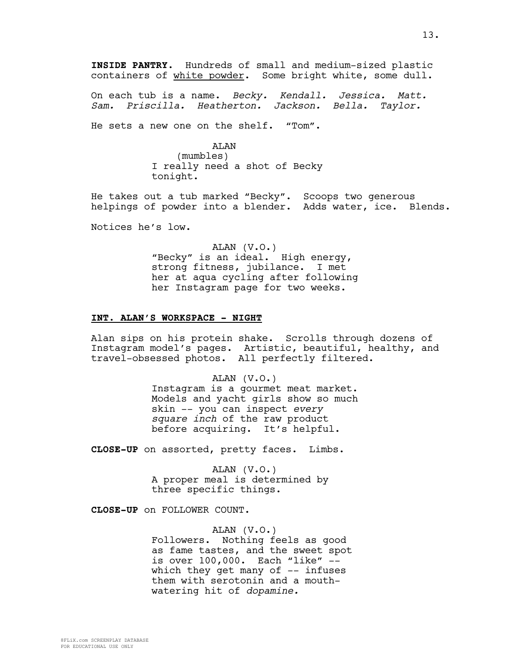**INSIDE PANTRY.** Hundreds of small and medium-sized plastic containers of white powder. Some bright white, some dull.

On each tub is a name. *Becky. Kendall. Jessica. Matt. Sam. Priscilla. Heatherton. Jackson. Bella. Taylor.*

He sets a new one on the shelf. "Tom".

ALAN (mumbles) I really need a shot of Becky tonight.

He takes out a tub marked "Becky". Scoops two generous helpings of powder into a blender. Adds water, ice. Blends.

Notices he's low.

ALAN (V.O.) "Becky" is an ideal. High energy, strong fitness, jubilance. I met her at aqua cycling after following her Instagram page for two weeks.

#### **INT. ALAN'S WORKSPACE - NIGHT**

Alan sips on his protein shake. Scrolls through dozens of Instagram model's pages. Artistic, beautiful, healthy, and travel-obsessed photos. All perfectly filtered.

> ALAN (V.O.) Instagram is a gourmet meat market. Models and yacht girls show so much skin -- you can inspect *every square inch* of the raw product before acquiring. It's helpful.

**CLOSE-UP** on assorted, pretty faces. Limbs.

ALAN (V.O.) A proper meal is determined by three specific things.

**CLOSE-UP** on FOLLOWER COUNT.

ALAN (V.O.) Followers. Nothing feels as good as fame tastes, and the sweet spot is over 100,000. Each "like" - which they get many of  $-$ - infuses them with serotonin and a mouthwatering hit of *dopamine.*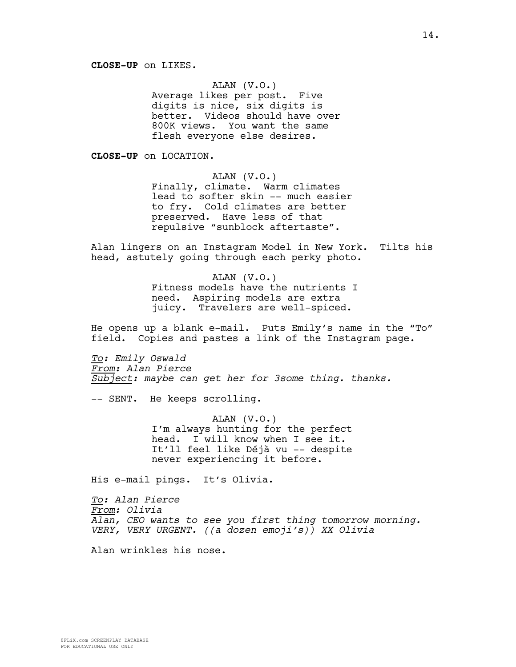# ALAN (V.O.)

Average likes per post. Five digits is nice, six digits is better. Videos should have over 800K views. You want the same flesh everyone else desires.

**CLOSE-UP** on LOCATION.

ALAN (V.O.)

Finally, climate. Warm climates lead to softer skin -- much easier to fry. Cold climates are better preserved. Have less of that repulsive "sunblock aftertaste".

Alan lingers on an Instagram Model in New York. Tilts his head, astutely going through each perky photo.

> ALAN (V.O.) Fitness models have the nutrients I need. Aspiring models are extra juicy. Travelers are well-spiced.

He opens up a blank e-mail. Puts Emily's name in the "To" field. Copies and pastes a link of the Instagram page.

*To: Emily Oswald From: Alan Pierce Subject: maybe can get her for 3some thing. thanks.*

-- SENT. He keeps scrolling.

ALAN (V.O.) I'm always hunting for the perfect head. I will know when I see it. It'll feel like Déjà vu -- despite never experiencing it before.

His e-mail pings. It's Olivia.

*To: Alan Pierce From: Olivia Alan, CEO wants to see you first thing tomorrow morning. VERY, VERY URGENT. ((a dozen emoji's)) XX Olivia*

Alan wrinkles his nose.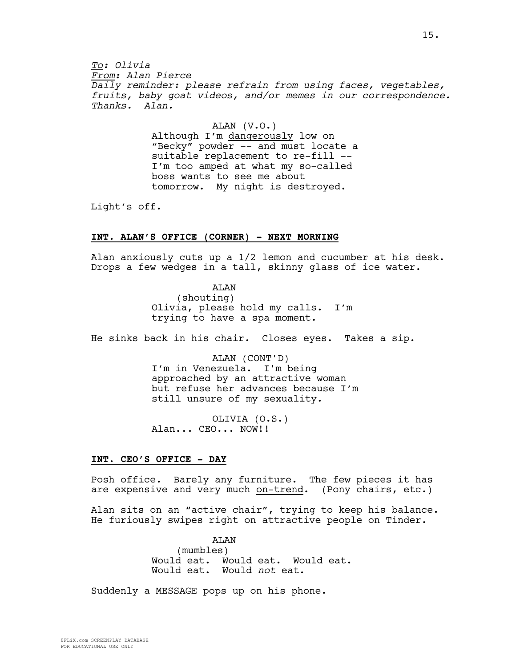*To: Olivia From: Alan Pierce Daily reminder: please refrain from using faces, vegetables, fruits, baby goat videos, and/or memes in our correspondence. Thanks. Alan.*

> ALAN (V.O.) Although I'm dangerously low on "Becky" powder -- and must locate a suitable replacement to re-fill -- I'm too amped at what my so-called boss wants to see me about tomorrow. My night is destroyed.

Light's off.

## **INT. ALAN'S OFFICE (CORNER) - NEXT MORNING**

Alan anxiously cuts up a 1/2 lemon and cucumber at his desk. Drops a few wedges in a tall, skinny glass of ice water.

> ALAN (shouting) Olivia, please hold my calls. I'm trying to have a spa moment.

He sinks back in his chair. Closes eyes. Takes a sip.

ALAN (CONT'D) I'm in Venezuela. I'm being approached by an attractive woman but refuse her advances because I'm still unsure of my sexuality.

OLIVIA (O.S.) Alan... CEO... NOW!!

#### **INT. CEO'S OFFICE - DAY**

Posh office. Barely any furniture. The few pieces it has are expensive and very much on-trend. (Pony chairs, etc.)

Alan sits on an "active chair", trying to keep his balance. He furiously swipes right on attractive people on Tinder.

> ALAN (mumbles) Would eat. Would eat. Would eat. Would eat. Would *not* eat.

Suddenly a MESSAGE pops up on his phone.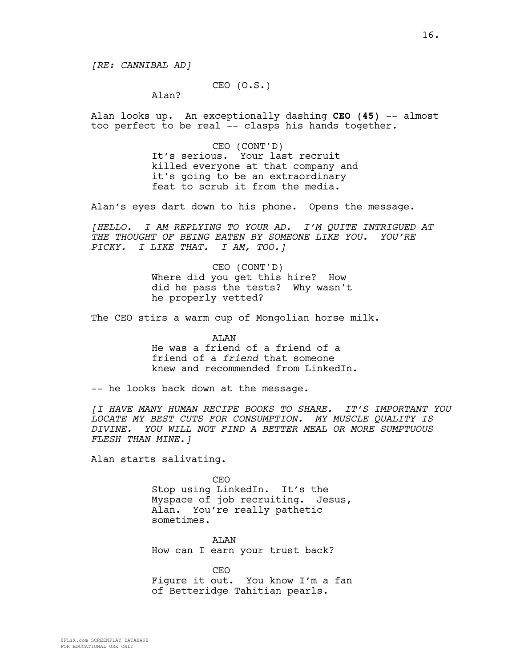*[RE: CANNIBAL AD]*

CEO (O.S.)

Alan?

Alan looks up. An exceptionally dashing **CEO (45)** -- almost too perfect to be real -- clasps his hands together.

> CEO (CONT'D) It's serious. Your last recruit killed everyone at that company and it's going to be an extraordinary feat to scrub it from the media.

Alan's eyes dart down to his phone. Opens the message.

*[HELLO. I AM REPLYING TO YOUR AD. I'M QUITE INTRIGUED AT THE THOUGHT OF BEING EATEN BY SOMEONE LIKE YOU. YOU'RE PICKY. I LIKE THAT. I AM, TOO.]*

> CEO (CONT'D) Where did you get this hire? How did he pass the tests? Why wasn't he properly vetted?

The CEO stirs a warm cup of Mongolian horse milk.

ALAN He was a friend of a friend of a friend of a *friend* that someone knew and recommended from LinkedIn.

-- he looks back down at the message.

*[I HAVE MANY HUMAN RECIPE BOOKS TO SHARE. IT'S IMPORTANT YOU LOCATE MY BEST CUTS FOR CONSUMPTION. MY MUSCLE QUALITY IS DIVINE. YOU WILL NOT FIND A BETTER MEAL OR MORE SUMPTUOUS FLESH THAN MINE.]*

Alan starts salivating.

CEO Stop using LinkedIn. It's the Myspace of job recruiting. Jesus, Alan. You're really pathetic sometimes.

ALAN How can I earn your trust back?

CEO Figure it out. You know I'm a fan of Betteridge Tahitian pearls.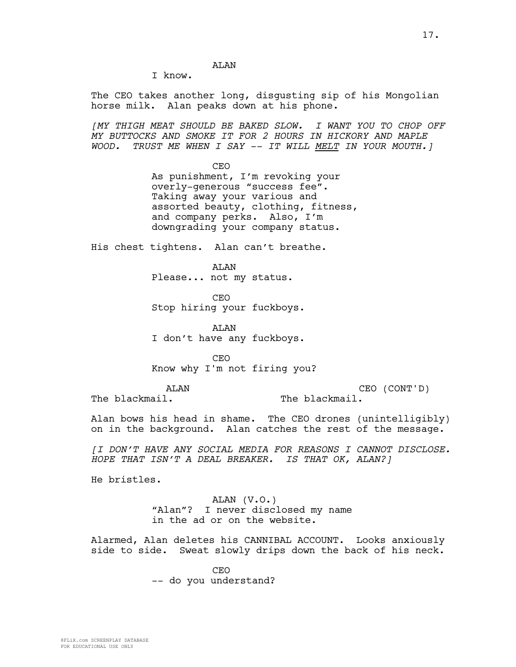**AT<sub>AN</sub>** 

I know.

The CEO takes another long, disgusting sip of his Mongolian horse milk. Alan peaks down at his phone.

*[MY THIGH MEAT SHOULD BE BAKED SLOW. I WANT YOU TO CHOP OFF MY BUTTOCKS AND SMOKE IT FOR 2 HOURS IN HICKORY AND MAPLE WOOD. TRUST ME WHEN I SAY -- IT WILL MELT IN YOUR MOUTH.]*

> CEO As punishment, I'm revoking your overly-generous "success fee". Taking away your various and assorted beauty, clothing, fitness, and company perks. Also, I'm downgrading your company status.

His chest tightens. Alan can't breathe.

**AT<sub>AN</sub>** Please... not my status.

CEO Stop hiring your fuckboys.

ALAN I don't have any fuckboys.

CEO Know why I'm not firing you?

ALAN The blackmail.

CEO (CONT'D) The blackmail.

Alan bows his head in shame. The CEO drones (unintelligibly) on in the background. Alan catches the rest of the message.

*[I DON'T HAVE ANY SOCIAL MEDIA FOR REASONS I CANNOT DISCLOSE. HOPE THAT ISN'T A DEAL BREAKER. IS THAT OK, ALAN?]*

He bristles.

ALAN (V.O.) "Alan"? I never disclosed my name in the ad or on the website.

Alarmed, Alan deletes his CANNIBAL ACCOUNT. Looks anxiously side to side. Sweat slowly drips down the back of his neck.

> CEO -- do you understand?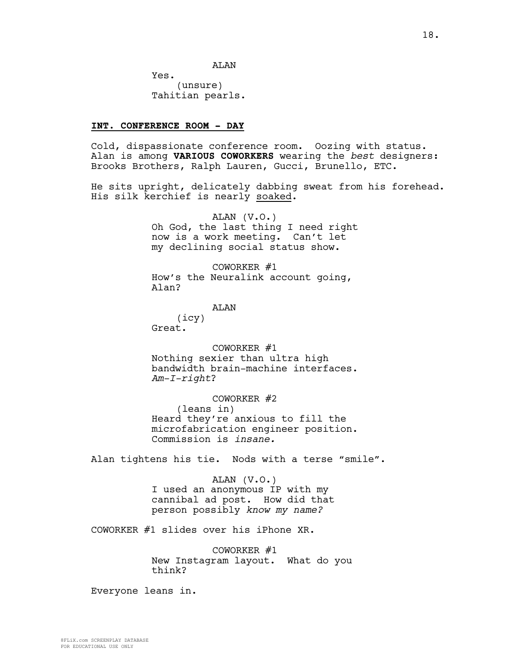Yes. (unsure) Tahitian pearls.

### **INT. CONFERENCE ROOM - DAY**

Cold, dispassionate conference room. Oozing with status. Alan is among **VARIOUS COWORKERS** wearing the *best* designers: Brooks Brothers, Ralph Lauren, Gucci, Brunello, ETC.

He sits upright, delicately dabbing sweat from his forehead. His silk kerchief is nearly soaked.

> ALAN (V.O.) Oh God, the last thing I need right now is a work meeting. Can't let my declining social status show.

COWORKER #1 How's the Neuralink account going, Alan?

# AT<sub>AN</sub>

(icy) Great.

COWORKER #1

Nothing sexier than ultra high bandwidth brain-machine interfaces. *Am-I-right*?

COWORKER #2 (leans in) Heard they're anxious to fill the microfabrication engineer position. Commission is *insane.*

Alan tightens his tie. Nods with a terse "smile".

ALAN (V.O.) I used an anonymous IP with my cannibal ad post. How did that person possibly *know my name?*

COWORKER #1 slides over his iPhone XR.

COWORKER #1 New Instagram layout. What do you think?

Everyone leans in.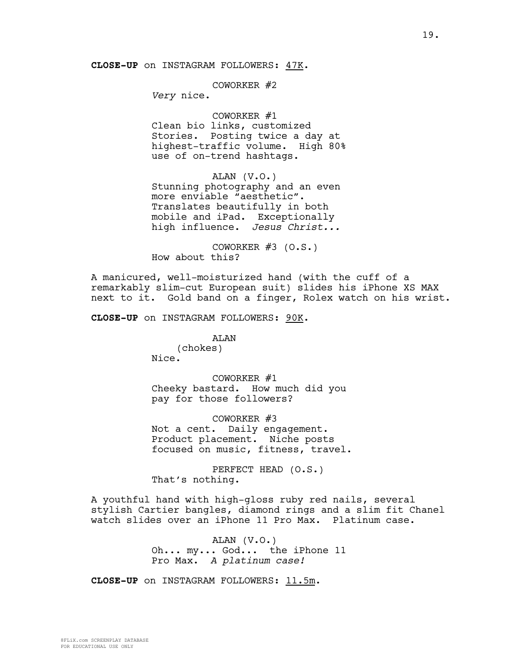**CLOSE-UP** on INSTAGRAM FOLLOWERS: 47K.

# COWORKER #2

*Very* nice.

### COWORKER #1

Clean bio links, customized Stories. Posting twice a day at highest-traffic volume. High 80% use of on-trend hashtags.

ALAN (V.O.) Stunning photography and an even more enviable "aesthetic". Translates beautifully in both mobile and iPad. Exceptionally high influence. *Jesus Christ...*

COWORKER  $#3$  (O.S.) How about this?

A manicured, well-moisturized hand (with the cuff of a remarkably slim-cut European suit) slides his iPhone XS MAX next to it. Gold band on a finger, Rolex watch on his wrist.

**CLOSE-UP** on INSTAGRAM FOLLOWERS: 90K.

### ALAN

(chokes) Nice.

COWORKER #1 Cheeky bastard. How much did you pay for those followers?

COWORKER #3 Not a cent. Daily engagement. Product placement. Niche posts focused on music, fitness, travel.

PERFECT HEAD (O.S.) That's nothing.

A youthful hand with high-gloss ruby red nails, several stylish Cartier bangles, diamond rings and a slim fit Chanel watch slides over an iPhone 11 Pro Max. Platinum case.

> ALAN (V.O.) Oh... my... God... the iPhone 11 Pro Max. *A platinum case!*

**CLOSE-UP** on INSTAGRAM FOLLOWERS: 11.5m.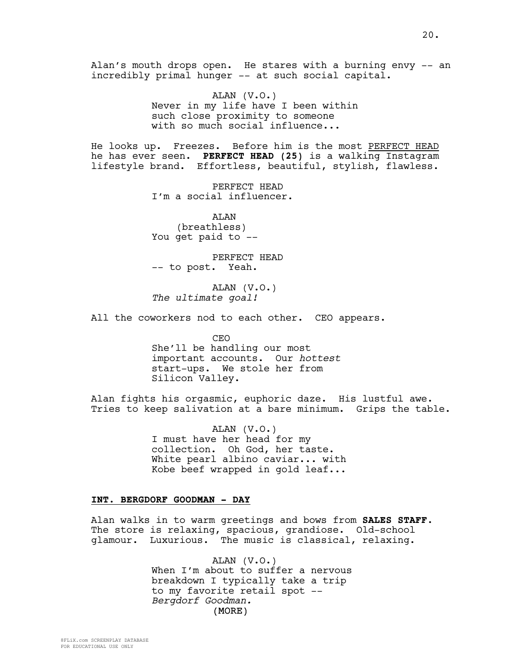Alan's mouth drops open. He stares with a burning envy -- an incredibly primal hunger -- at such social capital.

> ALAN (V.O.) Never in my life have I been within such close proximity to someone with so much social influence...

He looks up. Freezes. Before him is the most PERFECT HEAD he has ever seen. **PERFECT HEAD (25)** is a walking Instagram lifestyle brand. Effortless, beautiful, stylish, flawless.

> PERFECT HEAD I'm a social influencer.

ALAN (breathless) You get paid to --

PERFECT HEAD -- to post. Yeah.

ALAN (V.O.) *The ultimate goal!*

All the coworkers nod to each other. CEO appears.

CEO She'll be handling our most important accounts. Our *hottest* start-ups. We stole her from Silicon Valley.

Alan fights his orgasmic, euphoric daze. His lustful awe. Tries to keep salivation at a bare minimum. Grips the table.

> ALAN (V.O.) I must have her head for my collection. Oh God, her taste. White pearl albino caviar... with Kobe beef wrapped in gold leaf...

### **INT. BERGDORF GOODMAN - DAY**

Alan walks in to warm greetings and bows from **SALES STAFF**. The store is relaxing, spacious, grandiose. Old-school glamour. Luxurious. The music is classical, relaxing.

> (MORE) ALAN (V.O.) When I'm about to suffer a nervous breakdown I typically take a trip to my favorite retail spot -- *Bergdorf Goodman.*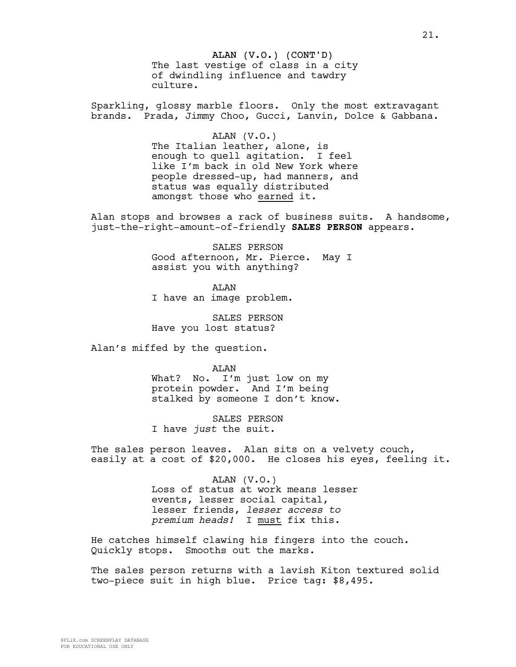ALAN (V.O.) (CONT'D) The last vestige of class in a city of dwindling influence and tawdry culture.

Sparkling, glossy marble floors. Only the most extravagant brands. Prada, Jimmy Choo, Gucci, Lanvin, Dolce & Gabbana.

ALAN (V.O.)

The Italian leather, alone, is enough to quell agitation. I feel like I'm back in old New York where people dressed-up, had manners, and status was equally distributed amongst those who earned it.

Alan stops and browses a rack of business suits. A handsome, just-the-right-amount-of-friendly **SALES PERSON** appears.

> SALES PERSON Good afternoon, Mr. Pierce. May I assist you with anything?

**AT<sub>AN</sub>** I have an image problem.

SALES PERSON Have you lost status?

Alan's miffed by the question.

ALAN What? No. I'm just low on my protein powder. And I'm being stalked by someone I don't know.

SALES PERSON I have *just* the suit.

The sales person leaves. Alan sits on a velvety couch, easily at a cost of \$20,000. He closes his eyes, feeling it.

> ALAN (V.O.) Loss of status at work means lesser events, lesser social capital, lesser friends, *lesser access to premium heads!* I must fix this.

He catches himself clawing his fingers into the couch. Quickly stops. Smooths out the marks.

The sales person returns with a lavish Kiton textured solid two-piece suit in high blue. Price tag: \$8,495.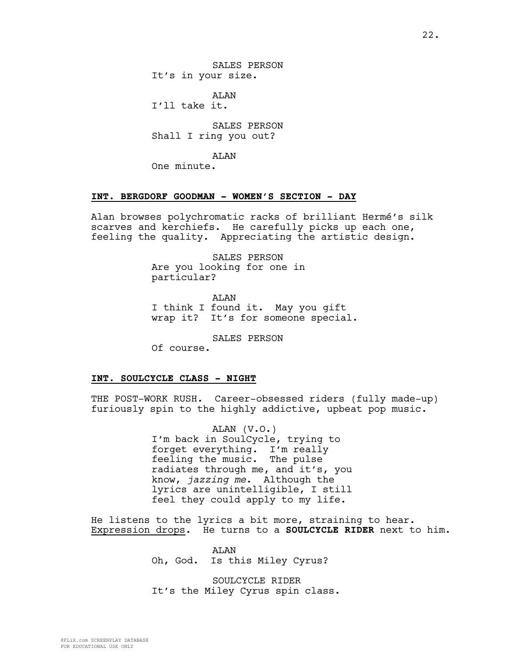SALES PERSON It's in your size.

AT.AN I'll take it.

SALES PERSON Shall I ring you out?

ALAN

One minute.

### **INT. BERGDORF GOODMAN - WOMEN'S SECTION - DAY**

Alan browses polychromatic racks of brilliant Hermé's silk scarves and kerchiefs. He carefully picks up each one, feeling the quality. Appreciating the artistic design.

> SALES PERSON Are you looking for one in particular?

ALAN I think I found it. May you gift wrap it? It's for someone special.

SALES PERSON

Of course.

## **INT. SOULCYCLE CLASS - NIGHT**

THE POST-WORK RUSH. Career-obsessed riders (fully made-up) furiously spin to the highly addictive, upbeat pop music.

> ALAN (V.O.) I'm back in SoulCycle, trying to forget everything*.* I'm really feeling the music. The pulse radiates through me, and it's, you know, *jazzing me*. Although the lyrics are unintelligible, I still feel they could apply to my life.

He listens to the lyrics a bit more, straining to hear. Expression drops. He turns to a **SOULCYCLE RIDER** next to him.

> ALAN Oh, God. Is this Miley Cyrus?

SOULCYCLE RIDER It's the Miley Cyrus spin class.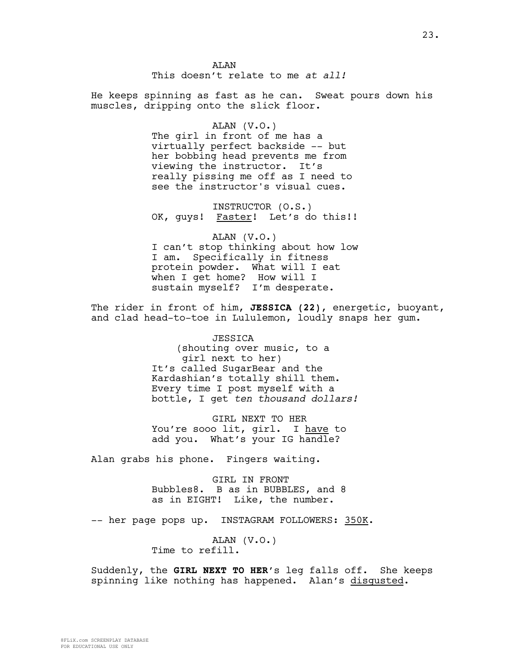**AT<sub>AN</sub>** This doesn't relate to me *at all!*

He keeps spinning as fast as he can. Sweat pours down his muscles, dripping onto the slick floor.

#### ALAN (V.O.)

The girl in front of me has a virtually perfect backside -- but her bobbing head prevents me from viewing the instructor. It's really pissing me off as I need to see the instructor's visual cues.

INSTRUCTOR (O.S.) OK, guys! Faster! Let's do this!!

ALAN (V.O.) I can't stop thinking about how low I am. Specifically in fitness protein powder. What will I eat when I get home? How will I sustain myself? I'm desperate.

The rider in front of him, **JESSICA (22)**, energetic, buoyant, and clad head-to-toe in Lululemon, loudly snaps her gum.

> JESSICA (shouting over music, to a girl next to her) It's called SugarBear and the Kardashian's totally shill them. Every time I post myself with a bottle, I get *ten thousand dollars!*

GIRL NEXT TO HER You're sooo lit, girl. I have to add you. What's your IG handle?

Alan grabs his phone. Fingers waiting.

GIRL IN FRONT Bubbles8. B as in BUBBLES, and 8 as in EIGHT! Like, the number.

-- her page pops up. INSTAGRAM FOLLOWERS: 350K.

ALAN (V.O.) Time to refill.

Suddenly, the **GIRL NEXT TO HER**'s leg falls off. She keeps spinning like nothing has happened. Alan's disgusted.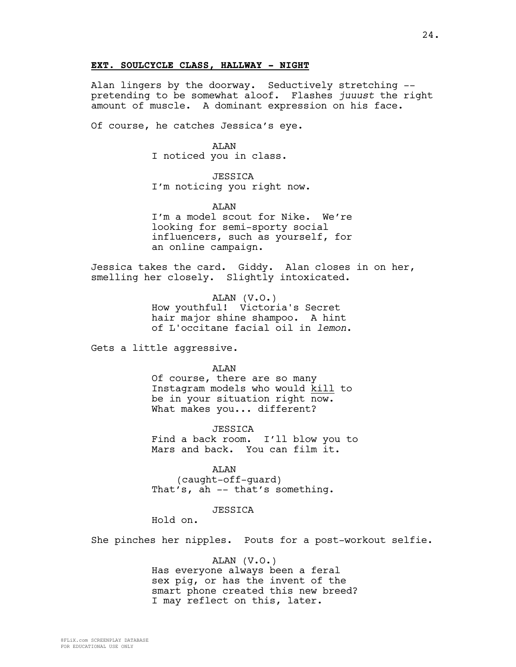### **EXT. SOULCYCLE CLASS, HALLWAY - NIGHT**

Alan lingers by the doorway. Seductively stretching - pretending to be somewhat aloof. Flashes *juuust* the right amount of muscle. A dominant expression on his face.

Of course, he catches Jessica's eye.

#### ALAN

I noticed you in class.

# JESSICA

I'm noticing you right now.

**AT<sub>AN</sub>** 

I'm a model scout for Nike. We're looking for semi-sporty social influencers, such as yourself, for an online campaign.

Jessica takes the card. Giddy. Alan closes in on her, smelling her closely. Slightly intoxicated.

> ALAN (V.O.) How youthful! Victoria's Secret hair major shine shampoo. A hint of L'occitane facial oil in *lemon*.

Gets a little aggressive.

#### ALAN

Of course, there are so many Instagram models who would kill to be in your situation right now. What makes you... different?

JESSICA Find a back room. I'll blow you to Mars and back. You can film it.

ALAN (caught-off-guard) That's, ah -- that's something.

# *JESSICA*

Hold on.

She pinches her nipples. Pouts for a post-workout selfie.

### ALAN (V.O.)

Has everyone always been a feral sex pig, or has the invent of the smart phone created this new breed? I may reflect on this, later.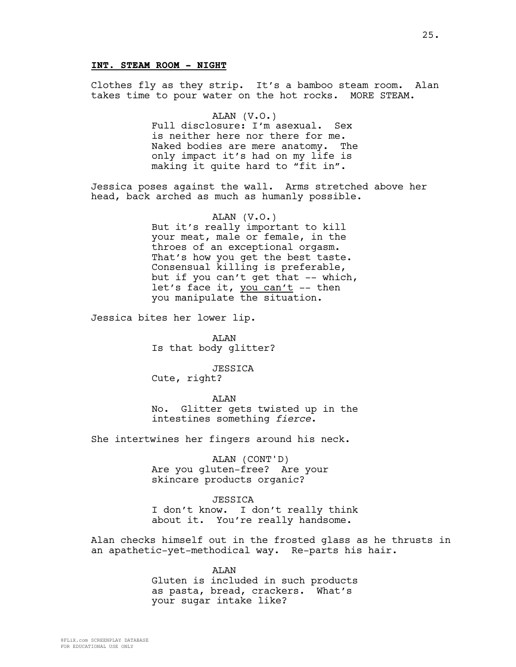### **INT. STEAM ROOM - NIGHT**

Clothes fly as they strip. It's a bamboo steam room. Alan takes time to pour water on the hot rocks. MORE STEAM.

> ALAN (V.O.) Full disclosure: I'm asexual. Sex is neither here nor there for me. Naked bodies are mere anatomy. The only impact it's had on my life is making it quite hard to "fit in".

Jessica poses against the wall. Arms stretched above her head, back arched as much as humanly possible.

> ALAN (V.O.) But it's really important to kill your meat, male or female, in the throes of an exceptional orgasm. That's how you get the best taste. Consensual killing is preferable, but if you can't get that  $--$  which, let's face it, you can't -- then you manipulate the situation.

Jessica bites her lower lip.

ALAN Is that body glitter?

JESSICA Cute, right?

ALAN

No. Glitter gets twisted up in the intestines something *fierce*.

She intertwines her fingers around his neck.

ALAN (CONT'D) Are you gluten-free? Are your skincare products organic?

*JESSICA* I don't know. I don't really think

about it. You're really handsome.

Alan checks himself out in the frosted glass as he thrusts in an apathetic-yet-methodical way. Re-parts his hair.

> ALAN Gluten is included in such products as pasta, bread, crackers. What's your sugar intake like?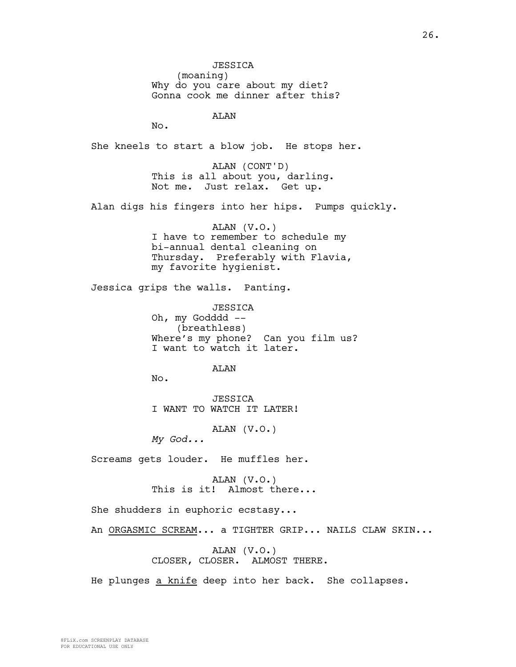JESSICA (moaning) Why do you care about my diet? Gonna cook me dinner after this?

ALAN

No.

She kneels to start a blow job. He stops her.

ALAN (CONT'D) This is all about you, darling. Not me. Just relax. Get up.

Alan digs his fingers into her hips. Pumps quickly.

ALAN (V.O.) I have to remember to schedule my bi-annual dental cleaning on Thursday. Preferably with Flavia, my favorite hygienist.

Jessica grips the walls. Panting.

JESSICA Oh, my Godddd -- (breathless) Where's my phone? Can you film us? I want to watch it later.

ALAN

No.

JESSICA I WANT TO WATCH IT LATER!

ALAN (V.O.)

*My God...*

Screams gets louder. He muffles her.

ALAN (V.O.) This is it! Almost there...

She shudders in euphoric ecstasy...

An ORGASMIC SCREAM... a TIGHTER GRIP... NAILS CLAW SKIN...

ALAN (V.O.) CLOSER, CLOSER. ALMOST THERE.

He plunges a knife deep into her back. She collapses.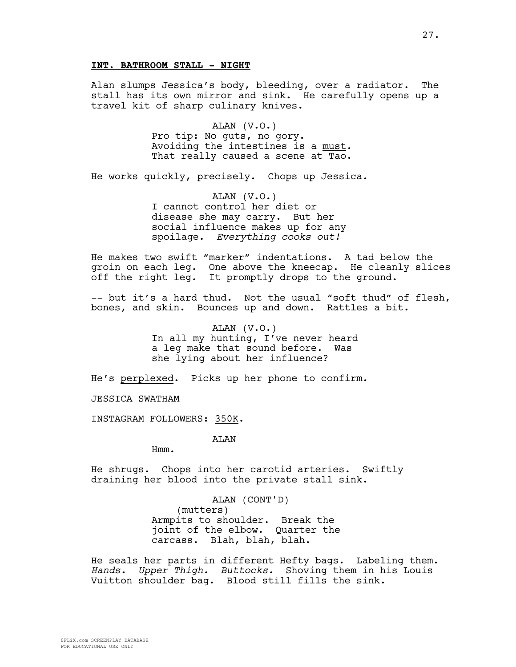### **INT. BATHROOM STALL - NIGHT**

Alan slumps Jessica's body, bleeding, over a radiator. The stall has its own mirror and sink. He carefully opens up a travel kit of sharp culinary knives.

> ALAN (V.O.) Pro tip: No guts, no gory. Avoiding the intestines is a must. That really caused a scene at Tao.

He works quickly, precisely. Chops up Jessica.

ALAN (V.O.) I cannot control her diet or disease she may carry. But her social influence makes up for any spoilage. *Everything cooks out!*

He makes two swift "marker" indentations. A tad below the groin on each leg. One above the kneecap. He cleanly slices off the right leg. It promptly drops to the ground.

-- but it's a hard thud. Not the usual "soft thud" of flesh, bones, and skin. Bounces up and down. Rattles a bit.

> ALAN (V.O.) In all my hunting, I've never heard a leg make that sound before. Was she lying about her influence?

He's perplexed. Picks up her phone to confirm.

JESSICA SWATHAM

INSTAGRAM FOLLOWERS: 350K.

ALAN

Hmm.

He shrugs. Chops into her carotid arteries. Swiftly draining her blood into the private stall sink.

> ALAN (CONT'D) (mutters) Armpits to shoulder. Break the joint of the elbow. Quarter the carcass. Blah, blah, blah.

He seals her parts in different Hefty bags. Labeling them. *Hands. Upper Thigh. Buttocks.* Shoving them in his Louis Vuitton shoulder bag. Blood still fills the sink.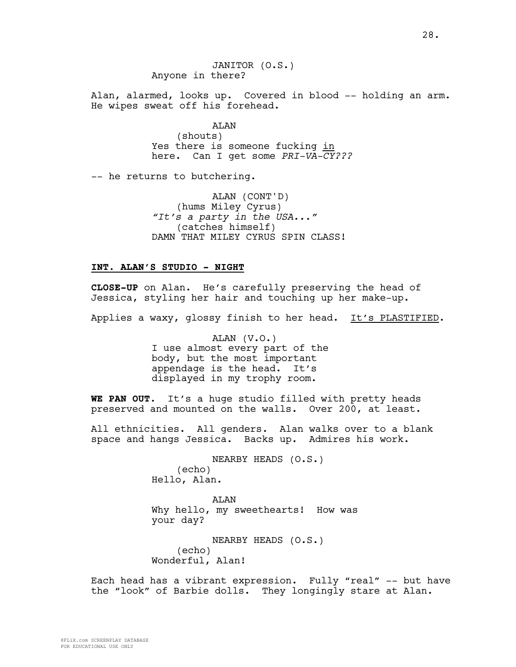JANITOR (O.S.) Anyone in there?

Alan, alarmed, looks up. Covered in blood -- holding an arm. He wipes sweat off his forehead.

> ALAN (shouts) Yes there is someone fucking in here. Can I get some *PRI-VA-CY???*

-- he returns to butchering.

ALAN (CONT'D) (hums Miley Cyrus) *"It's a party in the USA..."*  (catches himself) DAMN THAT MILEY CYRUS SPIN CLASS!

### **INT. ALAN'S STUDIO - NIGHT**

**CLOSE-UP** on Alan. He's carefully preserving the head of Jessica, styling her hair and touching up her make-up.

Applies a waxy, glossy finish to her head. It's PLASTIFIED.

ALAN (V.O.) I use almost every part of the body, but the most important appendage is the head. It's displayed in my trophy room.

**WE PAN OUT.** It's a huge studio filled with pretty heads preserved and mounted on the walls. Over 200, at least.

All ethnicities. All genders. Alan walks over to a blank space and hangs Jessica. Backs up. Admires his work.

> NEARBY HEADS (O.S.) (echo) Hello, Alan.

ALAN Why hello, my sweethearts! How was your day?

NEARBY HEADS (O.S.) (echo) Wonderful, Alan!

Each head has a vibrant expression. Fully "real" -- but have the "look" of Barbie dolls. They longingly stare at Alan.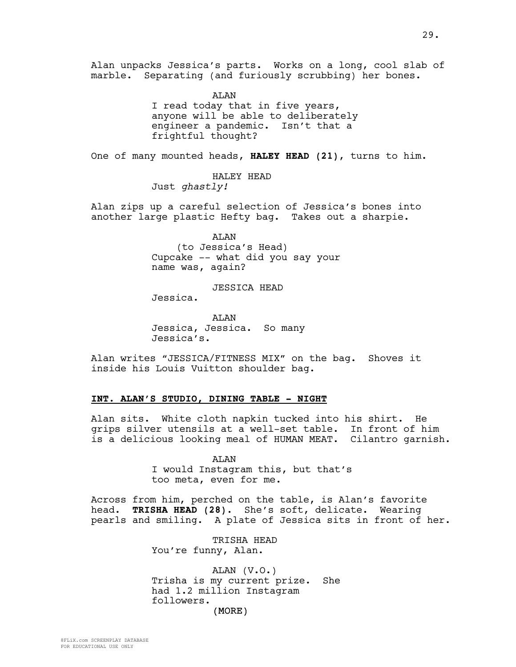Alan unpacks Jessica's parts. Works on a long, cool slab of marble. Separating (and furiously scrubbing) her bones.

> AT.AN I read today that in five years, anyone will be able to deliberately engineer a pandemic. Isn't that a frightful thought?

One of many mounted heads, **HALEY HEAD (21)**, turns to him.

HALEY HEAD Just *ghastly!*

Alan zips up a careful selection of Jessica's bones into another large plastic Hefty bag. Takes out a sharpie.

> ALAN (to Jessica's Head) Cupcake -- what did you say your name was, again?

> > JESSICA HEAD

Jessica.

AT AN Jessica, Jessica. So many Jessica's.

Alan writes "JESSICA/FITNESS MIX" on the bag. Shoves it inside his Louis Vuitton shoulder bag.

### **INT. ALAN'S STUDIO, DINING TABLE - NIGHT**

Alan sits. White cloth napkin tucked into his shirt. He grips silver utensils at a well-set table. In front of him is a delicious looking meal of HUMAN MEAT. Cilantro garnish.

> ALAN I would Instagram this, but that's too meta, even for me.

Across from him, perched on the table, is Alan's favorite head. **TRISHA HEAD (28)**. She's soft, delicate. Wearing pearls and smiling. A plate of Jessica sits in front of her.

> TRISHA HEAD You're funny, Alan.

(MORE) ALAN (V.O.) Trisha is my current prize. She had 1.2 million Instagram followers.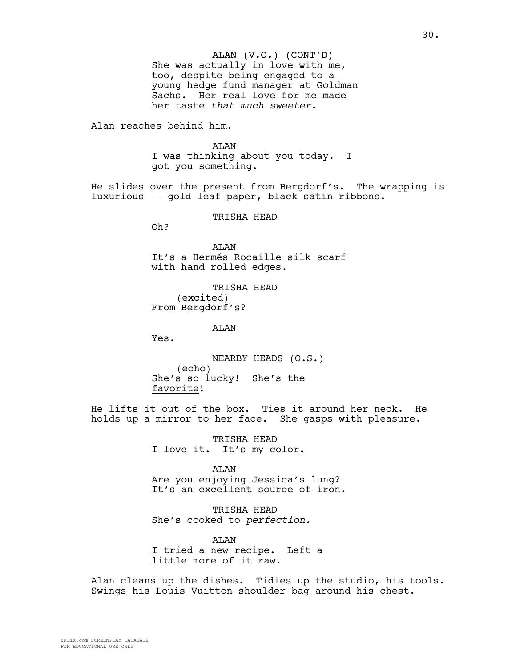#### ALAN (V.O.) (CONT'D)

She was actually in love with me, too, despite being engaged to a young hedge fund manager at Goldman Sachs. Her real love for me made her taste *that much sweeter.*

Alan reaches behind him.

**AT<sub>AN</sub>** I was thinking about you today. I got you something.

He slides over the present from Bergdorf's. The wrapping is luxurious -- gold leaf paper, black satin ribbons.

TRISHA HEAD

Oh?

ALAN It's a Hermés Rocaille silk scarf with hand rolled edges.

TRISHA HEAD (excited) From Bergdorf's?

ALAN

Yes.

NEARBY HEADS (O.S.) (echo) She's so lucky! She's the favorite!

He lifts it out of the box. Ties it around her neck. He holds up a mirror to her face. She gasps with pleasure.

> TRISHA HEAD I love it. It's my color.

ALAN Are you enjoying Jessica's lung? It's an excellent source of iron.

TRISHA HEAD She's cooked to *perfection.*

AT.AN I tried a new recipe. Left a little more of it raw.

Alan cleans up the dishes. Tidies up the studio, his tools. Swings his Louis Vuitton shoulder bag around his chest.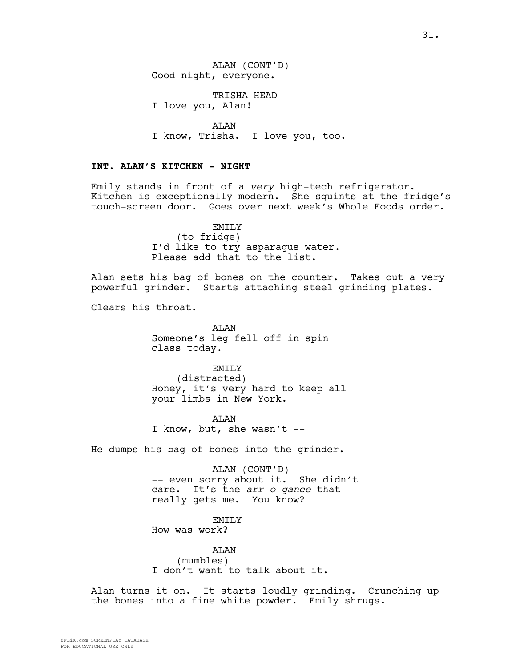TRISHA HEAD I love you, Alan!

ALAN I know, Trisha. I love you, too.

### **INT. ALAN'S KITCHEN - NIGHT**

Emily stands in front of a *very* high-tech refrigerator. Kitchen is exceptionally modern. She squints at the fridge's touch-screen door. Goes over next week's Whole Foods order.

> EMILY (to fridge) I'd like to try asparagus water. Please add that to the list.

Alan sets his bag of bones on the counter. Takes out a very powerful grinder. Starts attaching steel grinding plates.

Clears his throat.

**AT<sub>AN</sub>** Someone's leg fell off in spin class today.

EMILY (distracted) Honey, it's very hard to keep all your limbs in New York.

ALAN I know, but, she wasn't --

He dumps his bag of bones into the grinder.

ALAN (CONT'D) -- even sorry about it. She didn't care. It's the *arr-o-gance* that really gets me. You know?

### EMILY

How was work?

ALAN (mumbles) I don't want to talk about it.

Alan turns it on. It starts loudly grinding. Crunching up the bones into a fine white powder. Emily shrugs.

FOR EDUCATIONAL USE ONLY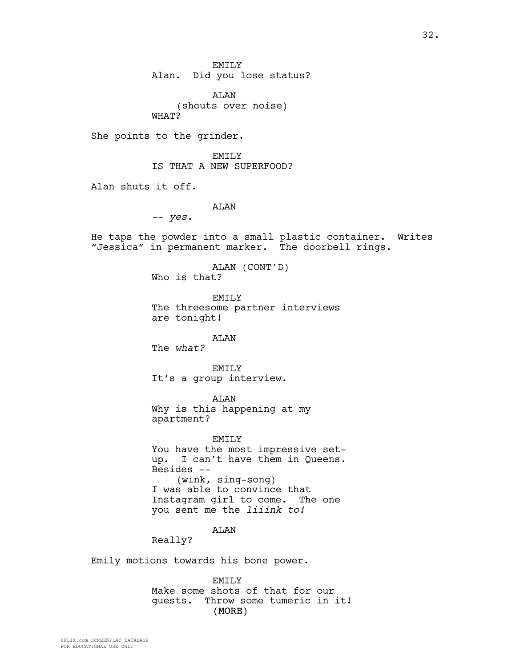32.

EMILY Alan. Did you lose status?

ALAN (shouts over noise) WHAT?

She points to the grinder.

EMILY IS THAT A NEW SUPERFOOD?

Alan shuts it off.

ALAN

*-- yes.*

He taps the powder into a small plastic container. Writes "Jessica" in permanent marker. The doorbell rings.

> ALAN (CONT'D) Who is that?

EMILY The threesome partner interviews are tonight!

ALAN

The *what?*

EMILY It's a group interview.

ALAN

Why is this happening at my apartment?

EMILY You have the most impressive setup. I can't have them in Queens. Besides -- (wink, sing-song) I was able to convince that Instagram girl to come. The one you sent me the *liiink to!*

ALAN

Really?

Emily motions towards his bone power.

(MORE) EMILY Make some shots of that for our guests. Throw some tumeric in it!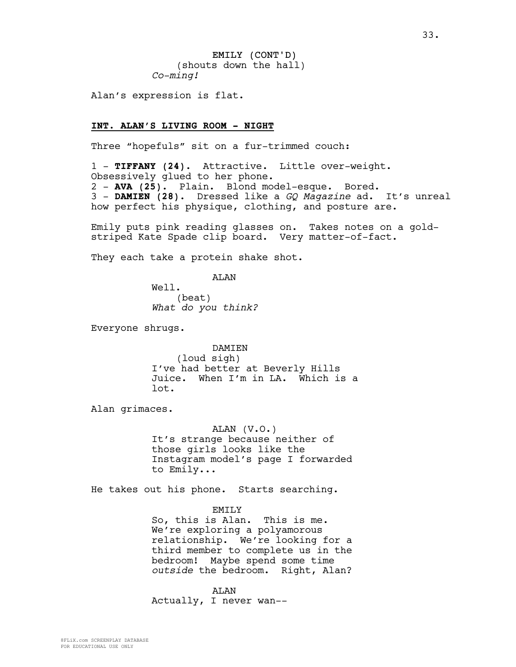EMILY (CONT'D) (shouts down the hall) *Co-ming!*

Alan's expression is flat.

### **INT. ALAN'S LIVING ROOM - NIGHT**

Three "hopefuls" sit on a fur-trimmed couch:

1 - **TIFFANY (24)**. Attractive. Little over-weight. Obsessively glued to her phone. 2 - **AVA (25)**. Plain. Blond model-esque. Bored. 3 - **DAMIEN (28)**. Dressed like a *GQ Magazine* ad. It's unreal how perfect his physique, clothing, and posture are.

Emily puts pink reading glasses on. Takes notes on a goldstriped Kate Spade clip board. Very matter-of-fact.

They each take a protein shake shot.

ALAN

Well. (beat) *What do you think?*

Everyone shrugs.

DAMIEN (loud sigh) I've had better at Beverly Hills Juice. When I'm in LA. Which is a lot.

Alan grimaces.

ALAN (V.O.) It's strange because neither of those girls looks like the Instagram model's page I forwarded to Emily...

He takes out his phone. Starts searching.

#### EMILY

So, this is Alan. This is me. We're exploring a polyamorous relationship. We're looking for a third member to complete us in the bedroom! Maybe spend some time *outside* the bedroom. Right, Alan?

ALAN Actually, I never wan--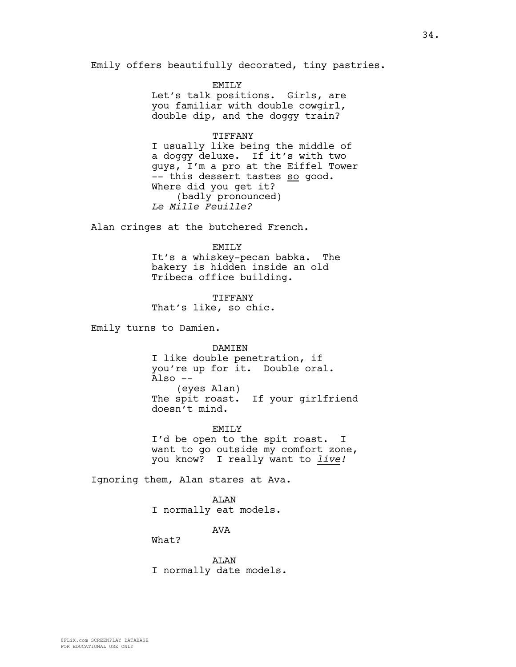Emily offers beautifully decorated, tiny pastries.

EMILY Let's talk positions. Girls, are you familiar with double cowgirl, double dip, and the doggy train?

#### TIFFANY

I usually like being the middle of a doggy deluxe. If it's with two guys, I'm a pro at the Eiffel Tower -- this dessert tastes so good. Where did you get it? (badly pronounced) *Le Mille Feuille?*

Alan cringes at the butchered French.

#### EMILY

It's a whiskey-pecan babka. The bakery is hidden inside an old Tribeca office building.

TIFFANY That's like, so chic.

Emily turns to Damien.

DAMIEN I like double penetration, if you're up for it. Double oral. Also -- (eyes Alan) The spit roast. If your girlfriend doesn't mind.

EMILY I'd be open to the spit roast. I want to go outside my comfort zone, you know? I really want to *live!*

Ignoring them, Alan stares at Ava.

ALAN I normally eat models.

AVA

What?

ALAN I normally date models.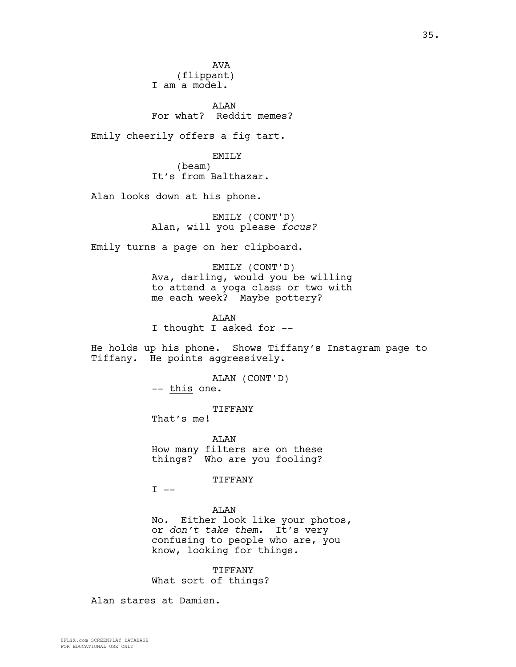AVA (flippant) I am a model.

ALAN For what? Reddit memes?

Emily cheerily offers a fig tart.

EMILY

(beam) It's from Balthazar.

Alan looks down at his phone.

EMILY (CONT'D) Alan, will you please *focus?*

Emily turns a page on her clipboard.

EMILY (CONT'D) Ava, darling, would you be willing to attend a yoga class or two with me each week? Maybe pottery?

ALAN I thought I asked for --

He holds up his phone. Shows Tiffany's Instagram page to Tiffany. He points aggressively.

> ALAN (CONT'D) -- this one.

> > TIFFANY

That's me!

ALAN How many filters are on these things? Who are you fooling?

TIFFANY

 $I$   $-$ 

ALAN

No. Either look like your photos, or *don't take them.* It's very confusing to people who are, you know, looking for things.

TIFFANY What sort of things?

Alan stares at Damien.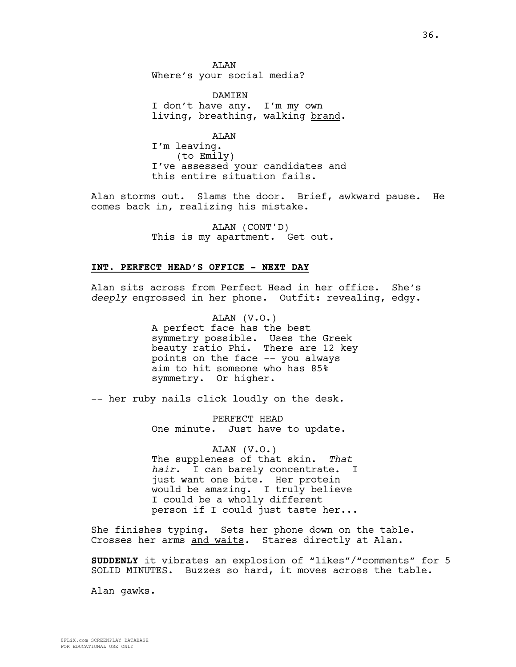**AT<sub>AN</sub>** Where's your social media?

**DAMTEN** I don't have any. I'm my own living, breathing, walking brand.

ALAN I'm leaving. (to Emily) I've assessed your candidates and this entire situation fails.

Alan storms out. Slams the door. Brief, awkward pause. He comes back in, realizing his mistake.

> ALAN (CONT'D) This is my apartment. Get out.

#### **INT. PERFECT HEAD'S OFFICE - NEXT DAY**

Alan sits across from Perfect Head in her office. She's *deeply* engrossed in her phone. Outfit: revealing, edgy.

> ALAN (V.O.) A perfect face has the best symmetry possible. Uses the Greek beauty ratio Phi. There are 12 key points on the face -- you always aim to hit someone who has 85% symmetry. Or higher.

-- her ruby nails click loudly on the desk.

PERFECT HEAD One minute. Just have to update.

ALAN (V.O.) The suppleness of that skin. *That hair*. I can barely concentrate. I just want one bite. Her protein would be amazing. I truly believe I could be a wholly different person if I could just taste her...

She finishes typing. Sets her phone down on the table. Crosses her arms and waits. Stares directly at Alan.

**SUDDENLY** it vibrates an explosion of "likes"/"comments" for 5 SOLID MINUTES. Buzzes so hard, it moves across the table.

Alan gawks.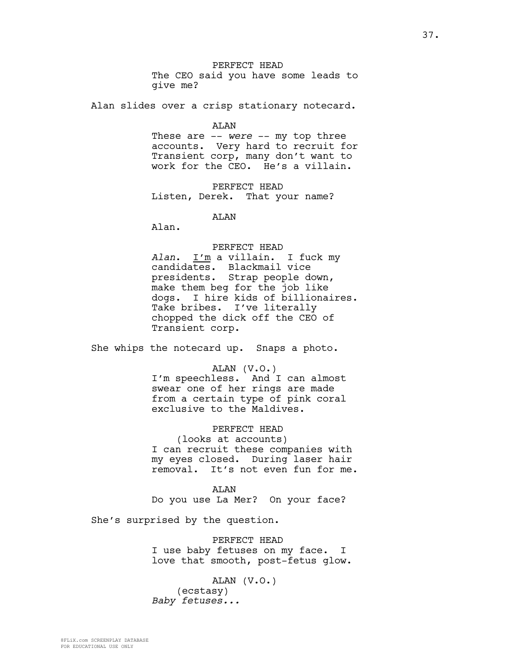PERFECT HEAD The CEO said you have some leads to

give me?

Alan slides over a crisp stationary notecard.

ALAN

These are -- *were* -- my top three accounts. Very hard to recruit for Transient corp, many don't want to work for the CEO. He's a villain.

PERFECT HEAD Listen, Derek. That your name?

ALAN

Alan.

#### PERFECT HEAD

*Alan*. I'm a villain. I fuck my candidates. Blackmail vice presidents. Strap people down, make them beg for the job like dogs. I hire kids of billionaires. Take bribes. I've literally chopped the dick off the CEO of Transient corp.

She whips the notecard up. Snaps a photo.

ALAN (V.O.)

I'm speechless. And I can almost swear one of her rings are made from a certain type of pink coral exclusive to the Maldives.

PERFECT HEAD

(looks at accounts) I can recruit these companies with my eyes closed. During laser hair removal. It's not even fun for me.

ALAN Do you use La Mer? On your face?

She's surprised by the question.

PERFECT HEAD I use baby fetuses on my face. I love that smooth, post-fetus glow.

ALAN (V.O.) (ecstasy) *Baby fetuses...*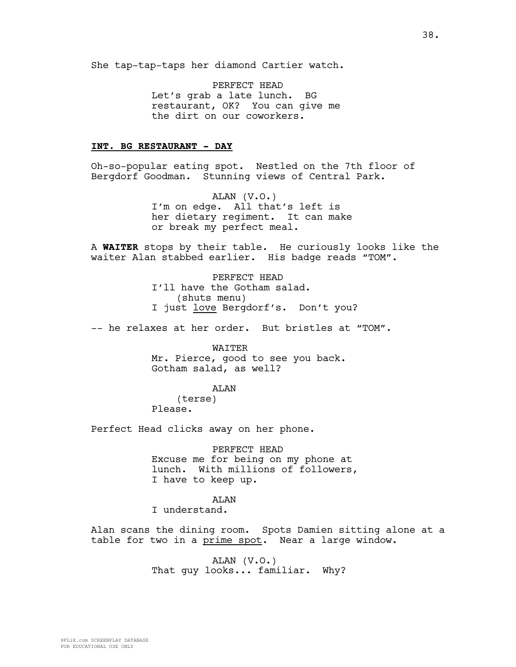She tap-tap-taps her diamond Cartier watch.

PERFECT HEAD Let's grab a late lunch. BG restaurant, OK? You can give me the dirt on our coworkers.

### **INT. BG RESTAURANT - DAY**

Oh-so-popular eating spot. Nestled on the 7th floor of Bergdorf Goodman. Stunning views of Central Park.

> ALAN (V.O.) I'm on edge. All that's left is her dietary regiment. It can make or break my perfect meal.

A **WAITER** stops by their table. He curiously looks like the waiter Alan stabbed earlier. His badge reads "TOM".

> PERFECT HEAD I'll have the Gotham salad. (shuts menu) I just love Bergdorf's. Don't you?

-- he relaxes at her order. But bristles at "TOM".

WAITER Mr. Pierce, good to see you back. Gotham salad, as well?

ALAN (terse) Please.

Perfect Head clicks away on her phone.

PERFECT HEAD Excuse me for being on my phone at lunch. With millions of followers, I have to keep up.

ALAN I understand.

Alan scans the dining room. Spots Damien sitting alone at a table for two in a prime spot. Near a large window.

> ALAN (V.O.) That guy looks... familiar. Why?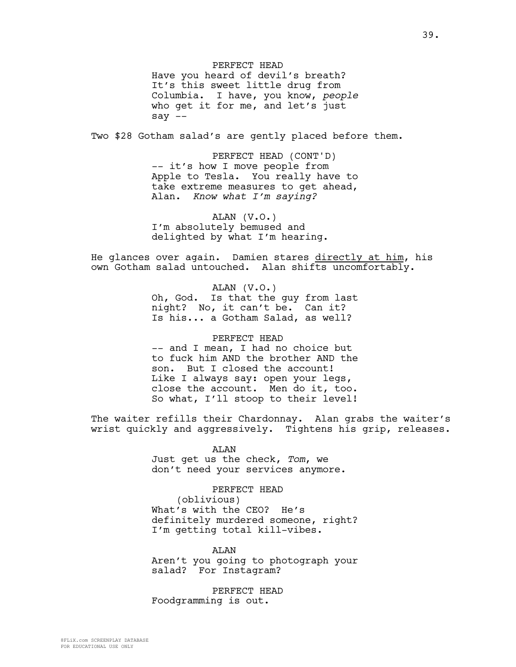PERFECT HEAD Have you heard of devil's breath? It's this sweet little drug from Columbia. I have, you know, *people* who get it for me, and let's just say --

Two \$28 Gotham salad's are gently placed before them.

PERFECT HEAD (CONT'D) -- it's how I move people from Apple to Tesla. You really have to take extreme measures to get ahead, Alan. *Know what I'm saying?*

ALAN (V.O.) I'm absolutely bemused and delighted by what I'm hearing.

He glances over again. Damien stares directly at him, his own Gotham salad untouched. Alan shifts uncomfortably.

> ALAN (V.O.) Oh, God. Is that the guy from last night? No, it can't be. Can it? Is his... a Gotham Salad, as well?

> PERFECT HEAD -- and I mean, I had no choice but to fuck him AND the brother AND the son. But I closed the account! Like I always say: open your legs, close the account. Men do it, too. So what, I'll stoop to their level!

The waiter refills their Chardonnay. Alan grabs the waiter's wrist quickly and aggressively. Tightens his grip, releases.

> ALAN Just get us the check, *Tom*, we don't need your services anymore.

PERFECT HEAD (oblivious) What's with the CEO? He's definitely murdered someone, right? I'm getting total kill-vibes.

ALAN Aren't you going to photograph your salad? For Instagram?

PERFECT HEAD Foodgramming is out.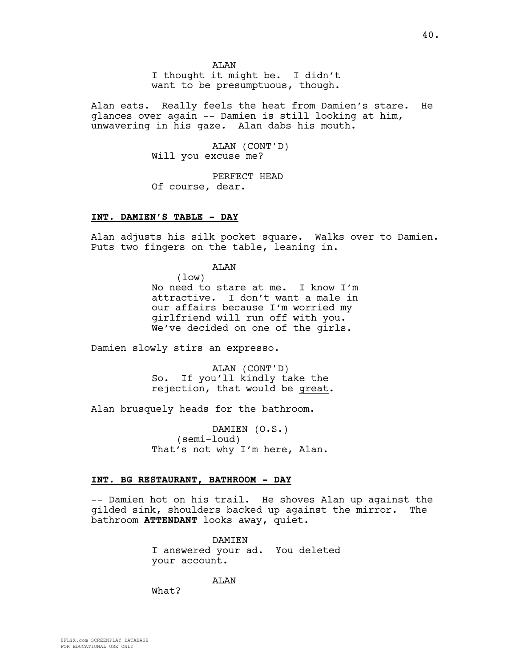AT<sub>AN</sub> I thought it might be. I didn't want to be presumptuous, though.

Alan eats. Really feels the heat from Damien's stare. He glances over again -- Damien is still looking at him, unwavering in his gaze. Alan dabs his mouth.

> ALAN (CONT'D) Will you excuse me?

PERFECT HEAD Of course, dear.

### **INT. DAMIEN'S TABLE - DAY**

Alan adjusts his silk pocket square. Walks over to Damien. Puts two fingers on the table, leaning in.

ALAN

(low) No need to stare at me. I know I'm attractive. I don't want a male in our affairs because I'm worried my girlfriend will run off with you. We've decided on one of the girls.

Damien slowly stirs an expresso.

ALAN (CONT'D) So. If you'll kindly take the rejection, that would be great.

Alan brusquely heads for the bathroom.

DAMIEN (O.S.) (semi-loud) That's not why I'm here, Alan.

### **INT. BG RESTAURANT, BATHROOM - DAY**

-- Damien hot on his trail. He shoves Alan up against the gilded sink, shoulders backed up against the mirror. The bathroom **ATTENDANT** looks away, quiet.

> DAMIEN I answered your ad. You deleted your account.

> > AT<sub>AN</sub>

What?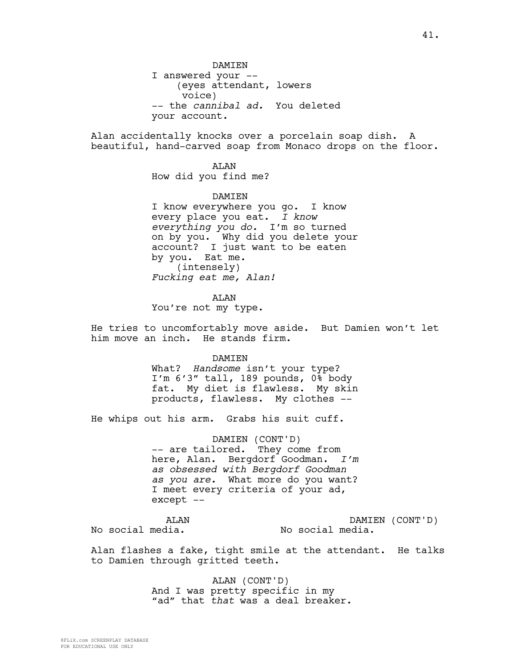DAMIEN I answered your -- (eyes attendant, lowers voice) -- the *cannibal ad.* You deleted your account.

Alan accidentally knocks over a porcelain soap dish. A beautiful, hand-carved soap from Monaco drops on the floor.

> ALAN How did you find me?

DAMIEN I know everywhere you go. I know every place you eat. *I know everything you do.* I'm so turned on by you. Why did you delete your account? I just want to be eaten by you. Eat me. (intensely) *Fucking eat me, Alan!*

ALAN You're not my type.

He tries to uncomfortably move aside. But Damien won't let him move an inch. He stands firm.

#### DAMIEN

What? *Handsome* isn't your type? I'm 6'3" tall, 189 pounds, 0% body fat. My diet is flawless. My skin products, flawless. My clothes --

He whips out his arm. Grabs his suit cuff.

DAMIEN (CONT'D) -- are tailored. They come from here, Alan. Bergdorf Goodman. *I'm as obsessed with Bergdorf Goodman as you are.* What more do you want? I meet every criteria of your ad, except --

ALAN No social media.

DAMIEN (CONT'D) No social media.

Alan flashes a fake, tight smile at the attendant. He talks to Damien through gritted teeth.

> ALAN (CONT'D) And I was pretty specific in my "ad" that *that* was a deal breaker.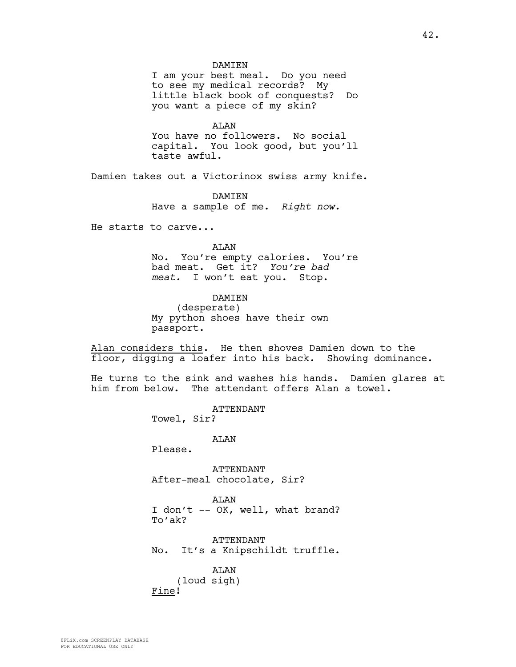I am your best meal. Do you need to see my medical records? My little black book of conquests? Do you want a piece of my skin?

ALAN

You have no followers. No social capital. You look good, but you'll taste awful.

Damien takes out a Victorinox swiss army knife.

**DAMTEN** Have a sample of me. *Right now.*

He starts to carve...

### ALAN

No. You're empty calories. You're bad meat. Get it? *You're bad meat.* I won't eat you. Stop.

#### DAMIEN

(desperate) My python shoes have their own passport.

Alan considers this. He then shoves Damien down to the floor, digging a loafer into his back. Showing dominance.

He turns to the sink and washes his hands. Damien glares at him from below. The attendant offers Alan a towel.

ATTENDANT

Towel, Sir?

ALAN

Please.

ATTENDANT After-meal chocolate, Sir?

ALAN I don't -- OK, well, what brand? To'ak?

ATTENDANT No. It's a Knipschildt truffle.

ALAN (loud sigh) Fine!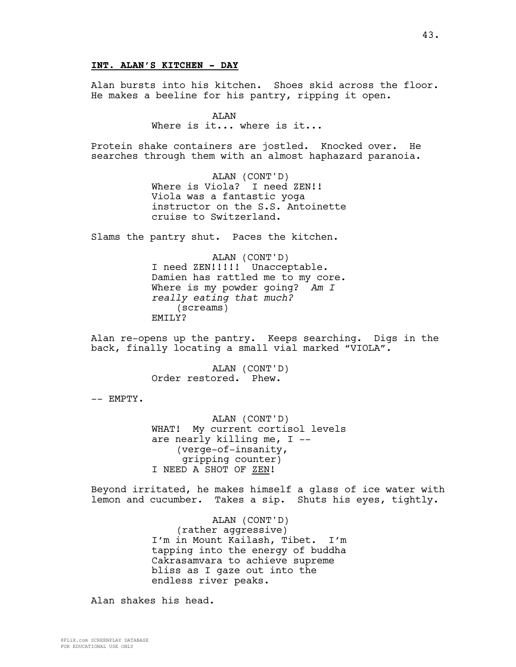Alan bursts into his kitchen. Shoes skid across the floor. He makes a beeline for his pantry, ripping it open.

> ALAN Where is it... where is it...

Protein shake containers are jostled. Knocked over. He searches through them with an almost haphazard paranoia.

> ALAN (CONT'D) Where is Viola? I need ZEN!! Viola was a fantastic yoga instructor on the S.S. Antoinette cruise to Switzerland.

Slams the pantry shut. Paces the kitchen.

ALAN (CONT'D) I need ZEN!!!!! Unacceptable. Damien has rattled me to my core. Where is my powder going? *Am I really eating that much?* (screams) EMILY?

Alan re-opens up the pantry. Keeps searching. Digs in the back, finally locating a small vial marked "VIOLA".

> ALAN (CONT'D) Order restored. Phew.

-- EMPTY.

ALAN (CONT'D) WHAT! My current cortisol levels are nearly killing me, I -- (verge-of-insanity, gripping counter) I NEED A SHOT OF ZEN!

Beyond irritated, he makes himself a glass of ice water with lemon and cucumber. Takes a sip. Shuts his eyes, tightly.

> ALAN (CONT'D) (rather aggressive) I'm in Mount Kailash, Tibet. I'm tapping into the energy of buddha Cakrasamvara to achieve supreme bliss as I gaze out into the endless river peaks.

Alan shakes his head.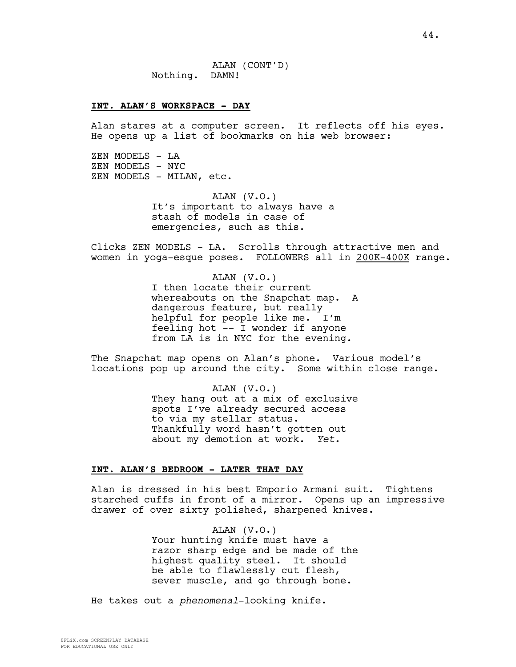#### **INT. ALAN'S WORKSPACE - DAY**

Alan stares at a computer screen. It reflects off his eyes. He opens up a list of bookmarks on his web browser:

ZEN MODELS - LA ZEN MODELS - NYC ZEN MODELS - MILAN, etc.

> ALAN (V.O.) It's important to always have a stash of models in case of emergencies, such as this.

Clicks ZEN MODELS - LA. Scrolls through attractive men and women in yoga-esque poses. FOLLOWERS all in 200K-400K range.

> ALAN (V.O.) I then locate their current whereabouts on the Snapchat map. A dangerous feature, but really helpful for people like me. I'm feeling hot -- I wonder if anyone from LA is in NYC for the evening.

The Snapchat map opens on Alan's phone. Various model's locations pop up around the city. Some within close range.

> ALAN (V.O.) They hang out at a mix of exclusive spots I've already secured access to via my stellar status. Thankfully word hasn't gotten out about my demotion at work. *Yet.*

#### **INT. ALAN'S BEDROOM - LATER THAT DAY**

Alan is dressed in his best Emporio Armani suit. Tightens starched cuffs in front of a mirror. Opens up an impressive drawer of over sixty polished, sharpened knives.

> ALAN (V.O.) Your hunting knife must have a razor sharp edge and be made of the highest quality steel. It should be able to flawlessly cut flesh, sever muscle, and go through bone.

He takes out a *phenomenal*-looking knife.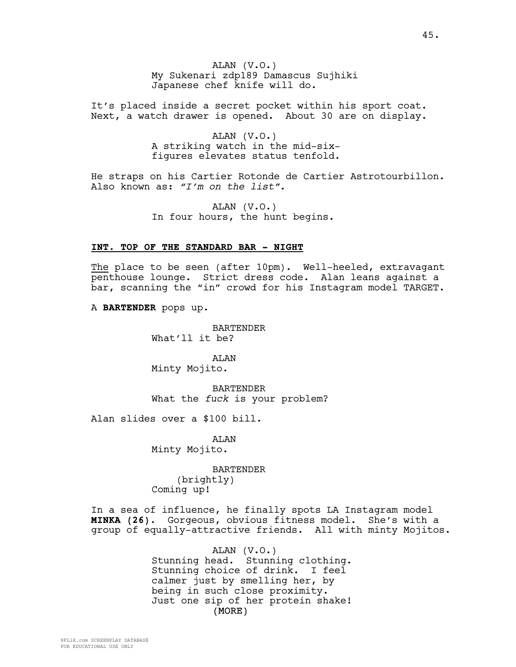ALAN (V.O.) My Sukenari zdp189 Damascus Sujhiki Japanese chef knife will do.

It's placed inside a secret pocket within his sport coat. Next, a watch drawer is opened. About 30 are on display.

> ALAN (V.O.) A striking watch in the mid-sixfigures elevates status tenfold.

He straps on his Cartier Rotonde de Cartier Astrotourbillon. Also known as: *"I'm on the list"*.

> ALAN (V.O.) In four hours, the hunt begins.

#### **INT. TOP OF THE STANDARD BAR - NIGHT**

The place to be seen (after 10pm). Well-heeled, extravagant penthouse lounge. Strict dress code. Alan leans against a bar, scanning the "in" crowd for his Instagram model TARGET.

A **BARTENDER** pops up.

**BARTENDER** What'll it be?

ALAN Minty Mojito.

BARTENDER What the *fuck* is your problem?

Alan slides over a \$100 bill.

ALAN Minty Mojito.

BARTENDER

(brightly) Coming up!

In a sea of influence, he finally spots LA Instagram model **MINKA (26)**. Gorgeous, obvious fitness model. She's with a group of equally-attractive friends. All with minty Mojitos.

> (MORE) ALAN (V.O.) Stunning head. Stunning clothing. Stunning choice of drink. I feel calmer just by smelling her, by being in such close proximity. Just one sip of her protein shake!

FOR EDUCATIONAL USE ONLY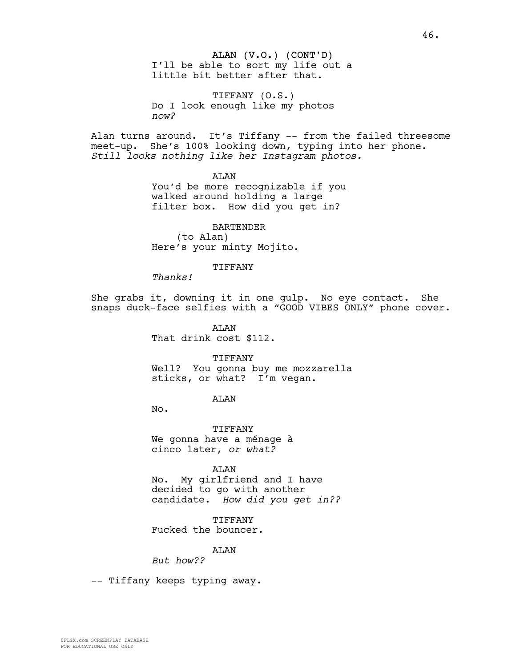### ALAN (V.O.) (CONT'D) I'll be able to sort my life out a little bit better after that.

TIFFANY (O.S.) Do I look enough like my photos *now?*

Alan turns around. It's Tiffany -- from the failed threesome meet-up. She's 100% looking down, typing into her phone. *Still looks nothing like her Instagram photos.*

> ALAN You'd be more recognizable if you walked around holding a large filter box. How did you get in?

BARTENDER (to Alan) Here's your minty Mojito.

#### **TIFFANY**

*Thanks!*

She grabs it, downing it in one gulp. No eye contact. She snaps duck-face selfies with a "GOOD VIBES ONLY" phone cover.

> ALAN That drink cost \$112.

TIFFANY Well? You gonna buy me mozzarella sticks, or what? I'm vegan.

ALAN

No.

TIFFANY We gonna have a ménage à cinco later, *or what?*

ALAN

No. My girlfriend and I have decided to go with another candidate. *How did you get in??*

TIFFANY Fucked the bouncer.

ALAN

*But how??*

-- Tiffany keeps typing away.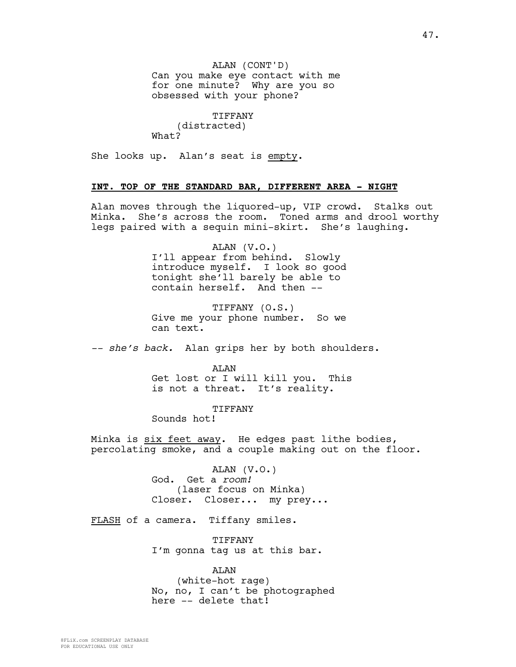ALAN (CONT'D) Can you make eye contact with me for one minute? Why are you so obsessed with your phone?

TIFFANY (distracted) What?

She looks up. Alan's seat is empty.

### **INT. TOP OF THE STANDARD BAR, DIFFERENT AREA - NIGHT**

Alan moves through the liquored-up, VIP crowd. Stalks out Minka. She's across the room. Toned arms and drool worthy legs paired with a sequin mini-skirt. She's laughing.

> ALAN (V.O.) I'll appear from behind. Slowly introduce myself. I look so good tonight she'll barely be able to contain herself. And then --

> TIFFANY (O.S.) Give me your phone number. So we can text.

*-- she's back.* Alan grips her by both shoulders.

ALAN Get lost or I will kill you. This is not a threat. It's reality.

TIFFANY

Sounds hot!

Minka is six feet away. He edges past lithe bodies, percolating smoke, and a couple making out on the floor.

> ALAN (V.O.) God. Get a *room!* (laser focus on Minka) Closer. Closer... my prey...

FLASH of a camera. Tiffany smiles.

TIFFANY I'm gonna tag us at this bar.

ALAN (white-hot rage) No, no, I can't be photographed here -- delete that!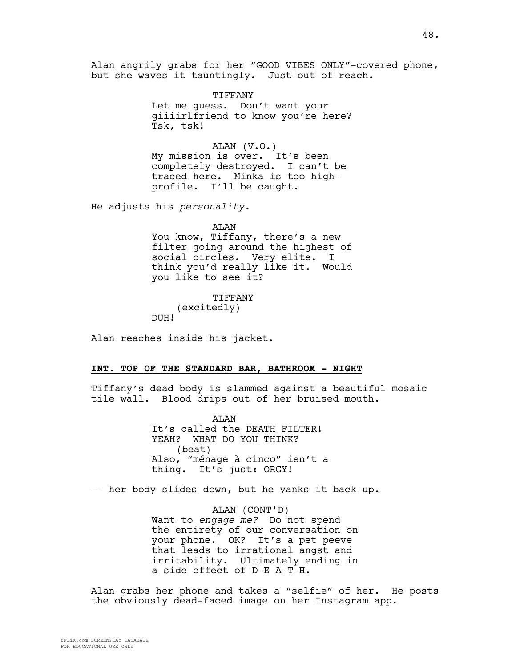Alan angrily grabs for her "GOOD VIBES ONLY"-covered phone, but she waves it tauntingly. Just-out-of-reach.

> TIFFANY Let me guess. Don't want your giiiirlfriend to know you're here? Tsk, tsk!

ALAN (V.O.) My mission is over. It's been completely destroyed. I can't be traced here. Minka is too highprofile. I'll be caught.

He adjusts his *personality.*

ALAN

You know, Tiffany, there's a new filter going around the highest of social circles. Very elite. I think you'd really like it. Would you like to see it?

TIFFANY (excitedly) DUH!

Alan reaches inside his jacket.

#### **INT. TOP OF THE STANDARD BAR, BATHROOM - NIGHT**

Tiffany's dead body is slammed against a beautiful mosaic tile wall. Blood drips out of her bruised mouth.

> **AT<sub>AN</sub>** It's called the DEATH FILTER! YEAH? WHAT DO YOU THINK? (beat) Also, "ménage à cinco" isn't a thing. It's just: ORGY!

-- her body slides down, but he yanks it back up.

ALAN (CONT'D) Want to *engage me?* Do not spend the entirety of our conversation on your phone. OK? It's a pet peeve that leads to irrational angst and irritability. Ultimately ending in a side effect of D-E-A-T-H.

Alan grabs her phone and takes a "selfie" of her. He posts the obviously dead-faced image on her Instagram app.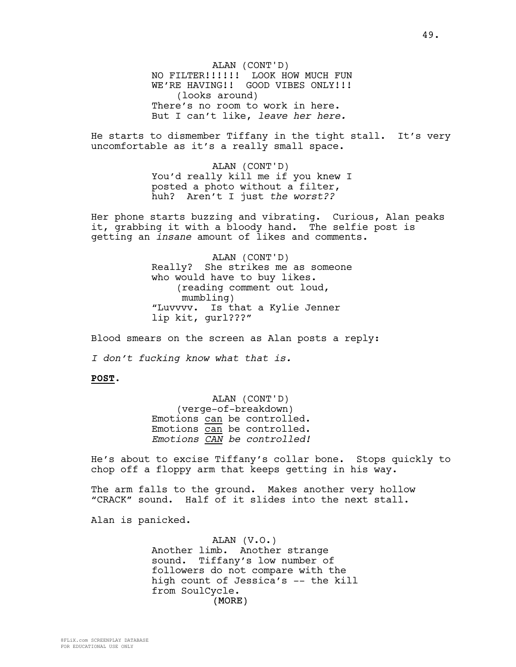ALAN (CONT'D) NO FILTER!!!!!! LOOK HOW MUCH FUN WE'RE HAVING!! GOOD VIBES ONLY!!! (looks around) There's no room to work in here. But I can't like, *leave her here.*

He starts to dismember Tiffany in the tight stall. It's very uncomfortable as it's a really small space.

> ALAN (CONT'D) You'd really kill me if you knew I posted a photo without a filter, huh? Aren't I just *the worst??*

Her phone starts buzzing and vibrating. Curious, Alan peaks it, grabbing it with a bloody hand. The selfie post is getting an *insane* amount of likes and comments.

> ALAN (CONT'D) Really? She strikes me as someone who would have to buy likes. (reading comment out loud, mumbling) "Luvvvv. Is that a Kylie Jenner lip kit, gurl???"

Blood smears on the screen as Alan posts a reply:

*I don't fucking know what that is.* 

#### **POST**.

ALAN (CONT'D) (verge-of-breakdown) Emotions can be controlled. Emotions can be controlled. *Emotions CAN be controlled!*

He's about to excise Tiffany's collar bone. Stops quickly to chop off a floppy arm that keeps getting in his way.

The arm falls to the ground. Makes another very hollow "CRACK" sound. Half of it slides into the next stall.

Alan is panicked.

(MORE) ALAN (V.O.) Another limb. Another strange sound. Tiffany's low number of followers do not compare with the high count of Jessica's -- the kill from SoulCycle.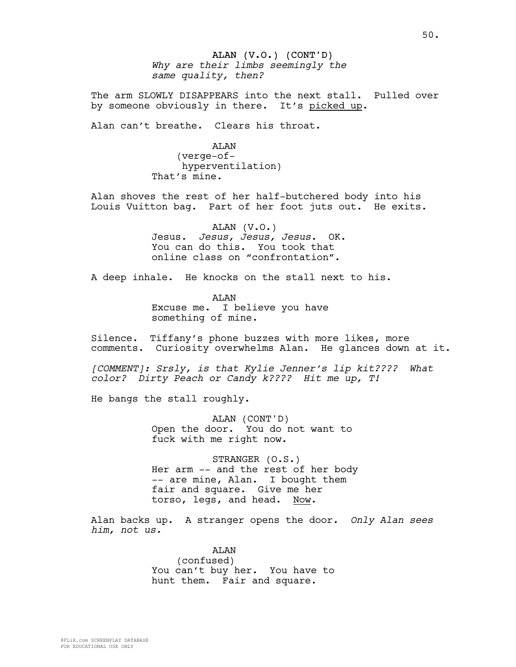## ALAN (V.O.) (CONT'D) *Why are their limbs seemingly the same quality, then?*

The arm SLOWLY DISAPPEARS into the next stall. Pulled over by someone obviously in there. It's picked up.

Alan can't breathe. Clears his throat.

ALAN (verge-ofhyperventilation) That's mine.

Alan shoves the rest of her half-butchered body into his Louis Vuitton bag. Part of her foot juts out. He exits.

> ALAN (V.O.) Jesus. *Jesus, Jesus, Jesus.* OK. You can do this. You took that online class on "confrontation".

A deep inhale. He knocks on the stall next to his.

ALAN Excuse me. I believe you have something of mine.

Silence. Tiffany's phone buzzes with more likes, more comments. Curiosity overwhelms Alan. He glances down at it.

*[COMMENT]: Srsly, is that Kylie Jenner's lip kit???? What color? Dirty Peach or Candy k???? Hit me up, T!*

He bangs the stall roughly.

ALAN (CONT'D) Open the door. You do not want to fuck with me right now.

STRANGER (O.S.) Her arm -- and the rest of her body -- are mine, Alan. I bought them fair and square. Give me her torso, legs, and head. Now.

Alan backs up. A stranger opens the door. *Only Alan sees him, not us.*

> ALAN (confused) You can't buy her. You have to hunt them. Fair and square.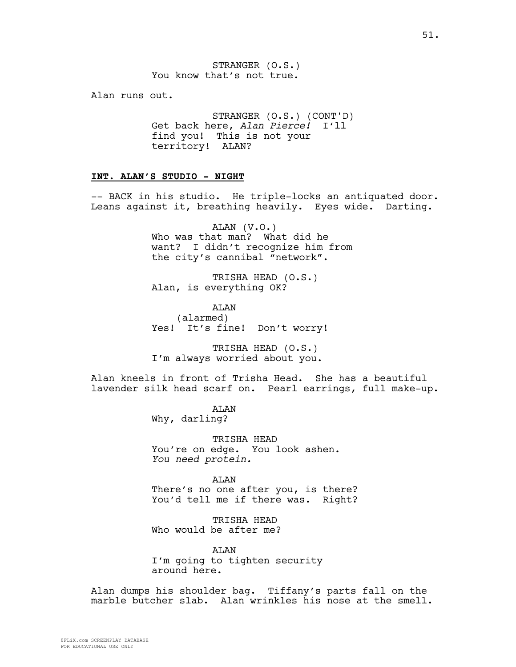STRANGER (O.S.) You know that's not true.

Alan runs out.

STRANGER (O.S.) (CONT'D) Get back here, *Alan Pierce!* I'll find you! This is not your territory! ALAN?

#### **INT. ALAN'S STUDIO - NIGHT**

-- BACK in his studio. He triple-locks an antiquated door. Leans against it, breathing heavily. Eyes wide. Darting.

> ALAN (V.O.) Who was that man? What did he want? I didn't recognize him from the city's cannibal "network".

TRISHA HEAD (O.S.) Alan, is everything OK?

AT<sub>AN</sub> (alarmed) Yes! It's fine! Don't worry!

TRISHA HEAD (O.S.) I'm always worried about you.

Alan kneels in front of Trisha Head. She has a beautiful lavender silk head scarf on. Pearl earrings, full make-up.

> ALAN Why, darling?

TRISHA HEAD You're on edge. You look ashen. *You need protein.*

ALAN There's no one after you, is there? You'd tell me if there was. Right?

TRISHA HEAD Who would be after me?

ALAN I'm going to tighten security around here.

Alan dumps his shoulder bag. Tiffany's parts fall on the marble butcher slab. Alan wrinkles his nose at the smell.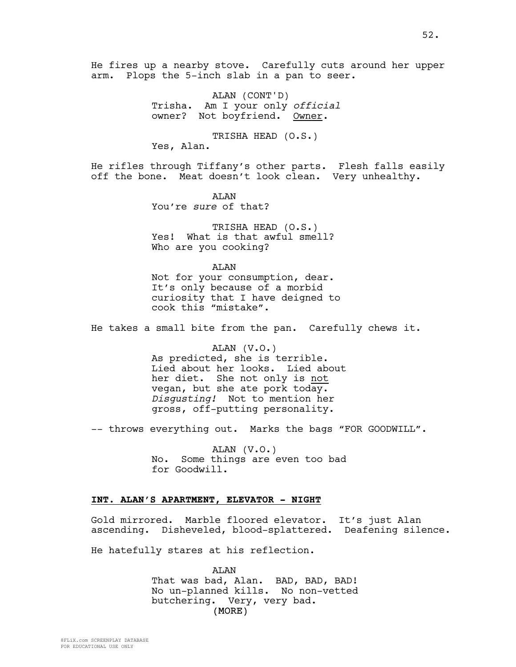He fires up a nearby stove. Carefully cuts around her upper arm. Plops the 5-inch slab in a pan to seer.

> ALAN (CONT'D) Trisha. Am I your only *official* owner? Not boyfriend. Owner.

TRISHA HEAD (O.S.) Yes, Alan.

He rifles through Tiffany's other parts. Flesh falls easily off the bone. Meat doesn't look clean. Very unhealthy.

> **ATAN** You're *sure* of that?

TRISHA HEAD (O.S.) Yes! What is that awful smell? Who are you cooking?

AT.AN Not for your consumption, dear. It's only because of a morbid curiosity that I have deigned to cook this "mistake".

He takes a small bite from the pan. Carefully chews it.

ALAN (V.O.) As predicted, she is terrible. Lied about her looks. Lied about her diet. She not only is not vegan, but she ate pork today. *Disgusting!* Not to mention her gross, off-putting personality.

-- throws everything out. Marks the bags "FOR GOODWILL".

ALAN (V.O.) No. Some things are even too bad for Goodwill.

#### **INT. ALAN'S APARTMENT, ELEVATOR - NIGHT**

Gold mirrored. Marble floored elevator. It's just Alan ascending. Disheveled, blood-splattered. Deafening silence.

He hatefully stares at his reflection.

(MORE) ALAN That was bad, Alan. BAD, BAD, BAD! No un-planned kills. No non-vetted butchering. Very, very bad.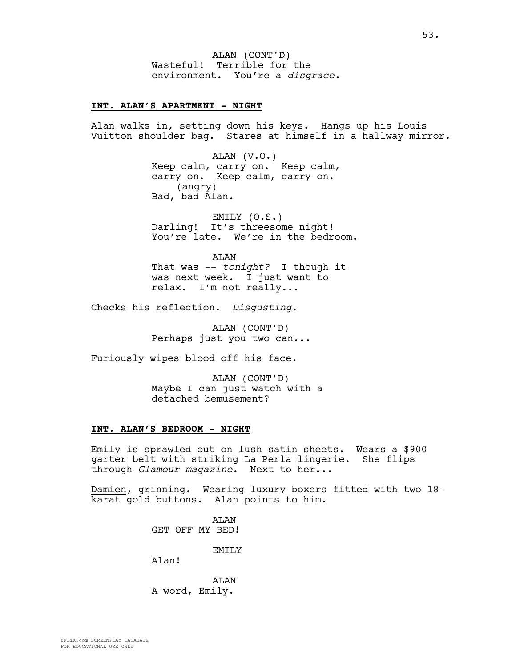ALAN (CONT'D) Wasteful! Terrible for the environment. You're a *disgrace.*

#### **INT. ALAN'S APARTMENT - NIGHT**

Alan walks in, setting down his keys. Hangs up his Louis Vuitton shoulder bag. Stares at himself in a hallway mirror.

> ALAN (V.O.) Keep calm, carry on. Keep calm, carry on. Keep calm, carry on. (angry) Bad, bad Alan.

EMILY (O.S.) Darling! It's threesome night! You're late. We're in the bedroom.

ALAN That was -- *tonight?* I though it was next week. I just want to relax. I'm not really...

Checks his reflection. *Disgusting.*

ALAN (CONT'D) Perhaps just you two can...

Furiously wipes blood off his face.

ALAN (CONT'D) Maybe I can just watch with a detached bemusement?

#### **INT. ALAN'S BEDROOM - NIGHT**

Emily is sprawled out on lush satin sheets. Wears a \$900 garter belt with striking La Perla lingerie. She flips through *Glamour magazine*. Next to her...

Damien, grinning. Wearing luxury boxers fitted with two 18 karat gold buttons. Alan points to him.

> ALAN GET OFF MY BED! EMILY Alan!

AT<sub>AN</sub> A word, Emily.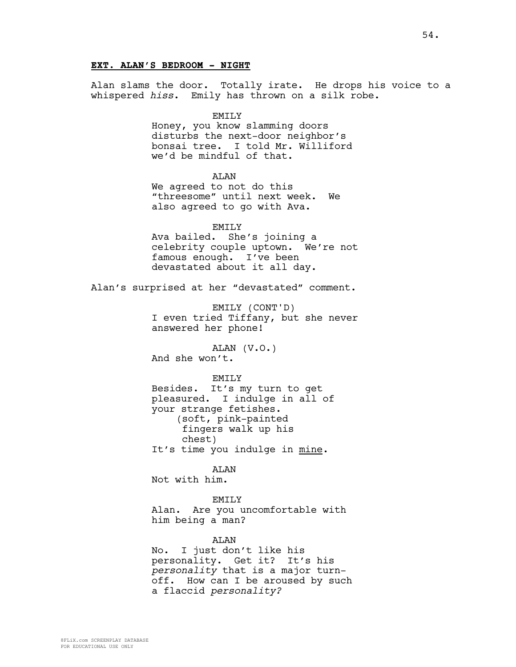### **EXT. ALAN'S BEDROOM - NIGHT**

Alan slams the door. Totally irate. He drops his voice to a whispered *hiss*. Emily has thrown on a silk robe.

EMILY

Honey, you know slamming doors disturbs the next-door neighbor's bonsai tree. I told Mr. Williford we'd be mindful of that.

ALAN

We agreed to not do this "threesome" until next week. We also agreed to go with Ava.

EMILY Ava bailed. She's joining a celebrity couple uptown. We're not famous enough. I've been devastated about it all day.

Alan's surprised at her "devastated" comment.

EMILY (CONT'D) I even tried Tiffany, but she never answered her phone!

ALAN (V.O.) And she won't.

EMTT<sub>N</sub>

Besides. It's my turn to get pleasured. I indulge in all of your strange fetishes. (soft, pink-painted fingers walk up his chest) It's time you indulge in mine.

ALAN

Not with him.

EMILY Alan. Are you uncomfortable with him being a man?

ALAN

No. I just don't like his personality. Get it? It's his *personality* that is a major turnoff. How can I be aroused by such a flaccid *personality?*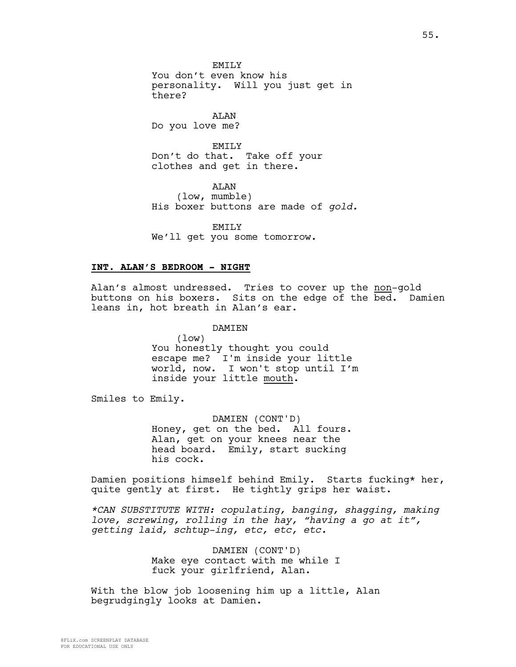**EMTLY** You don't even know his personality. Will you just get in there?

ALAN Do you love me?

EMILY Don't do that. Take off your clothes and get in there.

ALAN (low, mumble) His boxer buttons are made of *gold.*

EMILY

We'll get you some tomorrow.

#### **INT. ALAN'S BEDROOM - NIGHT**

Alan's almost undressed. Tries to cover up the non-gold buttons on his boxers. Sits on the edge of the bed. Damien leans in, hot breath in Alan's ear.

> **DAMTEN** (low) You honestly thought you could escape me? I'm inside your little world, now. I won't stop until I'm inside your little mouth.

Smiles to Emily.

DAMIEN (CONT'D) Honey, get on the bed. All fours. Alan, get on your knees near the head board. Emily, start sucking his cock.

Damien positions himself behind Emily. Starts fucking\* her, quite gently at first. He tightly grips her waist.

*\*CAN SUBSTITUTE WITH: copulating, banging, shagging, making love, screwing, rolling in the hay, "having a go at it", getting laid, schtup-ing, etc, etc, etc.*

> DAMIEN (CONT'D) Make eye contact with me while I fuck your girlfriend, Alan.

With the blow job loosening him up a little, Alan begrudgingly looks at Damien.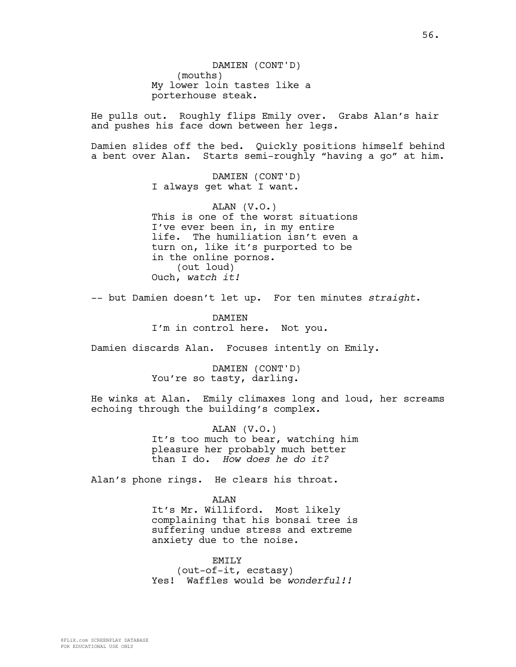DAMIEN (CONT'D) (mouths) My lower loin tastes like a porterhouse steak.

He pulls out. Roughly flips Emily over. Grabs Alan's hair and pushes his face down between her legs.

Damien slides off the bed. Quickly positions himself behind a bent over Alan. Starts semi-roughly "having a go" at him.

> DAMIEN (CONT'D) I always get what I want.

ALAN (V.O.) This is one of the worst situations I've ever been in, in my entire life. The humiliation isn't even a turn on, like it's purported to be in the online pornos. (out loud) Ouch, *watch it!*

-- but Damien doesn't let up. For ten minutes *straight*.

DAMIEN I'm in control here. Not you.

Damien discards Alan. Focuses intently on Emily.

DAMIEN (CONT'D) You're so tasty, darling.

He winks at Alan. Emily climaxes long and loud, her screams echoing through the building's complex.

> ALAN (V.O.) It's too much to bear, watching him pleasure her probably much better than I do. *How does he do it?*

Alan's phone rings. He clears his throat.

ALAN It's Mr. Williford. Most likely complaining that his bonsai tree is suffering undue stress and extreme anxiety due to the noise.

EMILY (out-of-it, ecstasy) Yes! Waffles would be *wonderful!!*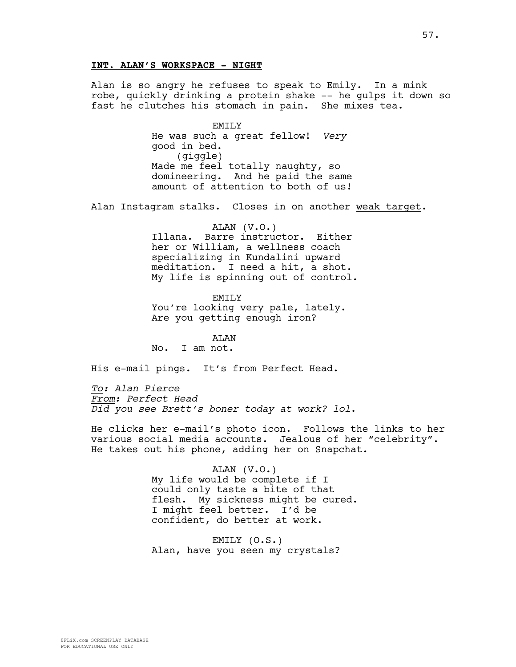### **INT. ALAN'S WORKSPACE - NIGHT**

Alan is so angry he refuses to speak to Emily. In a mink robe, quickly drinking a protein shake -- he gulps it down so fast he clutches his stomach in pain. She mixes tea.

> EMILY He was such a great fellow! *Very* good in bed. (giggle) Made me feel totally naughty, so domineering. And he paid the same amount of attention to both of us!

Alan Instagram stalks. Closes in on another weak target.

ALAN (V.O.) Illana. Barre instructor. Either her or William, a wellness coach specializing in Kundalini upward meditation. I need a hit, a shot. My life is spinning out of control.

EMILY You're looking very pale, lately. Are you getting enough iron?

ALAN No. I am not.

His e-mail pings. It's from Perfect Head.

*To: Alan Pierce From: Perfect Head Did you see Brett's boner today at work? lol*.

He clicks her e-mail's photo icon. Follows the links to her various social media accounts. Jealous of her "celebrity". He takes out his phone, adding her on Snapchat.

> ALAN (V.O.) My life would be complete if I could only taste a bite of that flesh. My sickness might be cured. I might feel better. I'd be confident, do better at work.

EMILY (O.S.) Alan, have you seen my crystals?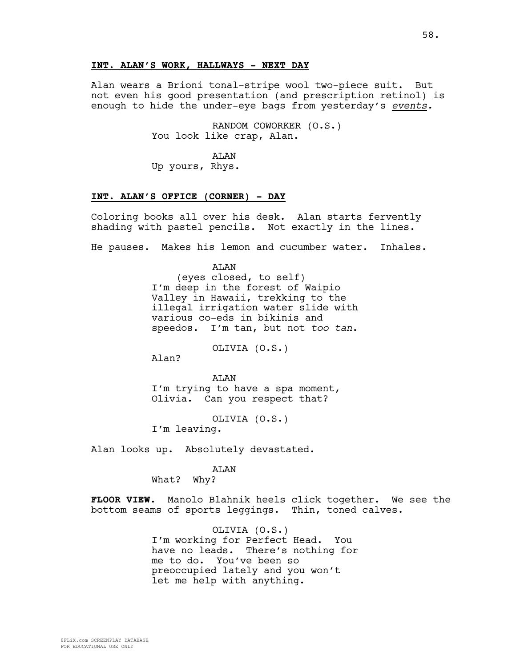### **INT. ALAN'S WORK, HALLWAYS - NEXT DAY**

Alan wears a Brioni tonal-stripe wool two-piece suit. But not even his good presentation (and prescription retinol) is enough to hide the under-eye bags from yesterday's *events.*

> RANDOM COWORKER (O.S.) You look like crap, Alan.

ALAN Up yours, Rhys.

### **INT. ALAN'S OFFICE (CORNER) - DAY**

Coloring books all over his desk. Alan starts fervently shading with pastel pencils. Not exactly in the lines.

He pauses. Makes his lemon and cucumber water. Inhales.

ALAN (eyes closed, to self) I'm deep in the forest of Waipio Valley in Hawaii, trekking to the illegal irrigation water slide with various co-eds in bikinis and speedos. I'm tan, but not *too tan*.

OLIVIA (O.S.)

Alan?

AT<sub>AN</sub> I'm trying to have a spa moment, Olivia. Can you respect that?

OLIVIA (O.S.) I'm leaving.

Alan looks up. Absolutely devastated.

#### ALAN

What? Why?

**FLOOR VIEW.** Manolo Blahnik heels click together. We see the bottom seams of sports leggings. Thin, toned calves.

> OLIVIA (O.S.) I'm working for Perfect Head. You have no leads. There's nothing for me to do. You've been so preoccupied lately and you won't let me help with anything.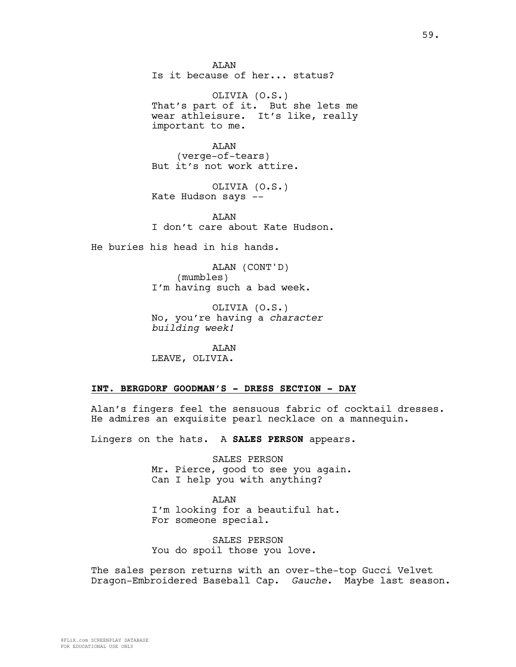**AT<sub>AN</sub>** Is it because of her... status?

OLIVIA (O.S.) That's part of it. But she lets me wear athleisure. It's like, really important to me.

ALAN (verge-of-tears) But it's not work attire.

OLIVIA (O.S.) Kate Hudson says --

AT<sub>AN</sub> I don't care about Kate Hudson.

He buries his head in his hands.

ALAN (CONT'D) (mumbles) I'm having such a bad week.

OLIVIA (O.S.) No, you're having a *character building week!*

ALAN LEAVE, OLIVIA.

## **INT. BERGDORF GOODMAN'S - DRESS SECTION - DAY**

Alan's fingers feel the sensuous fabric of cocktail dresses. He admires an exquisite pearl necklace on a mannequin.

Lingers on the hats. A **SALES PERSON** appears.

SALES PERSON Mr. Pierce, good to see you again. Can I help you with anything?

ALAN I'm looking for a beautiful hat. For someone special.

SALES PERSON You do spoil those you love.

The sales person returns with an over-the-top Gucci Velvet Dragon-Embroidered Baseball Cap. *Gauche*. Maybe last season.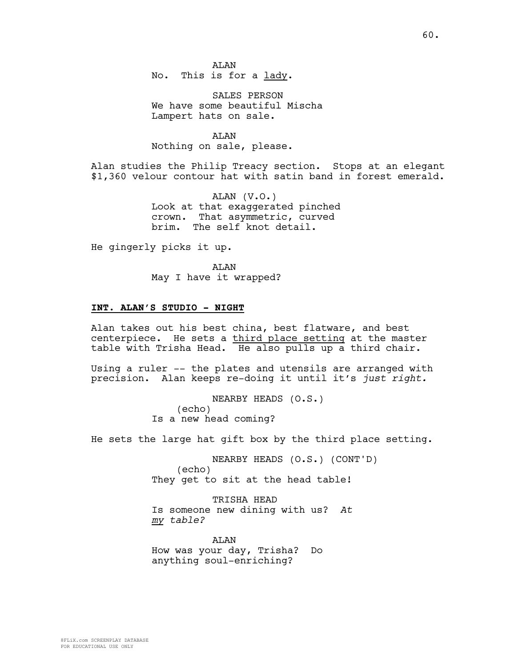SALES PERSON We have some beautiful Mischa Lampert hats on sale.

ALAN Nothing on sale, please.

Alan studies the Philip Treacy section. Stops at an elegant \$1,360 velour contour hat with satin band in forest emerald.

> ALAN (V.O.) Look at that exaggerated pinched crown. That asymmetric, curved brim. The self knot detail.

He gingerly picks it up.

**AT<sub>AN</sub>** May I have it wrapped?

### **INT. ALAN'S STUDIO - NIGHT**

Alan takes out his best china, best flatware, and best centerpiece. He sets a third place setting at the master table with Trisha Head. He also pulls up a third chair.

Using a ruler -- the plates and utensils are arranged with precision. Alan keeps re-doing it until it's *just right.*

> NEARBY HEADS (O.S.) (echo) Is a new head coming?

He sets the large hat gift box by the third place setting.

NEARBY HEADS (O.S.) (CONT'D) (echo) They get to sit at the head table!

TRISHA HEAD Is someone new dining with us? *At my table?*

AT.AN How was your day, Trisha? Do anything soul-enriching?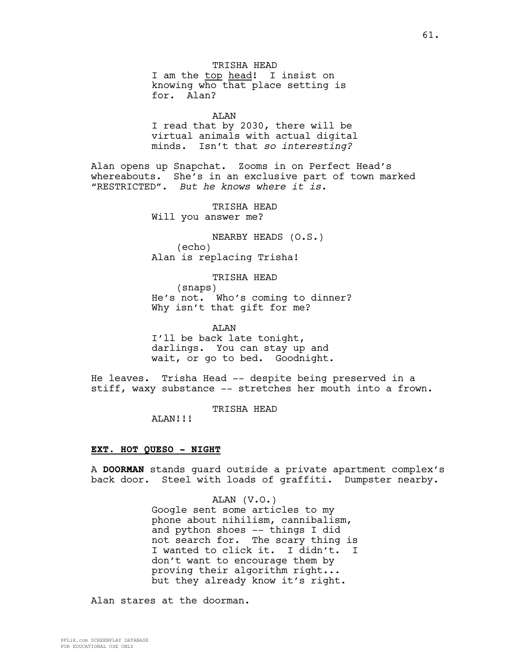knowing who that place setting is for. Alan?

ALAN

I read that by 2030, there will be virtual animals with actual digital minds. Isn't that *so interesting?*

Alan opens up Snapchat. Zooms in on Perfect Head's whereabouts. She's in an exclusive part of town marked "RESTRICTED". *But he knows where it is.*

> TRISHA HEAD Will you answer me?

NEARBY HEADS (O.S.) (echo) Alan is replacing Trisha!

TRISHA HEAD (snaps)

He's not. Who's coming to dinner? Why isn't that gift for me?

ALAN I'll be back late tonight, darlings. You can stay up and wait, or go to bed. Goodnight.

He leaves. Trisha Head -- despite being preserved in a stiff, waxy substance -- stretches her mouth into a frown.

TRISHA HEAD

ALAN!!!

### **EXT. HOT QUESO - NIGHT**

A **DOORMAN** stands guard outside a private apartment complex's back door. Steel with loads of graffiti. Dumpster nearby.

### ALAN (V.O.)

Google sent some articles to my phone about nihilism, cannibalism, and python shoes -- things I did not search for. The scary thing is I wanted to click it. I didn't. I don't want to encourage them by proving their algorithm right... but they already know it's right.

Alan stares at the doorman.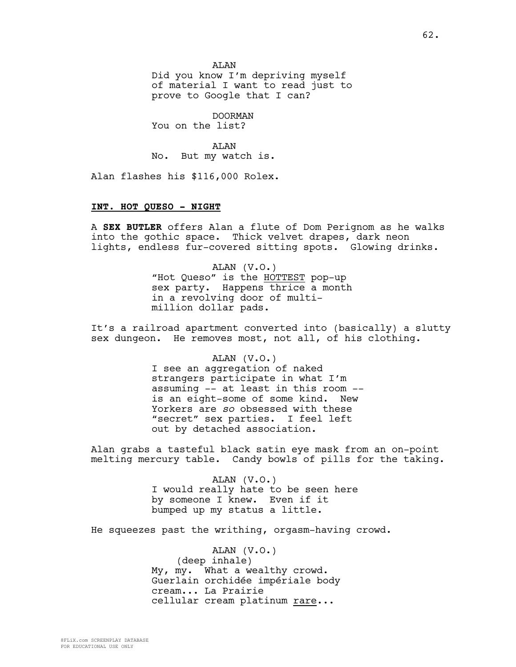AT<sub>AN</sub> Did you know I'm depriving myself of material I want to read just to prove to Google that I can?

DOORMAN You on the list?

ALAN No. But my watch is.

Alan flashes his \$116,000 Rolex.

### **INT. HOT QUESO - NIGHT**

A **SEX BUTLER** offers Alan a flute of Dom Perignom as he walks into the gothic space. Thick velvet drapes, dark neon lights, endless fur-covered sitting spots. Glowing drinks.

> ALAN (V.O.) "Hot Queso" is the HOTTEST pop-up sex party. Happens thrice a month in a revolving door of multimillion dollar pads.

It's a railroad apartment converted into (basically) a slutty sex dungeon. He removes most, not all, of his clothing.

ALAN (V.O.)

I see an aggregation of naked strangers participate in what I'm assuming -- at least in this room - is an eight-some of some kind. New Yorkers are *so* obsessed with these "secret" sex parties. I feel left out by detached association.

Alan grabs a tasteful black satin eye mask from an on-point melting mercury table. Candy bowls of pills for the taking.

> ALAN (V.O.) I would really hate to be seen here by someone I knew. Even if it bumped up my status a little.

He squeezes past the writhing, orgasm-having crowd.

ALAN (V.O.) (deep inhale) My, my. What a wealthy crowd. Guerlain orchidée impériale body cream... La Prairie cellular cream platinum rare...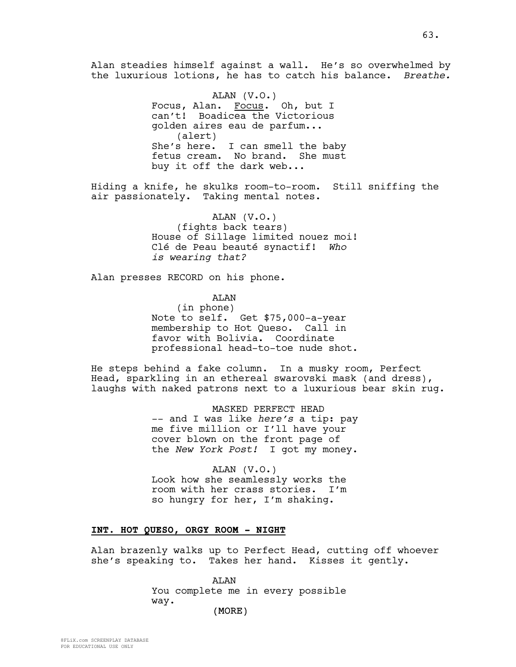Alan steadies himself against a wall. He's so overwhelmed by the luxurious lotions, he has to catch his balance. *Breathe.*

> ALAN (V.O.) Focus, Alan. Focus. Oh, but I can't! Boadicea the Victorious golden aires eau de parfum... (alert) She's here. I can smell the baby fetus cream. No brand. She must buy it off the dark web...

Hiding a knife, he skulks room-to-room. Still sniffing the air passionately. Taking mental notes.

> ALAN (V.O.) (fights back tears) House of Sillage limited nouez moi! Clé de Peau beauté synactif! *Who is wearing that?*

Alan presses RECORD on his phone.

ALAN

(in phone) Note to self. Get \$75,000-a-year membership to Hot Queso. Call in favor with Bolivia. Coordinate professional head-to-toe nude shot.

He steps behind a fake column. In a musky room, Perfect Head, sparkling in an ethereal swarovski mask (and dress), laughs with naked patrons next to a luxurious bear skin rug.

> MASKED PERFECT HEAD -- and I was like *here's* a tip: pay me five million or I'll have your cover blown on the front page of the *New York Post!* I got my money.

ALAN (V.O.) Look how she seamlessly works the room with her crass stories. I'm so hungry for her, I'm shaking.

### **INT. HOT QUESO, ORGY ROOM - NIGHT**

Alan brazenly walks up to Perfect Head, cutting off whoever she's speaking to. Takes her hand. Kisses it gently.

> ALAN You complete me in every possible way.

FOR EDUCATIONAL USE ONLY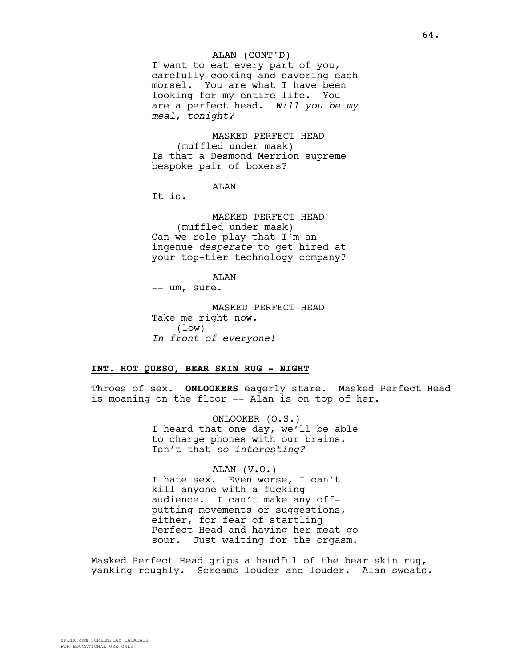#### ALAN (CONT'D)

I want to eat every part of you, carefully cooking and savoring each morsel. You are what I have been looking for my entire life. You are a perfect head. *Will you be my meal, tonight?*

MASKED PERFECT HEAD (muffled under mask) Is that a Desmond Merrion supreme bespoke pair of boxers?

ALAN

It is.

MASKED PERFECT HEAD (muffled under mask) Can we role play that I'm an ingenue *desperate* to get hired at your top-tier technology company?

ALAN

-- um, sure.

MASKED PERFECT HEAD Take me right now. (low) *In front of everyone!*

# **INT. HOT QUESO, BEAR SKIN RUG - NIGHT**

Throes of sex. **ONLOOKERS** eagerly stare. Masked Perfect Head is moaning on the floor -- Alan is on top of her.

> ONLOOKER (O.S.) I heard that one day, we'll be able to charge phones with our brains. Isn't that *so interesting?*

> ALAN (V.O.) I hate sex. Even worse, I can't kill anyone with a fucking audience. I can't make any offputting movements or suggestions, either, for fear of startling Perfect Head and having her meat go sour. Just waiting for the orgasm.

Masked Perfect Head grips a handful of the bear skin rug, yanking roughly. Screams louder and louder. Alan sweats.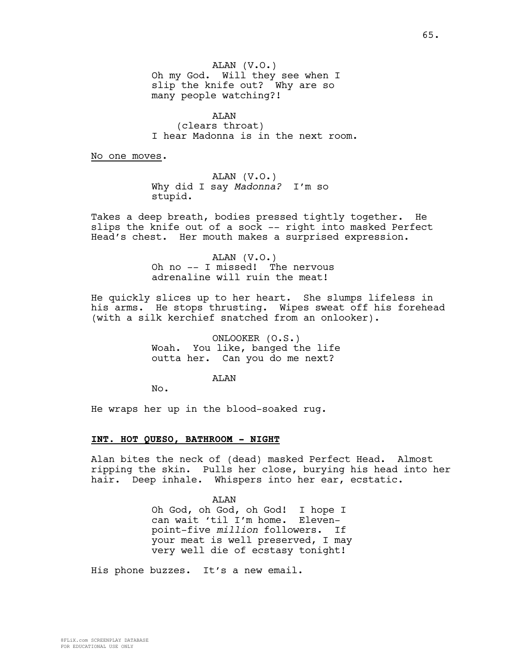ALAN (clears throat) I hear Madonna is in the next room.

No one moves.

ALAN (V.O.) Why did I say *Madonna?* I'm so stupid.

Takes a deep breath, bodies pressed tightly together. He slips the knife out of a sock -- right into masked Perfect Head's chest. Her mouth makes a surprised expression.

> ALAN (V.O.) Oh no -- I missed! The nervous adrenaline will ruin the meat!

He quickly slices up to her heart. She slumps lifeless in his arms. He stops thrusting. Wipes sweat off his forehead (with a silk kerchief snatched from an onlooker).

> ONLOOKER (O.S.) Woah. You like, banged the life outta her. Can you do me next?

> > AT<sub>AN</sub>

No.

He wraps her up in the blood-soaked rug.

#### **INT. HOT QUESO, BATHROOM - NIGHT**

Alan bites the neck of (dead) masked Perfect Head. Almost ripping the skin. Pulls her close, burying his head into her hair. Deep inhale. Whispers into her ear, ecstatic.

ALAN

Oh God, oh God, oh God! I hope I can wait 'til I'm home. Elevenpoint-five *million* followers. If your meat is well preserved, I may very well die of ecstasy tonight!

His phone buzzes. It's a new email.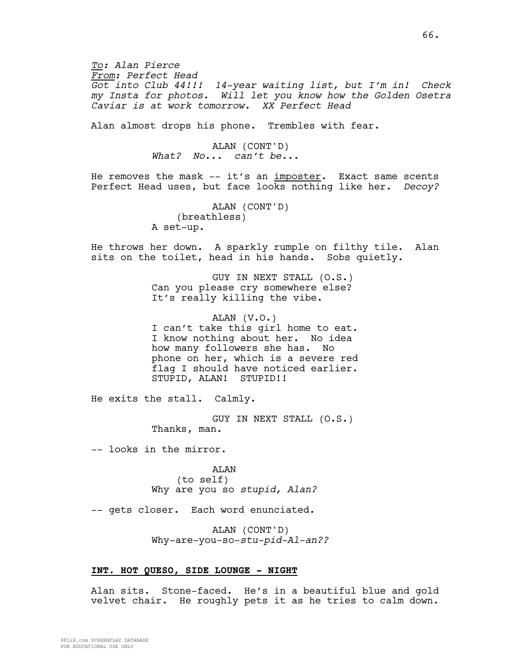*To: Alan Pierce From: Perfect Head Got into Club 44!!! 14-year waiting list, but I'm in! Check my Insta for photos. Will let you know how the Golden Osetra Caviar is at work tomorrow. XX Perfect Head*

Alan almost drops his phone. Trembles with fear.

ALAN (CONT'D) *What? No... can't be...*

He removes the mask -- it's an imposter. Exact same scents Perfect Head uses, but face looks nothing like her. *Decoy?*

> ALAN (CONT'D) (breathless) A set-up.

He throws her down. A sparkly rumple on filthy tile. Alan sits on the toilet, head in his hands. Sobs quietly.

> GUY IN NEXT STALL (O.S.) Can you please cry somewhere else? It's really killing the vibe.

ALAN (V.O.) I can't take this girl home to eat. I know nothing about her. No idea how many followers she has. No phone on her, which is a severe red flag I should have noticed earlier. STUPID, ALAN! STUPID!!

He exits the stall. Calmly.

GUY IN NEXT STALL (O.S.) Thanks, man.

-- looks in the mirror.

ALAN (to self) Why are you so *stupid, Alan?*

-- gets closer. Each word enunciated.

ALAN (CONT'D) Why-are-you-so-*stu-pid-Al-an??*

### **INT. HOT QUESO, SIDE LOUNGE - NIGHT**

Alan sits. Stone-faced. He's in a beautiful blue and gold velvet chair. He roughly pets it as he tries to calm down.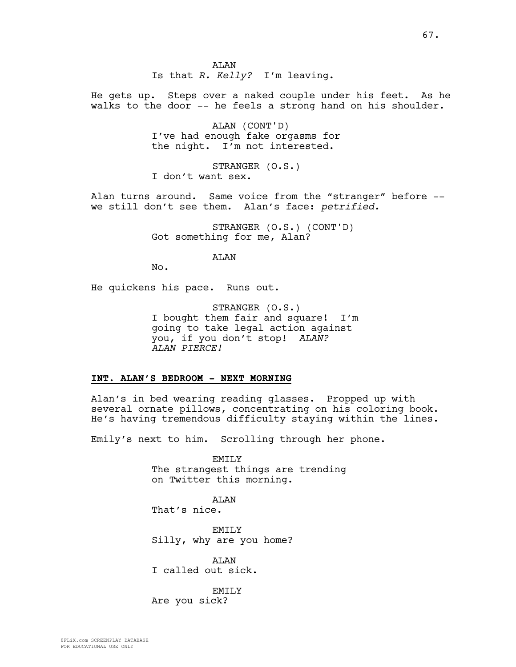**AT<sub>AN</sub>** Is that *R. Kelly?* I'm leaving.

He gets up. Steps over a naked couple under his feet. As he walks to the door -- he feels a strong hand on his shoulder.

> ALAN (CONT'D) I've had enough fake orgasms for the night. I'm not interested.

STRANGER (O.S.) I don't want sex.

Alan turns around. Same voice from the "stranger" before - we still don't see them. Alan's face: *petrified.*

> STRANGER (O.S.) (CONT'D) Got something for me, Alan?

> > ALAN

No.

He quickens his pace. Runs out.

STRANGER (O.S.) I bought them fair and square! I'm going to take legal action against you, if you don't stop! *ALAN? ALAN PIERCE!*

#### **INT. ALAN'S BEDROOM - NEXT MORNING**

Alan's in bed wearing reading glasses. Propped up with several ornate pillows, concentrating on his coloring book. He's having tremendous difficulty staying within the lines.

Emily's next to him. Scrolling through her phone.

EMILY The strangest things are trending on Twitter this morning.

ALAN That's nice.

**EMTLY** Silly, why are you home?

ALAN I called out sick.

EMILY Are you sick?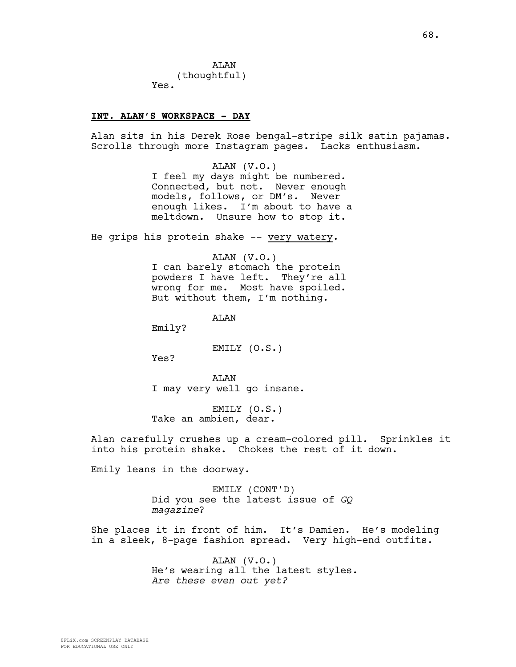**AT<sub>AN</sub>** (thoughtful) Yes.

#### **INT. ALAN'S WORKSPACE - DAY**

Alan sits in his Derek Rose bengal-stripe silk satin pajamas. Scrolls through more Instagram pages. Lacks enthusiasm.

> ALAN (V.O.) I feel my days might be numbered. Connected, but not. Never enough models, follows, or DM's. Never enough likes. I'm about to have a meltdown. Unsure how to stop it.

He grips his protein shake -- very watery.

ALAN (V.O.) I can barely stomach the protein powders I have left. They're all wrong for me. Most have spoiled. But without them, I'm nothing.

ALAN

Emily?

EMILY (O.S.)

Yes?

ALAN I may very well go insane.

EMILY (O.S.) Take an ambien, dear.

Alan carefully crushes up a cream-colored pill. Sprinkles it into his protein shake. Chokes the rest of it down.

Emily leans in the doorway.

EMILY (CONT'D) Did you see the latest issue of *GQ magazine*?

She places it in front of him. It's Damien. He's modeling in a sleek, 8-page fashion spread. Very high-end outfits.

> ALAN (V.O.) He's wearing all the latest styles. *Are these even out yet?*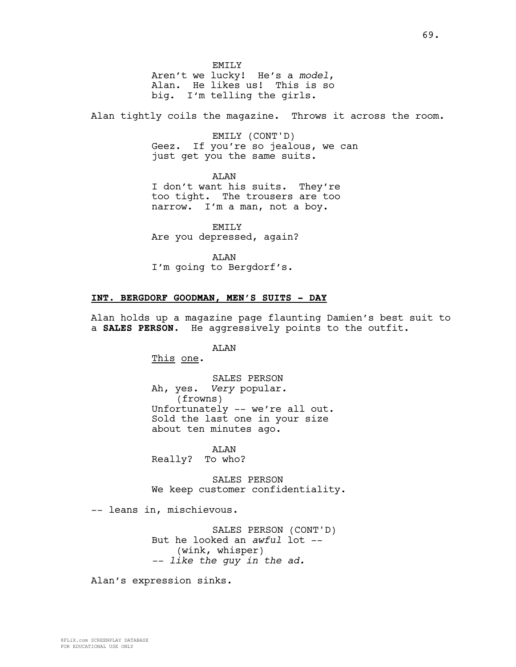EMTT<sub>.</sub>Y Aren't we lucky! He's a *model*, Alan. He likes us! This is so big. I'm telling the girls.

Alan tightly coils the magazine. Throws it across the room.

EMILY (CONT'D) Geez. If you're so jealous, we can just get you the same suits.

ALAN I don't want his suits. They're too tight. The trousers are too narrow. I'm a man, not a boy.

EMILY Are you depressed, again?

ALAN I'm going to Bergdorf's.

#### **INT. BERGDORF GOODMAN, MEN'S SUITS - DAY**

Alan holds up a magazine page flaunting Damien's best suit to a **SALES PERSON**. He aggressively points to the outfit.

ALAN

This one.

SALES PERSON Ah, yes. *Very* popular. (frowns) Unfortunately -- we're all out. Sold the last one in your size about ten minutes ago.

ALAN Really? To who?

SALES PERSON We keep customer confidentiality.

-- leans in, mischievous.

SALES PERSON (CONT'D) But he looked an *awful* lot -- (wink, whisper) *-- like the guy in the ad.*

Alan's expression sinks.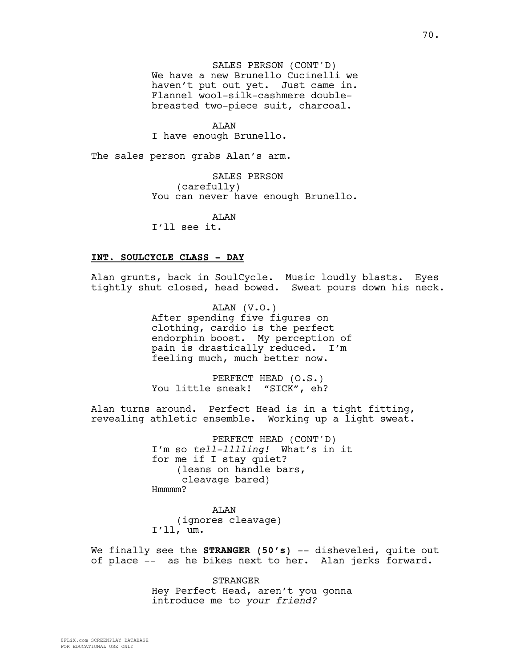SALES PERSON (CONT'D) We have a new Brunello Cucinelli we haven't put out yet. Just came in. Flannel wool-silk-cashmere doublebreasted two-piece suit, charcoal.

ALAN I have enough Brunello.

The sales person grabs Alan's arm.

SALES PERSON (carefully) You can never have enough Brunello.

**AT<sub>AN</sub>** I'll see it.

#### **INT. SOULCYCLE CLASS - DAY**

Alan grunts, back in SoulCycle. Music loudly blasts. Eyes tightly shut closed, head bowed. Sweat pours down his neck.

> ALAN (V.O.) After spending five figures on clothing, cardio is the perfect endorphin boost. My perception of pain is drastically reduced. I'm feeling much, much better now.

PERFECT HEAD (O.S.) You little sneak! "SICK", eh?

Alan turns around. Perfect Head is in a tight fitting, revealing athletic ensemble. Working up a light sweat.

> PERFECT HEAD (CONT'D) I'm so *tell-lllling!* What's in it for me if I stay quiet? (leans on handle bars, cleavage bared) Hmmmm?

ALAN (ignores cleavage) I'll, um.

We finally see the **STRANGER** (50's) -- disheveled, quite out of place -- as he bikes next to her. Alan jerks forward.

> STRANGER Hey Perfect Head, aren't you gonna introduce me to *your friend?*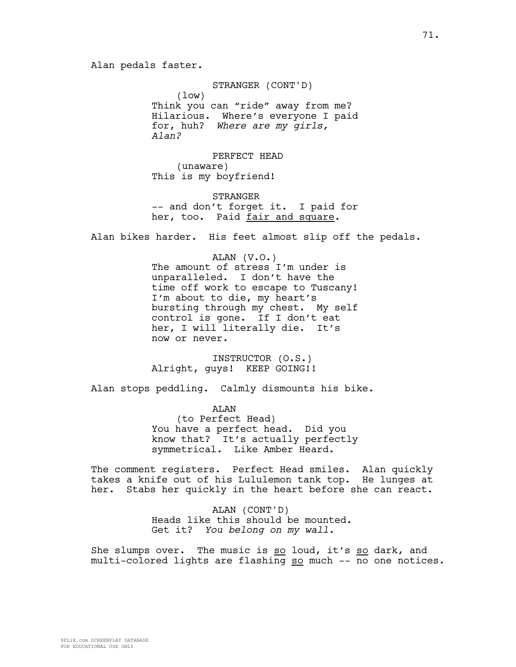STRANGER (CONT'D) (low) Think you can "ride" away from me? Hilarious. Where's everyone I paid for, huh? *Where are my girls, Alan?*

PERFECT HEAD (unaware) This is my boyfriend!

STRANGER -- and don't forget it. I paid for her, too. Paid fair and square.

Alan bikes harder. His feet almost slip off the pedals.

ALAN (V.O.) The amount of stress I'm under is unparalleled. I don't have the time off work to escape to Tuscany! I'm about to die, my heart's bursting through my chest. My self control is gone. If I don't eat her, I will literally die. It's now or never.

INSTRUCTOR (O.S.) Alright, guys! KEEP GOING!!

Alan stops peddling. Calmly dismounts his bike.

ALAN (to Perfect Head) You have a perfect head. Did you know that? It's actually perfectly symmetrical. Like Amber Heard.

The comment registers. Perfect Head smiles. Alan quickly takes a knife out of his Lululemon tank top. He lunges at her. Stabs her quickly in the heart before she can react.

> ALAN (CONT'D) Heads like this should be mounted. Get it? *You belong on my wall.*

She slumps over. The music is so loud, it's so dark, and multi-colored lights are flashing so much -- no one notices.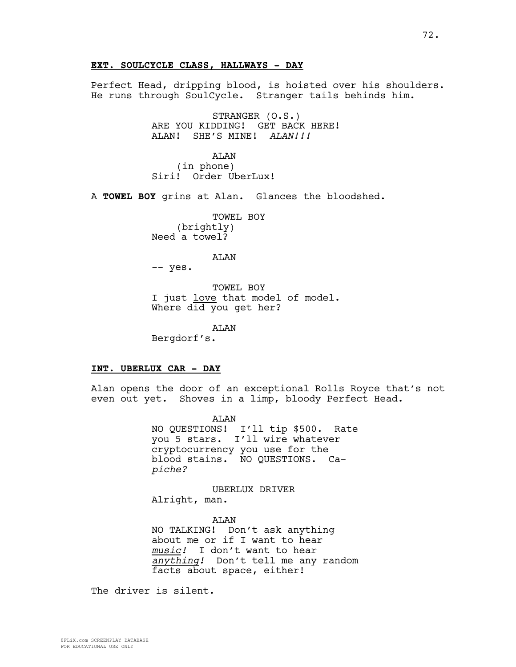## **EXT. SOULCYCLE CLASS, HALLWAYS - DAY**

Perfect Head, dripping blood, is hoisted over his shoulders. He runs through SoulCycle. Stranger tails behinds him.

> STRANGER (O.S.) ARE YOU KIDDING! GET BACK HERE! ALAN! SHE'S MINE! *ALAN!!!*

ALAN (in phone) Siri! Order UberLux!

A **TOWEL BOY** grins at Alan. Glances the bloodshed.

TOWEL BOY (brightly) Need a towel?

ALAN

-- yes.

TOWEL BOY I just love that model of model. Where did you get her?

ALAN

Bergdorf's.

#### **INT. UBERLUX CAR - DAY**

Alan opens the door of an exceptional Rolls Royce that's not even out yet. Shoves in a limp, bloody Perfect Head.

> ALAN NO QUESTIONS! I'll tip \$500. Rate you 5 stars. I'll wire whatever cryptocurrency you use for the blood stains. NO QUESTIONS. Ca*piche?*

UBERLUX DRIVER Alright, man.

ALAN NO TALKING! Don't ask anything about me or if I want to hear *music!* I don't want to hear *anything!* Don't tell me any random facts about space, either!

The driver is silent.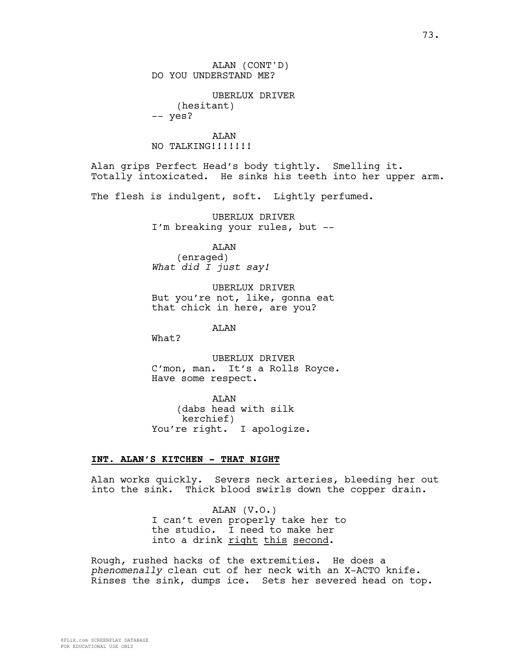ALAN (CONT'D) DO YOU UNDERSTAND ME?

UBERLUX DRIVER (hesitant) -- yes?

ALAN NO TALKING!!!!!!!

Alan grips Perfect Head's body tightly. Smelling it. Totally intoxicated. He sinks his teeth into her upper arm.

The flesh is indulgent, soft. Lightly perfumed.

UBERLUX DRIVER I'm breaking your rules, but --

ALAN

(enraged) *What did I just say!*

UBERLUX DRIVER But you're not, like, gonna eat that chick in here, are you?

ALAN

What?

UBERLUX DRIVER C'mon, man. It's a Rolls Royce. Have some respect.

ALAN (dabs head with silk kerchief) You're right. I apologize.

# **INT. ALAN'S KITCHEN - THAT NIGHT**

Alan works quickly. Severs neck arteries, bleeding her out into the sink. Thick blood swirls down the copper drain.

> ALAN (V.O.) I can't even properly take her to the studio. I need to make her into a drink right this second.

Rough, rushed hacks of the extremities. He does a *phenomenally* clean cut of her neck with an X-ACTO knife. Rinses the sink, dumps ice. Sets her severed head on top.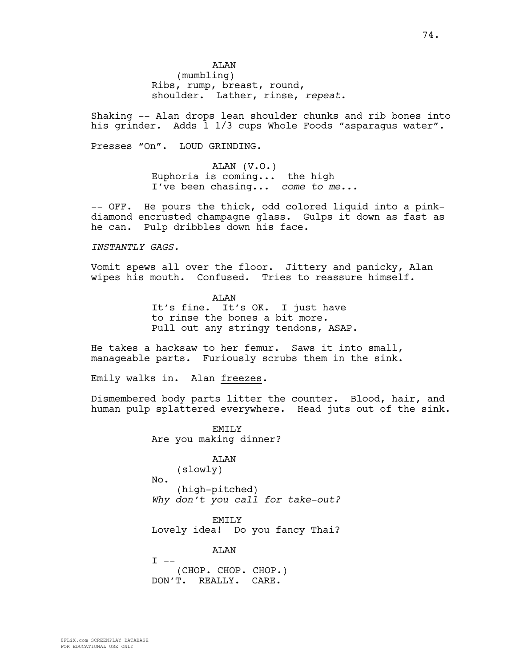**AT<sub>AN</sub>** (mumbling) Ribs, rump, breast, round, shoulder. Lather, rinse, *repeat.*

Shaking -- Alan drops lean shoulder chunks and rib bones into his grinder. Adds 1 1/3 cups Whole Foods "asparagus water".

Presses "On". LOUD GRINDING.

ALAN (V.O.) Euphoria is coming... the high I've been chasing... *come to me...*

-- OFF. He pours the thick, odd colored liquid into a pinkdiamond encrusted champagne glass. Gulps it down as fast as he can. Pulp dribbles down his face.

*INSTANTLY GAGS.*

Vomit spews all over the floor. Jittery and panicky, Alan wipes his mouth. Confused. Tries to reassure himself.

> ALAN It's fine. It's OK. I just have to rinse the bones a bit more. Pull out any stringy tendons, ASAP.

He takes a hacksaw to her femur. Saws it into small, manageable parts. Furiously scrubs them in the sink.

Emily walks in. Alan freezes.

Dismembered body parts litter the counter. Blood, hair, and human pulp splattered everywhere. Head juts out of the sink.

> EMTT<sub>N</sub> Are you making dinner?

ALAN (slowly) No. (high-pitched) *Why don't you call for take-out?*

EMILY Lovely idea! Do you fancy Thai?

ALAN  $I$   $--$ (CHOP. CHOP. CHOP.) DON'T. REALLY. CARE.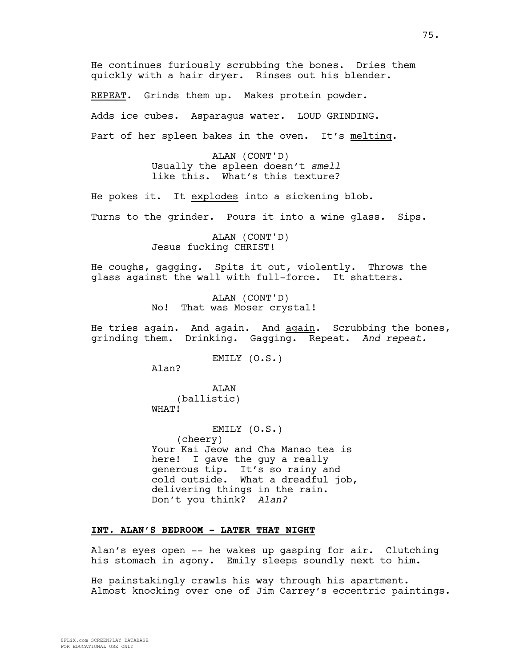He continues furiously scrubbing the bones. Dries them quickly with a hair dryer. Rinses out his blender.

REPEAT. Grinds them up. Makes protein powder. Adds ice cubes. Asparagus water. LOUD GRINDING. Part of her spleen bakes in the oven. It's melting.

> ALAN (CONT'D) Usually the spleen doesn't *smell* like this. What's this texture?

He pokes it. It explodes into a sickening blob. Turns to the grinder. Pours it into a wine glass. Sips.

> ALAN (CONT'D) Jesus fucking CHRIST!

He coughs, gagging. Spits it out, violently. Throws the glass against the wall with full-force. It shatters.

> ALAN (CONT'D) No! That was Moser crystal!

He tries again. And again. And again. Scrubbing the bones, grinding them. Drinking. Gagging. Repeat. *And repeat.*

EMILY (O.S.)

Alan?

ALAN (ballistic) WHAT!

EMILY (O.S.) (cheery) Your Kai Jeow and Cha Manao tea is here! I gave the guy a really generous tip. It's so rainy and cold outside. What a dreadful job, delivering things in the rain. Don't you think? *Alan?*

# **INT. ALAN'S BEDROOM - LATER THAT NIGHT**

Alan's eyes open -- he wakes up gasping for air. Clutching his stomach in agony. Emily sleeps soundly next to him.

He painstakingly crawls his way through his apartment. Almost knocking over one of Jim Carrey's eccentric paintings.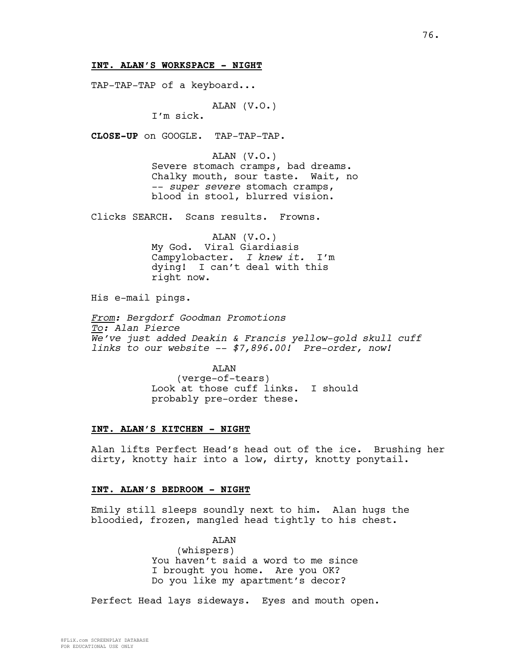#### **INT. ALAN'S WORKSPACE - NIGHT**

TAP-TAP-TAP of a keyboard...

ALAN (V.O.)

I'm sick.

**CLOSE-UP** on GOOGLE. TAP-TAP-TAP.

ALAN (V.O.) Severe stomach cramps, bad dreams. Chalky mouth, sour taste. Wait, no -- *super severe* stomach cramps, blood in stool, blurred vision.

Clicks SEARCH. Scans results. Frowns.

ALAN (V.O.) My God. Viral Giardiasis Campylobacter. *I knew it.* I'm dying! I can't deal with this right now.

His e-mail pings.

*From: Bergdorf Goodman Promotions To: Alan Pierce We've just added Deakin & Francis yellow-gold skull cuff links to our website -- \$7,896.00! Pre-order, now!*

> ALAN (verge-of-tears) Look at those cuff links. I should probably pre-order these.

#### **INT. ALAN'S KITCHEN - NIGHT**

Alan lifts Perfect Head's head out of the ice. Brushing her dirty, knotty hair into a low, dirty, knotty ponytail.

#### **INT. ALAN'S BEDROOM - NIGHT**

Emily still sleeps soundly next to him. Alan hugs the bloodied, frozen, mangled head tightly to his chest.

> ALAN (whispers) You haven't said a word to me since I brought you home. Are you OK? Do you like my apartment's decor?

Perfect Head lays sideways. Eyes and mouth open.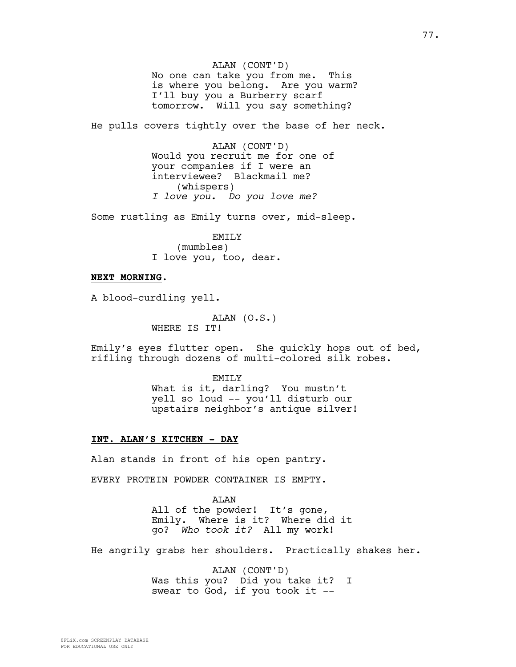ALAN (CONT'D) No one can take you from me. This is where you belong. Are you warm? I'll buy you a Burberry scarf tomorrow. Will you say something?

He pulls covers tightly over the base of her neck.

ALAN (CONT'D) Would you recruit me for one of your companies if I were an interviewee? Blackmail me? (whispers) *I love you. Do you love me?* 

Some rustling as Emily turns over, mid-sleep.

EMILY (mumbles) I love you, too, dear.

#### **NEXT MORNING.**

A blood-curdling yell.

ALAN (O.S.) WHERE IS IT!

Emily's eyes flutter open. She quickly hops out of bed, rifling through dozens of multi-colored silk robes.

> **EMTLY** What is it, darling? You mustn't yell so loud -- you'll disturb our upstairs neighbor's antique silver!

#### **INT. ALAN'S KITCHEN - DAY**

Alan stands in front of his open pantry.

EVERY PROTEIN POWDER CONTAINER IS EMPTY.

ALAN All of the powder! It's gone, Emily. Where is it? Where did it go? *Who took it?* All my work!

He angrily grabs her shoulders. Practically shakes her.

ALAN (CONT'D) Was this you? Did you take it? I swear to God, if you took it --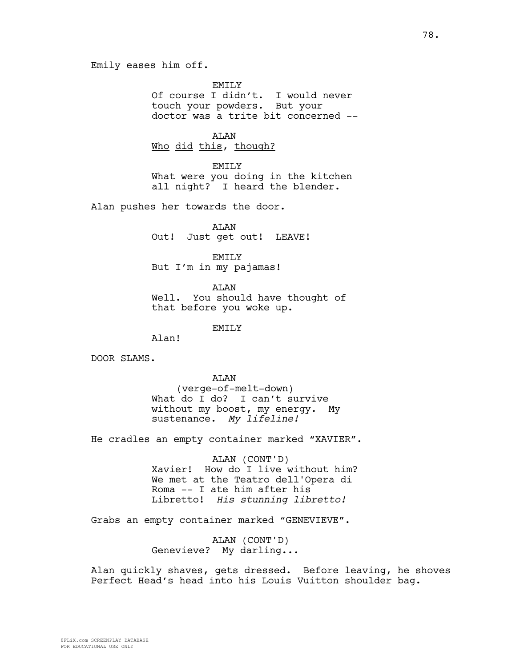**EMTLY** Of course I didn't. I would never touch your powders. But your doctor was a trite bit concerned --

ALAN

Who did this, though?

EMILY What were you doing in the kitchen all night? I heard the blender.

Alan pushes her towards the door.

ALAN Out! Just get out! LEAVE!

EMILY But I'm in my pajamas!

**AT<sub>AN</sub>** Well. You should have thought of that before you woke up.

EMILY

Alan!

DOOR SLAMS.

ALAN (verge-of-melt-down) What do I do? I can't survive without my boost, my energy. My sustenance. *My lifeline!*

He cradles an empty container marked "XAVIER".

ALAN (CONT'D) Xavier! How do I live without him? We met at the Teatro dell'Opera di Roma -- I ate him after his Libretto! *His stunning libretto!*

Grabs an empty container marked "GENEVIEVE".

ALAN (CONT'D) Genevieve? My darling...

Alan quickly shaves, gets dressed. Before leaving, he shoves Perfect Head's head into his Louis Vuitton shoulder bag.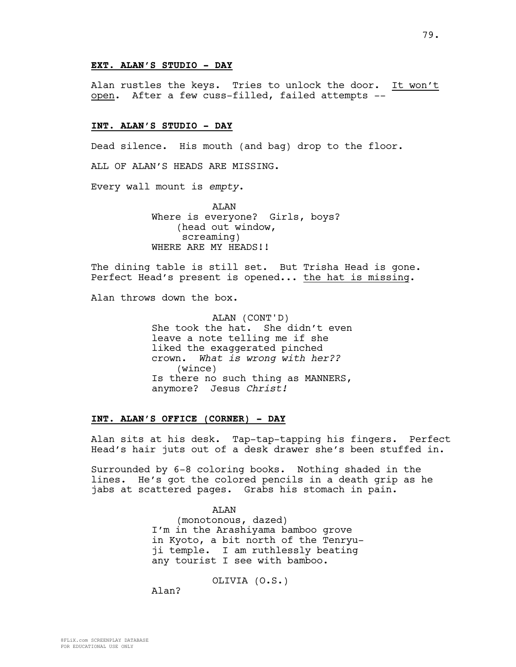#### **EXT. ALAN'S STUDIO - DAY**

Alan rustles the keys. Tries to unlock the door. It won't open. After a few cuss-filled, failed attempts --

#### **INT. ALAN'S STUDIO - DAY**

Dead silence. His mouth (and bag) drop to the floor.

ALL OF ALAN'S HEADS ARE MISSING.

Every wall mount is *empty*.

ALAN Where is everyone? Girls, boys? (head out window, screaming) WHERE ARE MY HEADS!!

The dining table is still set. But Trisha Head is gone. Perfect Head's present is opened... the hat is missing.

Alan throws down the box.

ALAN (CONT'D) She took the hat. She didn't even leave a note telling me if she liked the exaggerated pinched crown. *What is wrong with her??* (wince) Is there no such thing as MANNERS, anymore? Jesus *Christ!*

#### **INT. ALAN'S OFFICE (CORNER) - DAY**

Alan sits at his desk. Tap-tap-tapping his fingers. Perfect Head's hair juts out of a desk drawer she's been stuffed in.

Surrounded by 6-8 coloring books. Nothing shaded in the lines. He's got the colored pencils in a death grip as he jabs at scattered pages. Grabs his stomach in pain.

> ALAN (monotonous, dazed) I'm in the Arashiyama bamboo grove in Kyoto, a bit north of the Tenryuji temple. I am ruthlessly beating any tourist I see with bamboo.

> > OLIVIA (O.S.)

Alan?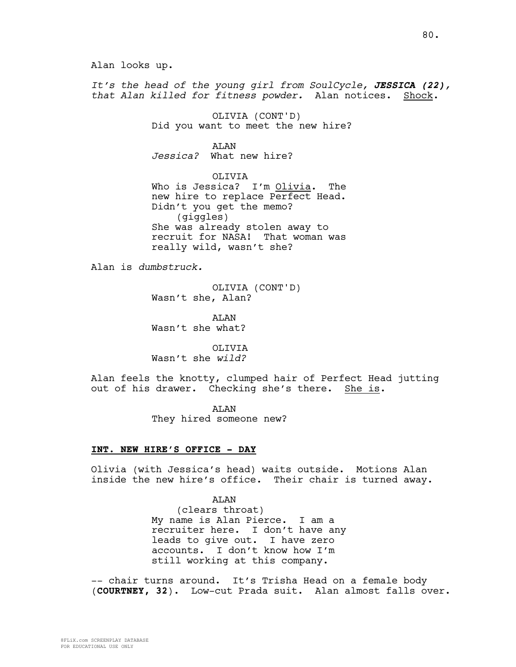Alan looks up.

*It's the head of the young girl from SoulCycle, JESSICA (22), that Alan killed for fitness powder.* Alan notices. Shock.

> OLIVIA (CONT'D) Did you want to meet the new hire?

**AT<sub>AN</sub>** *Jessica?* What new hire?

OLIVIA Who is Jessica? I'm Olivia. The new hire to replace Perfect Head. Didn't you get the memo? (giggles) She was already stolen away to recruit for NASA! That woman was really wild, wasn't she?

Alan is *dumbstruck.*

OLIVIA (CONT'D) Wasn't she, Alan?

AT.AN Wasn't she what?

OLIVIA Wasn't she *wild?*

Alan feels the knotty, clumped hair of Perfect Head jutting out of his drawer. Checking she's there. She is.

> ALAN They hired someone new?

#### **INT. NEW HIRE'S OFFICE - DAY**

Olivia (with Jessica's head) waits outside. Motions Alan inside the new hire's office. Their chair is turned away.

> ALAN (clears throat) My name is Alan Pierce. I am a recruiter here. I don't have any leads to give out. I have zero accounts. I don't know how I'm still working at this company.

-- chair turns around. It's Trisha Head on a female body (**COURTNEY, 32**). Low-cut Prada suit. Alan almost falls over.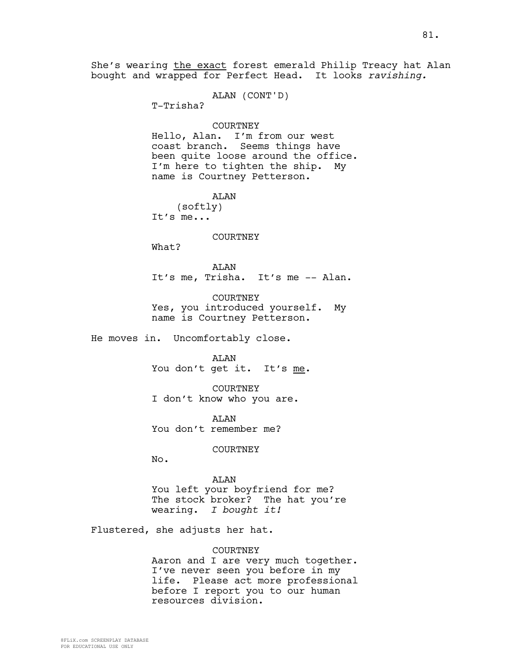She's wearing the exact forest emerald Philip Treacy hat Alan bought and wrapped for Perfect Head. It looks *ravishing.*

ALAN (CONT'D)

T-Trisha?

#### COURTNEY

Hello, Alan. I'm from our west coast branch. Seems things have been quite loose around the office. I'm here to tighten the ship. My name is Courtney Petterson.

ALAN

(softly) It's me...

#### COURTNEY

What?

ALAN It's me, Trisha. It's me -- Alan.

COURTNEY Yes, you introduced yourself. My name is Courtney Petterson.

He moves in. Uncomfortably close.

ALAN

You don't get it. It's me.

COURTNEY I don't know who you are.

**AT<sub>AN</sub>** You don't remember me?

COURTNEY

No.

#### ALAN

You left your boyfriend for me? The stock broker? The hat you're wearing. *I bought it!*

Flustered, she adjusts her hat.

#### COURTNEY

Aaron and I are very much together. I've never seen you before in my life. Please act more professional before I report you to our human resources division.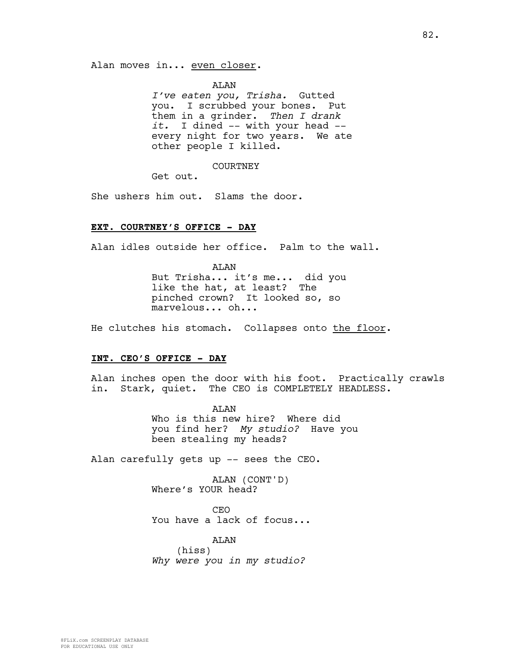ALAN

*I've eaten you, Trisha.* Gutted you. I scrubbed your bones. Put them in a grinder. *Then I drank it.* I dined -- with your head - every night for two years. We ate other people I killed.

COURTNEY

Get out.

She ushers him out. Slams the door.

#### **EXT. COURTNEY'S OFFICE - DAY**

Alan idles outside her office. Palm to the wall.

**AT<sub>AN</sub>** But Trisha... it's me... did you like the hat, at least? The pinched crown? It looked so, so marvelous... oh...

He clutches his stomach. Collapses onto the floor.

#### **INT. CEO'S OFFICE - DAY**

Alan inches open the door with his foot. Practically crawls in. Stark, quiet. The CEO is COMPLETELY HEADLESS.

> ALAN Who is this new hire? Where did you find her? *My studio?* Have you been stealing my heads?

Alan carefully gets up -- sees the CEO.

ALAN (CONT'D) Where's YOUR head?

CEO You have a lack of focus...

ALAN (hiss) *Why were you in my studio?*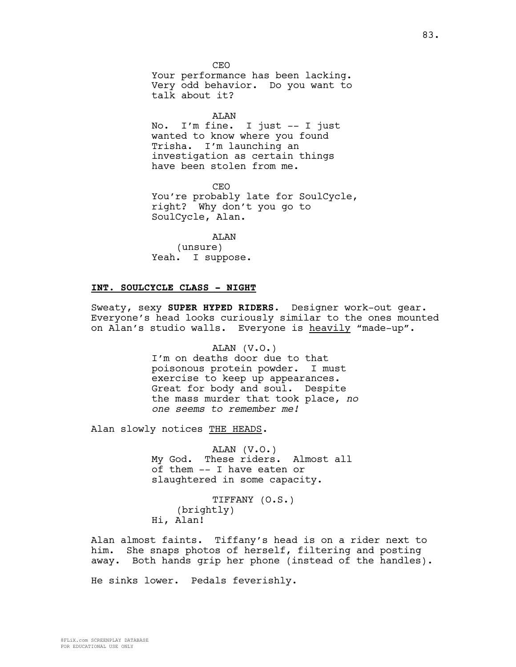**CEO** Your performance has been lacking. Very odd behavior. Do you want to talk about it?

ALAN

No. I'm fine. I just -- I just wanted to know where you found Trisha. I'm launching an investigation as certain things have been stolen from me.

CEO You're probably late for SoulCycle, right? Why don't you go to SoulCycle, Alan.

ALAN (unsure) Yeah. I suppose.

#### **INT. SOULCYCLE CLASS - NIGHT**

Sweaty, sexy **SUPER HYPED RIDERS**. Designer work-out gear. Everyone's head looks curiously similar to the ones mounted on Alan's studio walls. Everyone is heavily "made-up".

> ALAN (V.O.) I'm on deaths door due to that poisonous protein powder. I must exercise to keep up appearances. Great for body and soul. Despite the mass murder that took place, *no one seems to remember me!*

Alan slowly notices THE HEADS.

ALAN (V.O.) My God. These riders. Almost all of them -- I have eaten or slaughtered in some capacity.

TIFFANY (O.S.) (brightly) Hi, Alan!

Alan almost faints. Tiffany's head is on a rider next to him. She snaps photos of herself, filtering and posting away. Both hands grip her phone (instead of the handles).

He sinks lower. Pedals feverishly.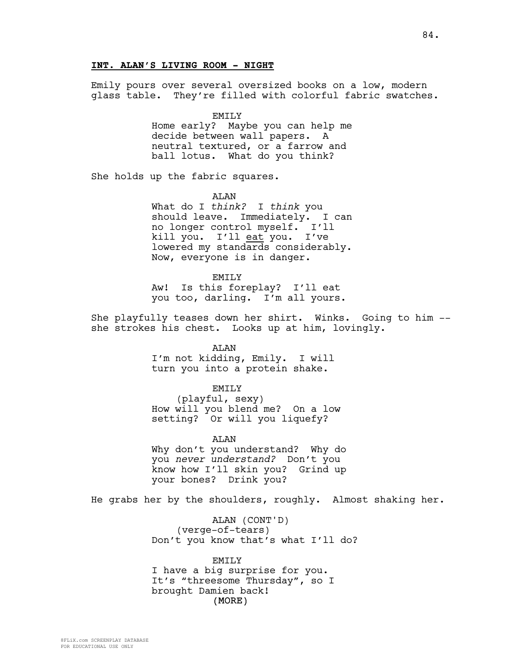# **INT. ALAN'S LIVING ROOM - NIGHT**

Emily pours over several oversized books on a low, modern glass table. They're filled with colorful fabric swatches.

> EMILY Home early? Maybe you can help me decide between wall papers. A neutral textured, or a farrow and ball lotus. What do you think?

She holds up the fabric squares.

**AT<sub>AN</sub>** What do I *think?* I *think* you should leave. Immediately. I can no longer control myself. I'll kill you. I'll eat you. I've lowered my standards considerably. Now, everyone is in danger.

EMILY Aw! Is this foreplay? I'll eat you too, darling. I'm all yours.

She playfully teases down her shirt. Winks. Going to him - she strokes his chest. Looks up at him, lovingly.

> ALAN I'm not kidding, Emily. I will turn you into a protein shake.

#### EMILY

(playful, sexy) How will you blend me? On a low setting? Or will you liquefy?

ALAN Why don't you understand? Why do you *never understand?* Don't you know how I'll skin you? Grind up your bones? Drink you?

He grabs her by the shoulders, roughly. Almost shaking her.

ALAN (CONT'D) (verge-of-tears) Don't you know that's what I'll do?

(MORE) EMILY I have a big surprise for you. It's "threesome Thursday", so I brought Damien back!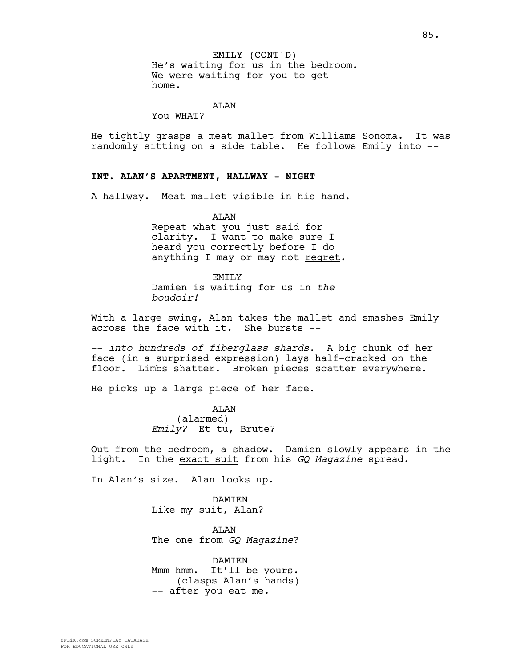# EMILY (CONT'D)

He's waiting for us in the bedroom. We were waiting for you to get home.

# ALAN

You WHAT?

He tightly grasps a meat mallet from Williams Sonoma. It was randomly sitting on a side table. He follows Emily into --

## **INT. ALAN'S APARTMENT, HALLWAY - NIGHT**

A hallway. Meat mallet visible in his hand.

ALAN

Repeat what you just said for clarity. I want to make sure I heard you correctly before I do anything I may or may not regret.

EMILY Damien is waiting for us in *the boudoir!*

With a large swing, Alan takes the mallet and smashes Emily across the face with it. She bursts --

-- *into hundreds of fiberglass shards*. A big chunk of her face (in a surprised expression) lays half-cracked on the floor. Limbs shatter. Broken pieces scatter everywhere.

He picks up a large piece of her face.

ALAN (alarmed) *Emily?* Et tu, Brute?

Out from the bedroom, a shadow. Damien slowly appears in the light. In the exact suit from his *GQ Magazine* spread.

In Alan's size. Alan looks up.

DAMIEN Like my suit, Alan?

ALAN The one from *GQ Magazine*?

DAMIEN Mmm-hmm. It'll be yours. (clasps Alan's hands) -- after you eat me.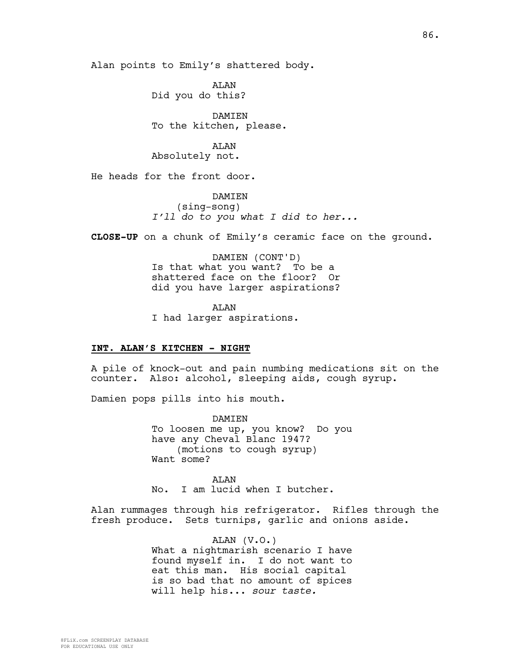Alan points to Emily's shattered body.

ALAN Did you do this?

DAMIEN To the kitchen, please.

ALAN Absolutely not.

He heads for the front door.

**DAMTEN** (sing-song) *I'll do to you what I did to her...*

**CLOSE-UP** on a chunk of Emily's ceramic face on the ground.

DAMIEN (CONT'D) Is that what you want? To be a shattered face on the floor? Or did you have larger aspirations?

AT<sub>AN</sub> I had larger aspirations.

#### **INT. ALAN'S KITCHEN - NIGHT**

A pile of knock-out and pain numbing medications sit on the counter. Also: alcohol, sleeping aids, cough syrup.

Damien pops pills into his mouth.

**DAMTEN** To loosen me up, you know? Do you have any Cheval Blanc 1947? (motions to cough syrup) Want some?

**AT<sub>AN</sub>** No. I am lucid when I butcher.

Alan rummages through his refrigerator. Rifles through the fresh produce. Sets turnips, garlic and onions aside.

> ALAN (V.O.) What a nightmarish scenario I have found myself in. I do not want to eat this man. His social capital is so bad that no amount of spices will help his... *sour taste.*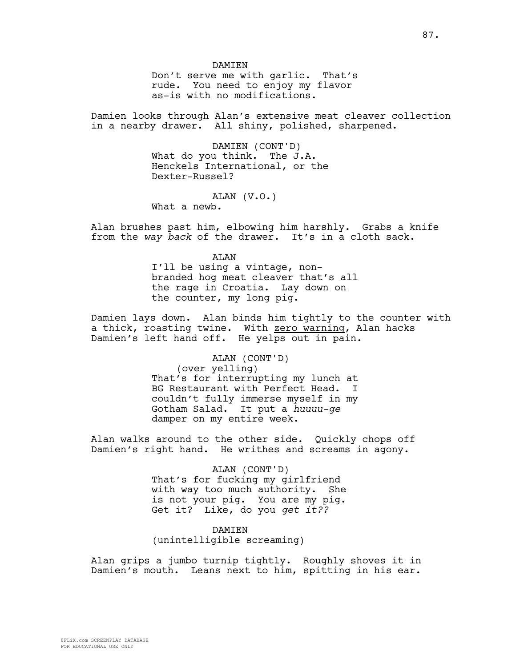**DAMTEN** Don't serve me with garlic. That's rude. You need to enjoy my flavor

as-is with no modifications.

Damien looks through Alan's extensive meat cleaver collection in a nearby drawer. All shiny, polished, sharpened.

> DAMIEN (CONT'D) What do you think. The J.A. Henckels International, or the Dexter-Russel?

> > ALAN (V.O.)

What a newb.

Alan brushes past him, elbowing him harshly. Grabs a knife from the *way back* of the drawer. It's in a cloth sack.

> **AT<sub>AN</sub>** I'll be using a vintage, nonbranded hog meat cleaver that's all the rage in Croatia. Lay down on the counter, my long pig.

Damien lays down. Alan binds him tightly to the counter with a thick, roasting twine. With zero warning, Alan hacks Damien's left hand off. He yelps out in pain.

> ALAN (CONT'D) (over yelling) That's for interrupting my lunch at BG Restaurant with Perfect Head. I couldn't fully immerse myself in my Gotham Salad. It put a *huuuu-ge* damper on my entire week.

Alan walks around to the other side. Quickly chops off Damien's right hand. He writhes and screams in agony.

> ALAN (CONT'D) That's for fucking my girlfriend with way too much authority. She is not your pig. You are my pig. Get it? Like, do you *get it??*

DAMIEN (unintelligible screaming)

Alan grips a jumbo turnip tightly. Roughly shoves it in Damien's mouth. Leans next to him, spitting in his ear.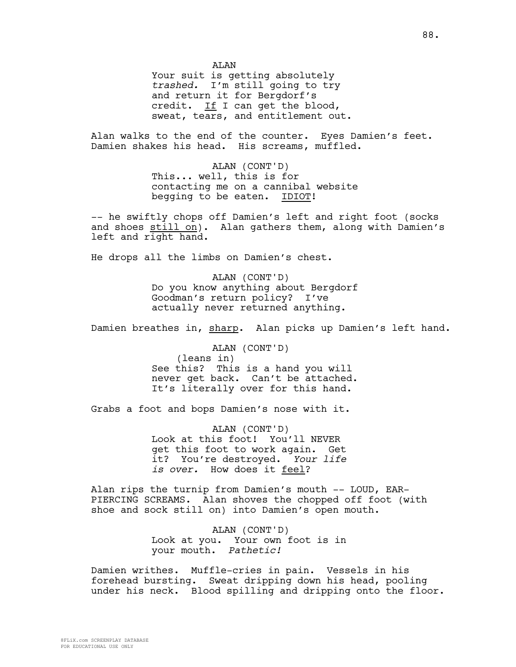**AT<sub>AN</sub>** 

Your suit is getting absolutely *trashed.* I'm still going to try and return it for Bergdorf's credit. If I can get the blood, sweat, tears, and entitlement out.

Alan walks to the end of the counter. Eyes Damien's feet. Damien shakes his head. His screams, muffled.

> ALAN (CONT'D) This... well, this is for contacting me on a cannibal website begging to be eaten. IDIOT!

-- he swiftly chops off Damien's left and right foot (socks and shoes still on). Alan gathers them, along with Damien's left and right hand.

He drops all the limbs on Damien's chest.

ALAN (CONT'D) Do you know anything about Bergdorf Goodman's return policy? I've actually never returned anything.

Damien breathes in, sharp. Alan picks up Damien's left hand.

ALAN (CONT'D) (leans in) See this? This is a hand you will never get back. Can't be attached. It's literally over for this hand.

Grabs a foot and bops Damien's nose with it.

ALAN (CONT'D) Look at this foot! You'll NEVER get this foot to work again. Get it? You're destroyed. *Your life is over.* How does it feel?

Alan rips the turnip from Damien's mouth -- LOUD, EAR-PIERCING SCREAMS. Alan shoves the chopped off foot (with shoe and sock still on) into Damien's open mouth.

> ALAN (CONT'D) Look at you. Your own foot is in your mouth. *Pathetic!*

Damien writhes. Muffle-cries in pain. Vessels in his forehead bursting. Sweat dripping down his head, pooling under his neck. Blood spilling and dripping onto the floor.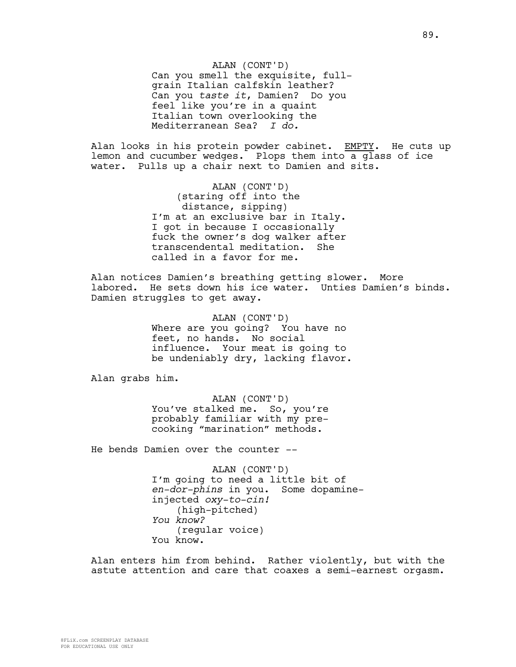ALAN (CONT'D) Can you smell the exquisite, fullgrain Italian calfskin leather? Can you *taste it*, Damien? Do you feel like you're in a quaint Italian town overlooking the Mediterranean Sea? *I do.*

Alan looks in his protein powder cabinet. EMPTY. He cuts up lemon and cucumber wedges. Plops them into a glass of ice water. Pulls up a chair next to Damien and sits.

> ALAN (CONT'D) (staring off into the distance, sipping) I'm at an exclusive bar in Italy. I got in because I occasionally fuck the owner's dog walker after transcendental meditation. She called in a favor for me.

Alan notices Damien's breathing getting slower. More labored. He sets down his ice water. Unties Damien's binds. Damien struggles to get away.

> ALAN (CONT'D) Where are you going? You have no feet, no hands. No social influence. Your meat is going to be undeniably dry, lacking flavor.

Alan grabs him.

ALAN (CONT'D) You've stalked me. So, you're probably familiar with my precooking "marination" methods.

He bends Damien over the counter --

ALAN (CONT'D) I'm going to need a little bit of *en-dor-phins* in you. Some dopamineinjected *oxy-to-cin!* (high-pitched) *You know?* (regular voice) You know.

Alan enters him from behind. Rather violently, but with the astute attention and care that coaxes a semi-earnest orgasm.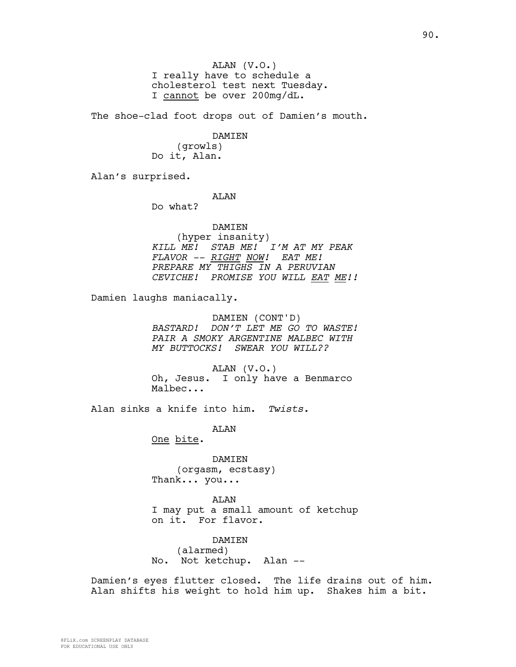ALAN (V.O.) I really have to schedule a cholesterol test next Tuesday. I cannot be over 200mg/dL.

The shoe-clad foot drops out of Damien's mouth.

DAMIEN

(growls) Do it, Alan.

Alan's surprised.

ALAN

Do what?

DAMIEN (hyper insanity) *KILL ME! STAB ME! I'M AT MY PEAK FLAVOR -- RIGHT NOW! EAT ME! PREPARE MY THIGHS IN A PERUVIAN CEVICHE! PROMISE YOU WILL EAT ME!!*

Damien laughs maniacally.

DAMIEN (CONT'D) *BASTARD! DON'T LET ME GO TO WASTE! PAIR A SMOKY ARGENTINE MALBEC WITH MY BUTTOCKS! SWEAR YOU WILL??*

ALAN (V.O.) Oh, Jesus. I only have a Benmarco Malbec...

Alan sinks a knife into him. *Twists.*

ALAN

One bite.

DAMIEN (orgasm, ecstasy) Thank... you...

ALAN I may put a small amount of ketchup on it. For flavor.

DAMIEN (alarmed) No. Not ketchup. Alan --

Damien's eyes flutter closed. The life drains out of him. Alan shifts his weight to hold him up. Shakes him a bit.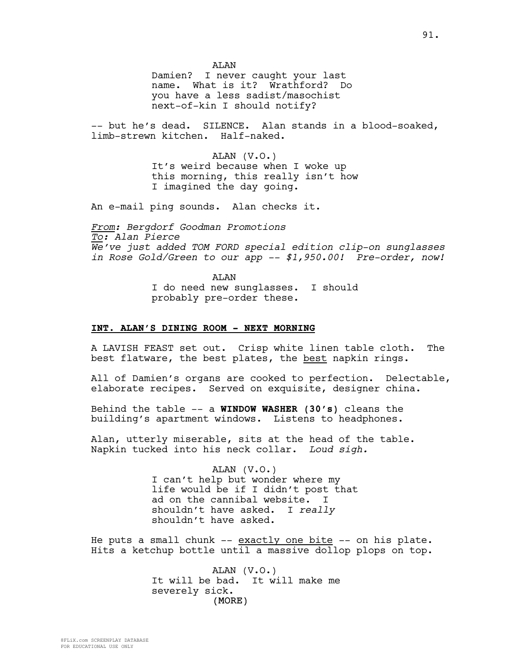**AT<sub>AN</sub>** 

Damien? I never caught your last name. What is it? Wrathford? Do you have a less sadist/masochist next-of-kin I should notify?

-- but he's dead. SILENCE. Alan stands in a blood-soaked, limb-strewn kitchen. Half-naked.

> ALAN (V.O.) It's weird because when I woke up this morning, this really isn't how I imagined the day going.

An e-mail ping sounds. Alan checks it.

*From: Bergdorf Goodman Promotions To: Alan Pierce We've just added TOM FORD special edition clip-on sunglasses in Rose Gold/Green to our app -- \$1,950.00! Pre-order, now!*

> ALAN I do need new sunglasses. I should probably pre-order these.

#### **INT. ALAN'S DINING ROOM - NEXT MORNING**

A LAVISH FEAST set out. Crisp white linen table cloth. The best flatware, the best plates, the best napkin rings.

All of Damien's organs are cooked to perfection. Delectable, elaborate recipes. Served on exquisite, designer china.

Behind the table -- a **WINDOW WASHER (30's)** cleans the building's apartment windows. Listens to headphones.

Alan, utterly miserable, sits at the head of the table. Napkin tucked into his neck collar. *Loud sigh.*

> ALAN (V.O.) I can't help but wonder where my life would be if I didn't post that ad on the cannibal website. I shouldn't have asked. I *really* shouldn't have asked.

He puts a small chunk -- exactly one bite -- on his plate. Hits a ketchup bottle until a massive dollop plops on top.

> (MORE) ALAN (V.O.) It will be bad. It will make me severely sick.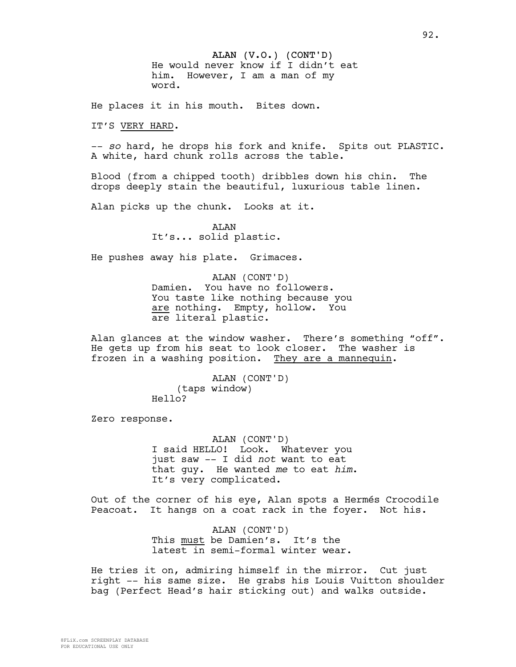ALAN (V.O.) (CONT'D) He would never know if I didn't eat him. However, I am a man of my word.

He places it in his mouth. Bites down.

IT'S VERY HARD.

-- *so* hard, he drops his fork and knife. Spits out PLASTIC. A white, hard chunk rolls across the table.

Blood (from a chipped tooth) dribbles down his chin. The drops deeply stain the beautiful, luxurious table linen.

Alan picks up the chunk. Looks at it.

ALAN It's... solid plastic.

He pushes away his plate. Grimaces.

ALAN (CONT'D) Damien. You have no followers. You taste like nothing because you are nothing. Empty, hollow. You are literal plastic.

Alan glances at the window washer. There's something "off". He gets up from his seat to look closer. The washer is frozen in a washing position. They are a mannequin.

> ALAN (CONT'D) (taps window) Hello?

Zero response.

ALAN (CONT'D) I said HELLO! Look. Whatever you just saw -- I did *not* want to eat that guy. He wanted *me* to eat *him*. It's very complicated.

Out of the corner of his eye, Alan spots a Hermés Crocodile Peacoat. It hangs on a coat rack in the foyer. Not his.

> ALAN (CONT'D) This must be Damien's. It's the latest in semi-formal winter wear.

He tries it on, admiring himself in the mirror. Cut just right -- his same size. He grabs his Louis Vuitton shoulder bag (Perfect Head's hair sticking out) and walks outside.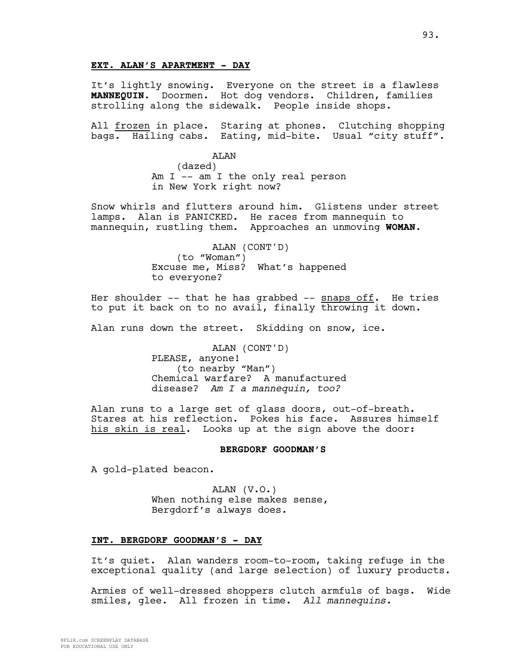## **EXT. ALAN'S APARTMENT - DAY**

It's lightly snowing. Everyone on the street is a flawless **MANNEQUIN**. Doormen. Hot dog vendors. Children, families strolling along the sidewalk. People inside shops.

All frozen in place. Staring at phones. Clutching shopping bags. Hailing cabs. Eating, mid-bite. Usual "city stuff".

> ALAN (dazed) Am I -- am I the only real person in New York right now?

Snow whirls and flutters around him. Glistens under street lamps. Alan is PANICKED. He races from mannequin to mannequin, rustling them. Approaches an unmoving **WOMAN**.

> ALAN (CONT'D) (to "Woman") Excuse me, Miss? What's happened to everyone?

Her shoulder  $--$  that he has grabbed  $--$  snaps off. He tries to put it back on to no avail, finally throwing it down.

Alan runs down the street. Skidding on snow, ice.

ALAN (CONT'D) PLEASE, anyone! (to nearby "Man") Chemical warfare? A manufactured disease? *Am I a mannequin, too?*

Alan runs to a large set of glass doors, out-of-breath. Stares at his reflection. Pokes his face. Assures himself his skin is real. Looks up at the sign above the door:

# **BERGDORF GOODMAN'S**

A gold-plated beacon.

ALAN (V.O.) When nothing else makes sense, Bergdorf's always does.

#### **INT. BERGDORF GOODMAN'S - DAY**

It's quiet. Alan wanders room-to-room, taking refuge in the exceptional quality (and large selection) of luxury products.

Armies of well-dressed shoppers clutch armfuls of bags. Wide smiles, glee. All frozen in time. *All mannequins.*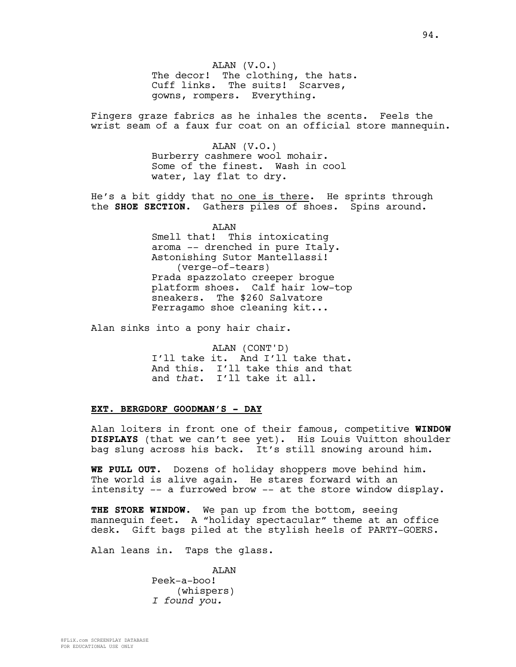ALAN (V.O.) The decor! The clothing, the hats. Cuff links. The suits! Scarves, gowns, rompers. Everything.

Fingers graze fabrics as he inhales the scents. Feels the wrist seam of a faux fur coat on an official store mannequin.

> ALAN (V.O.) Burberry cashmere wool mohair. Some of the finest. Wash in cool water, lay flat to dry.

He's a bit giddy that no one is there. He sprints through the **SHOE SECTION**. Gathers piles of shoes. Spins around.

> ALAN Smell that! This intoxicating aroma -- drenched in pure Italy. Astonishing Sutor Mantellassi! (verge-of-tears) Prada spazzolato creeper brogue platform shoes. Calf hair low-top sneakers. The \$260 Salvatore Ferragamo shoe cleaning kit...

Alan sinks into a pony hair chair.

ALAN (CONT'D) I'll take it. And I'll take that. And this. I'll take this and that and *that*. I'll take it all.

## **EXT. BERGDORF GOODMAN'S - DAY**

Alan loiters in front one of their famous, competitive **WINDOW DISPLAYS** (that we can't see yet). His Louis Vuitton shoulder bag slung across his back. It's still snowing around him.

**WE PULL OUT.** Dozens of holiday shoppers move behind him. The world is alive again. He stares forward with an intensity -- a furrowed brow -- at the store window display.

**THE STORE WINDOW.** We pan up from the bottom, seeing mannequin feet. A "holiday spectacular" theme at an office desk. Gift bags piled at the stylish heels of PARTY-GOERS.

Alan leans in. Taps the glass.

ALAN Peek-a-boo! (whispers) *I found you.*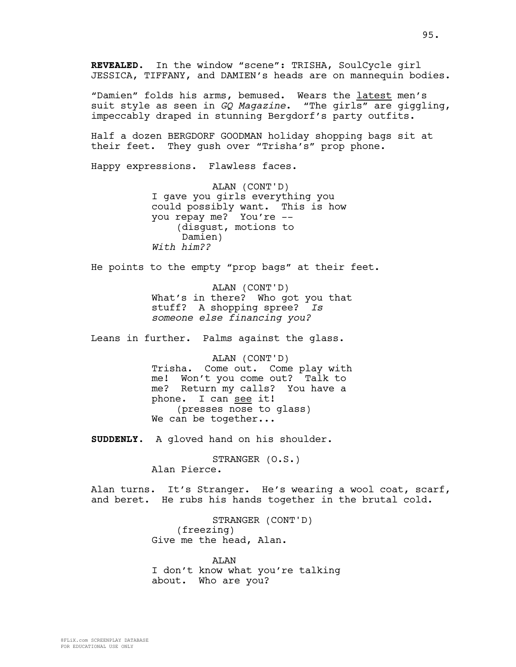"Damien" folds his arms, bemused. Wears the latest men's suit style as seen in *GQ Magazine*. "The girls" are giggling, impeccably draped in stunning Bergdorf's party outfits.

Half a dozen BERGDORF GOODMAN holiday shopping bags sit at their feet. They gush over "Trisha's" prop phone.

Happy expressions. Flawless faces.

ALAN (CONT'D) I gave you girls everything you could possibly want. This is how you repay me? You're -- (disgust, motions to Damien) *With him??*

He points to the empty "prop bags" at their feet.

ALAN (CONT'D) What's in there? Who got you that stuff? A shopping spree? *Is someone else financing you?* 

Leans in further. Palms against the glass.

ALAN (CONT'D) Trisha. Come out. Come play with me! Won't you come out? Talk to me? Return my calls? You have a phone. I can see it! (presses nose to glass) We can be together...

**SUDDENLY.** A gloved hand on his shoulder.

STRANGER (O.S.) Alan Pierce.

Alan turns. It's Stranger. He's wearing a wool coat, scarf, and beret. He rubs his hands together in the brutal cold.

> STRANGER (CONT'D) (freezing) Give me the head, Alan.

ALAN I don't know what you're talking about. Who are you?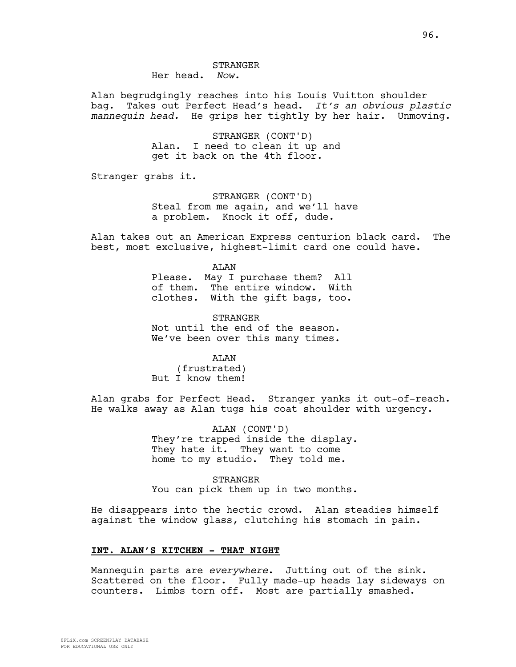# STRANGER

Her head. *Now.*

Alan begrudgingly reaches into his Louis Vuitton shoulder bag. Takes out Perfect Head's head. *It's an obvious plastic mannequin head.* He grips her tightly by her hair. Unmoving.

> STRANGER (CONT'D) Alan. I need to clean it up and get it back on the 4th floor.

Stranger grabs it.

STRANGER (CONT'D) Steal from me again, and we'll have a problem. Knock it off, dude.

Alan takes out an American Express centurion black card. The best, most exclusive, highest-limit card one could have.

> ALAN Please. May I purchase them? All of them. The entire window. With clothes. With the gift bags, too.

STRANGER Not until the end of the season. We've been over this many times.

ALAN

(frustrated) But I know them!

Alan grabs for Perfect Head. Stranger yanks it out-of-reach. He walks away as Alan tugs his coat shoulder with urgency.

> ALAN (CONT'D) They're trapped inside the display. They hate it. They want to come home to my studio. They told me.

> STRANGER You can pick them up in two months.

He disappears into the hectic crowd. Alan steadies himself against the window glass, clutching his stomach in pain.

#### **INT. ALAN'S KITCHEN - THAT NIGHT**

Mannequin parts are *everywhere*. Jutting out of the sink. Scattered on the floor. Fully made-up heads lay sideways on counters. Limbs torn off. Most are partially smashed.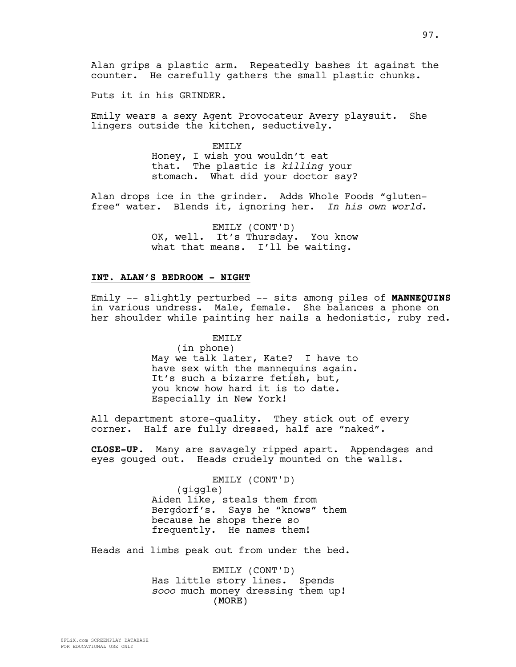Alan grips a plastic arm. Repeatedly bashes it against the counter. He carefully gathers the small plastic chunks.

Puts it in his GRINDER.

Emily wears a sexy Agent Provocateur Avery playsuit. She lingers outside the kitchen, seductively.

> EMILY Honey, I wish you wouldn't eat that. The plastic is *killing* your stomach. What did your doctor say?

Alan drops ice in the grinder. Adds Whole Foods "glutenfree" water. Blends it, ignoring her. *In his own world.*

> EMILY (CONT'D) OK, well. It's Thursday. You know what that means. I'll be waiting.

#### **INT. ALAN'S BEDROOM - NIGHT**

Emily -- slightly perturbed -- sits among piles of **MANNEQUINS** in various undress. Male, female. She balances a phone on her shoulder while painting her nails a hedonistic, ruby red.

> EMILY (in phone) May we talk later, Kate? I have to have sex with the mannequins again. It's such a bizarre fetish, but, you know how hard it is to date. Especially in New York!

All department store-quality. They stick out of every corner. Half are fully dressed, half are "naked".

**CLOSE-UP**. Many are savagely ripped apart. Appendages and eyes gouged out. Heads crudely mounted on the walls.

> EMILY (CONT'D) (giggle) Aiden like, steals them from Bergdorf's. Says he "knows" them because he shops there so frequently. He names them!

Heads and limbs peak out from under the bed.

(MORE) EMILY (CONT'D) Has little story lines. Spends *sooo* much money dressing them up!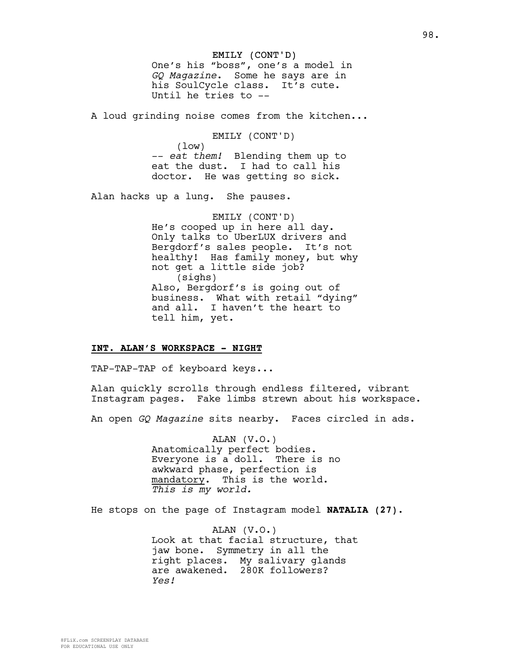EMILY (CONT'D) One's his "boss", one's a model in *GQ Magazine*. Some he says are in his SoulCycle class. It's cute. Until he tries to --

A loud grinding noise comes from the kitchen...

EMILY (CONT'D) (low) -- *eat them!* Blending them up to eat the dust. I had to call his doctor. He was getting so sick.

Alan hacks up a lung. She pauses.

EMILY (CONT'D) He's cooped up in here all day. Only talks to UberLUX drivers and Bergdorf's sales people. It's not healthy! Has family money, but why not get a little side job? (sighs) Also, Bergdorf's is going out of business. What with retail "dying" and all. I haven't the heart to tell him, yet.

#### **INT. ALAN'S WORKSPACE - NIGHT**

TAP-TAP-TAP of keyboard keys...

Alan quickly scrolls through endless filtered, vibrant Instagram pages. Fake limbs strewn about his workspace.

An open *GQ Magazine* sits nearby. Faces circled in ads.

ALAN (V.O.) Anatomically perfect bodies. Everyone is a doll. There is no awkward phase, perfection is mandatory. This is the world. *This is my world.*

He stops on the page of Instagram model **NATALIA (27).**

ALAN (V.O.) Look at that facial structure, that jaw bone. Symmetry in all the right places. My salivary glands are awakened. 280K followers? *Yes!*